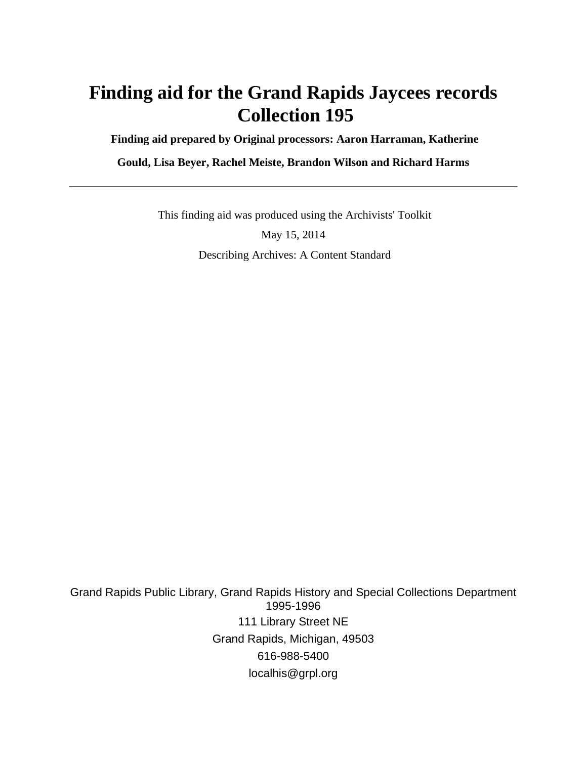# **Finding aid for the Grand Rapids Jaycees records Collection 195**

 **Finding aid prepared by Original processors: Aaron Harraman, Katherine**

**Gould, Lisa Beyer, Rachel Meiste, Brandon Wilson and Richard Harms**

 This finding aid was produced using the Archivists' Toolkit May 15, 2014 Describing Archives: A Content Standard

Grand Rapids Public Library, Grand Rapids History and Special Collections Department 1995-1996 111 Library Street NE Grand Rapids, Michigan, 49503 616-988-5400 localhis@grpl.org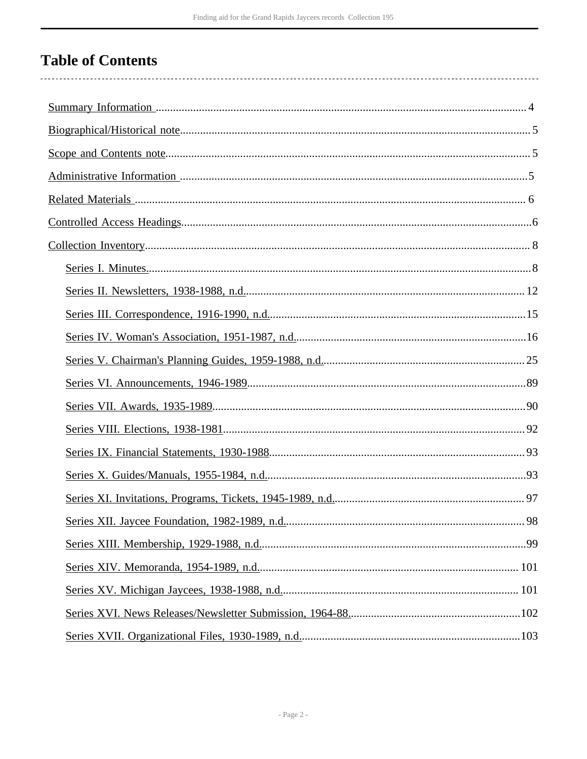## **Table of Contents**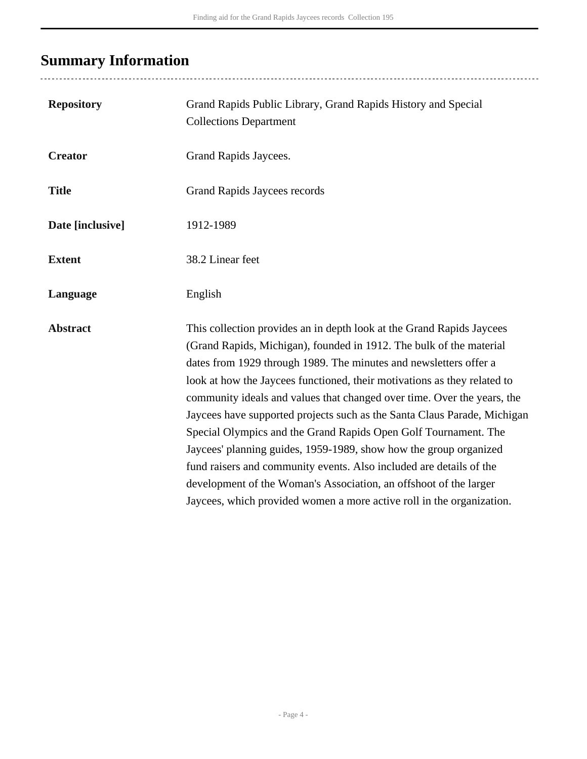# <span id="page-3-0"></span>**Summary Information**

..................................

| <b>Repository</b> | Grand Rapids Public Library, Grand Rapids History and Special<br><b>Collections Department</b>                                                                                                                                                                                                                                                                                                                                                                                                                                                                                                                                                                                                                                                                                                                    |
|-------------------|-------------------------------------------------------------------------------------------------------------------------------------------------------------------------------------------------------------------------------------------------------------------------------------------------------------------------------------------------------------------------------------------------------------------------------------------------------------------------------------------------------------------------------------------------------------------------------------------------------------------------------------------------------------------------------------------------------------------------------------------------------------------------------------------------------------------|
| <b>Creator</b>    | Grand Rapids Jaycees.                                                                                                                                                                                                                                                                                                                                                                                                                                                                                                                                                                                                                                                                                                                                                                                             |
| <b>Title</b>      | <b>Grand Rapids Jaycees records</b>                                                                                                                                                                                                                                                                                                                                                                                                                                                                                                                                                                                                                                                                                                                                                                               |
| Date [inclusive]  | 1912-1989                                                                                                                                                                                                                                                                                                                                                                                                                                                                                                                                                                                                                                                                                                                                                                                                         |
| <b>Extent</b>     | 38.2 Linear feet                                                                                                                                                                                                                                                                                                                                                                                                                                                                                                                                                                                                                                                                                                                                                                                                  |
| Language          | English                                                                                                                                                                                                                                                                                                                                                                                                                                                                                                                                                                                                                                                                                                                                                                                                           |
| <b>Abstract</b>   | This collection provides an in depth look at the Grand Rapids Jaycees<br>(Grand Rapids, Michigan), founded in 1912. The bulk of the material<br>dates from 1929 through 1989. The minutes and newsletters offer a<br>look at how the Jaycees functioned, their motivations as they related to<br>community ideals and values that changed over time. Over the years, the<br>Jaycees have supported projects such as the Santa Claus Parade, Michigan<br>Special Olympics and the Grand Rapids Open Golf Tournament. The<br>Jaycees' planning guides, 1959-1989, show how the group organized<br>fund raisers and community events. Also included are details of the<br>development of the Woman's Association, an offshoot of the larger<br>Jaycees, which provided women a more active roll in the organization. |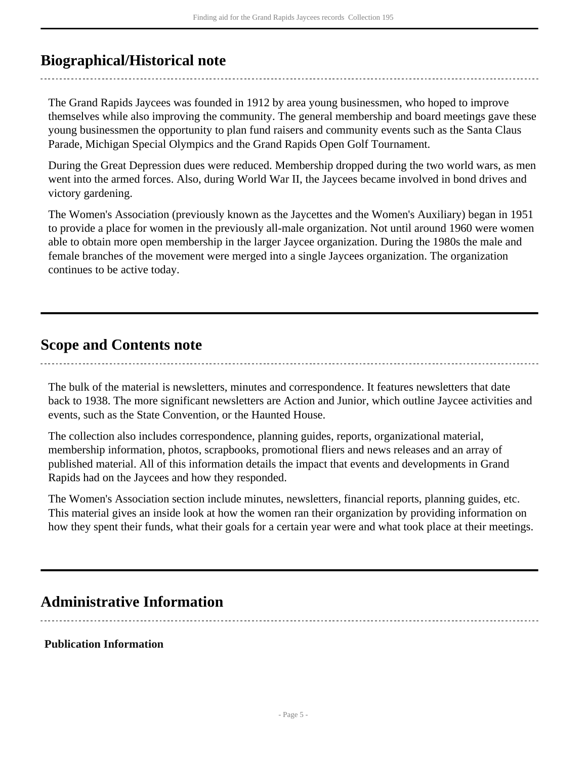### <span id="page-4-0"></span>**Biographical/Historical note**

The Grand Rapids Jaycees was founded in 1912 by area young businessmen, who hoped to improve themselves while also improving the community. The general membership and board meetings gave these young businessmen the opportunity to plan fund raisers and community events such as the Santa Claus Parade, Michigan Special Olympics and the Grand Rapids Open Golf Tournament.

During the Great Depression dues were reduced. Membership dropped during the two world wars, as men went into the armed forces. Also, during World War II, the Jaycees became involved in bond drives and victory gardening.

The Women's Association (previously known as the Jaycettes and the Women's Auxiliary) began in 1951 to provide a place for women in the previously all-male organization. Not until around 1960 were women able to obtain more open membership in the larger Jaycee organization. During the 1980s the male and female branches of the movement were merged into a single Jaycees organization. The organization continues to be active today.

### <span id="page-4-1"></span>**Scope and Contents note**

The bulk of the material is newsletters, minutes and correspondence. It features newsletters that date back to 1938. The more significant newsletters are Action and Junior, which outline Jaycee activities and events, such as the State Convention, or the Haunted House.

The collection also includes correspondence, planning guides, reports, organizational material, membership information, photos, scrapbooks, promotional fliers and news releases and an array of published material. All of this information details the impact that events and developments in Grand Rapids had on the Jaycees and how they responded.

The Women's Association section include minutes, newsletters, financial reports, planning guides, etc. This material gives an inside look at how the women ran their organization by providing information on how they spent their funds, what their goals for a certain year were and what took place at their meetings.

### <span id="page-4-2"></span>**Administrative Information**

#### **Publication Information**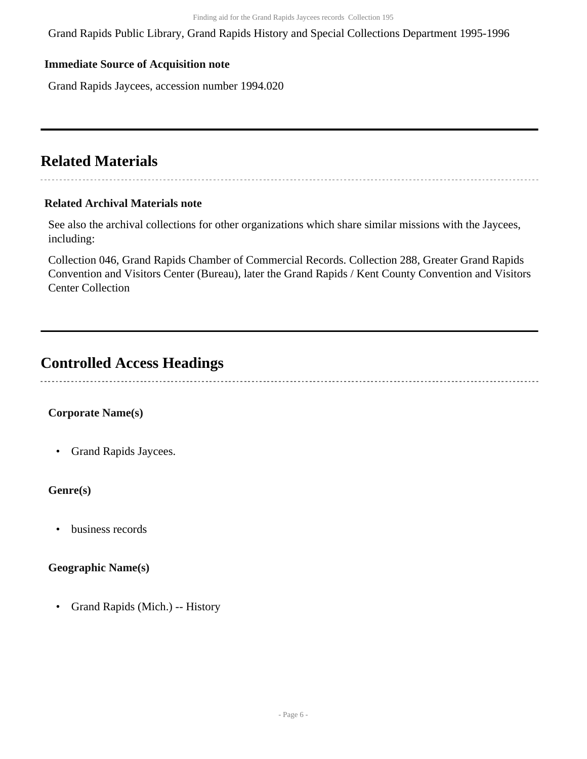Grand Rapids Public Library, Grand Rapids History and Special Collections Department 1995-1996

#### **Immediate Source of Acquisition note**

Grand Rapids Jaycees, accession number 1994.020

### <span id="page-5-0"></span>**Related Materials**

#### **Related Archival Materials note**

See also the archival collections for other organizations which share similar missions with the Jaycees, including:

Collection 046, Grand Rapids Chamber of Commercial Records. Collection 288, Greater Grand Rapids Convention and Visitors Center (Bureau), later the Grand Rapids / Kent County Convention and Visitors Center Collection

### <span id="page-5-1"></span>**Controlled Access Headings**

#### **Corporate Name(s)**

• Grand Rapids Jaycees.

#### **Genre(s)**

• business records

#### **Geographic Name(s)**

• Grand Rapids (Mich.) -- History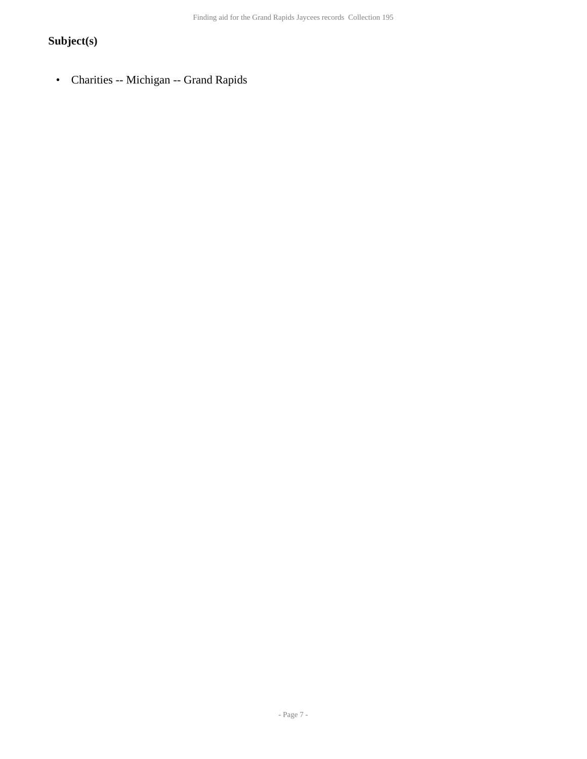### **Subject(s)**

• Charities -- Michigan -- Grand Rapids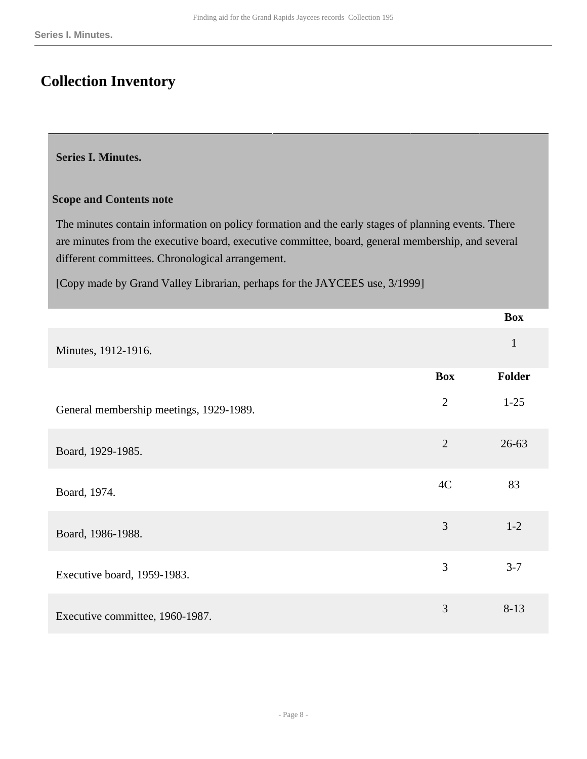## <span id="page-7-0"></span>**Collection Inventory**

#### <span id="page-7-1"></span>**Series I. Minutes.**

#### **Scope and Contents note**

The minutes contain information on policy formation and the early stages of planning events. There are minutes from the executive board, executive committee, board, general membership, and several different committees. Chronological arrangement.

[Copy made by Grand Valley Librarian, perhaps for the JAYCEES use, 3/1999]

|                                         |                | <b>Box</b>   |
|-----------------------------------------|----------------|--------------|
| Minutes, 1912-1916.                     |                | $\mathbf{1}$ |
|                                         | <b>Box</b>     | Folder       |
| General membership meetings, 1929-1989. | $\overline{2}$ | $1-25$       |
| Board, 1929-1985.                       | $\overline{2}$ | $26 - 63$    |
| Board, 1974.                            | 4C             | 83           |
| Board, 1986-1988.                       | 3              | $1 - 2$      |
| Executive board, 1959-1983.             | 3              | $3 - 7$      |
| Executive committee, 1960-1987.         | 3              | $8 - 13$     |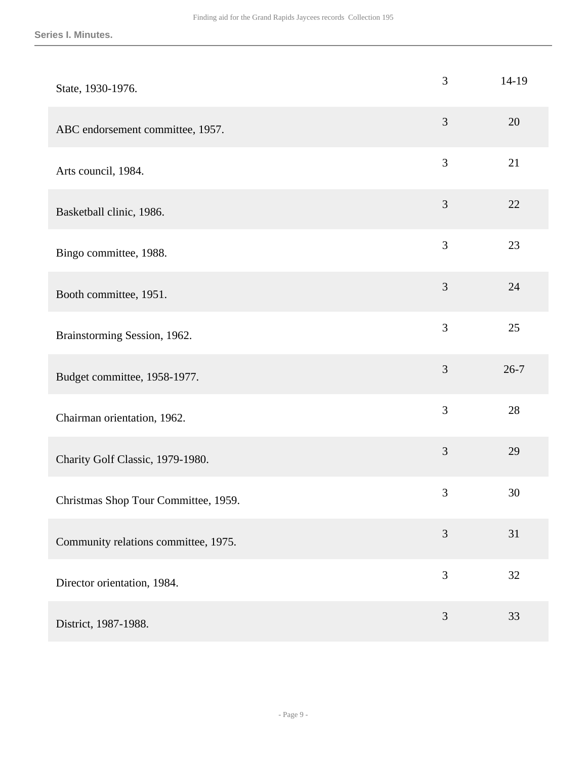| State, 1930-1976.                    | 3              | $14-19$  |
|--------------------------------------|----------------|----------|
| ABC endorsement committee, 1957.     | $\mathfrak{Z}$ | 20       |
| Arts council, 1984.                  | 3              | 21       |
| Basketball clinic, 1986.             | $\mathfrak{Z}$ | 22       |
| Bingo committee, 1988.               | 3              | 23       |
| Booth committee, 1951.               | 3              | 24       |
| Brainstorming Session, 1962.         | 3              | 25       |
| Budget committee, 1958-1977.         | $\mathfrak{Z}$ | $26 - 7$ |
| Chairman orientation, 1962.          | 3              | 28       |
| Charity Golf Classic, 1979-1980.     | 3              | 29       |
| Christmas Shop Tour Committee, 1959. | $\mathfrak{Z}$ | 30       |
| Community relations committee, 1975. | 3              | 31       |
| Director orientation, 1984.          | 3              | 32       |
| District, 1987-1988.                 | $\mathfrak{Z}$ | 33       |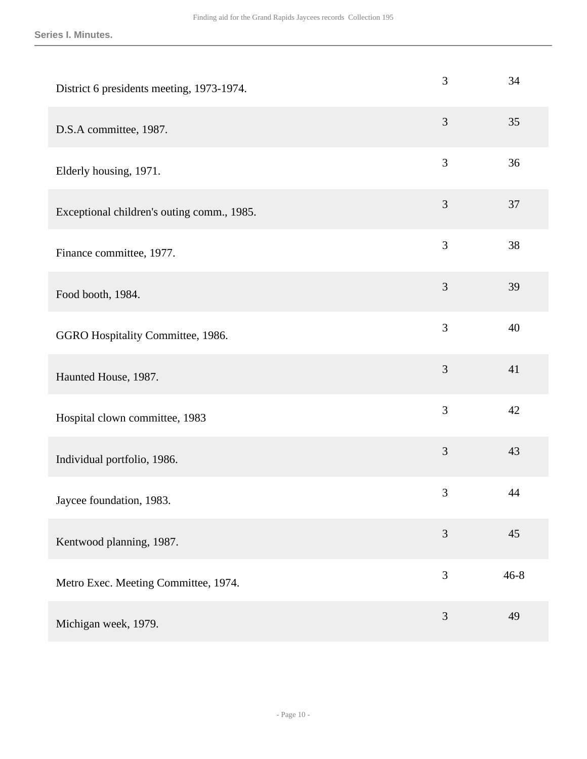| District 6 presidents meeting, 1973-1974.  | 3              | 34       |
|--------------------------------------------|----------------|----------|
| D.S.A committee, 1987.                     | 3              | 35       |
| Elderly housing, 1971.                     | $\mathfrak{Z}$ | 36       |
| Exceptional children's outing comm., 1985. | $\mathfrak{Z}$ | 37       |
| Finance committee, 1977.                   | 3              | 38       |
| Food booth, 1984.                          | $\mathfrak{Z}$ | 39       |
| GGRO Hospitality Committee, 1986.          | 3              | 40       |
| Haunted House, 1987.                       | 3              | 41       |
| Hospital clown committee, 1983             | 3              | 42       |
| Individual portfolio, 1986.                | 3              | 43       |
| Jaycee foundation, 1983.                   | $\mathfrak{Z}$ | 44       |
| Kentwood planning, 1987.                   | 3              | 45       |
| Metro Exec. Meeting Committee, 1974.       | 3              | $46 - 8$ |
| Michigan week, 1979.                       | 3              | 49       |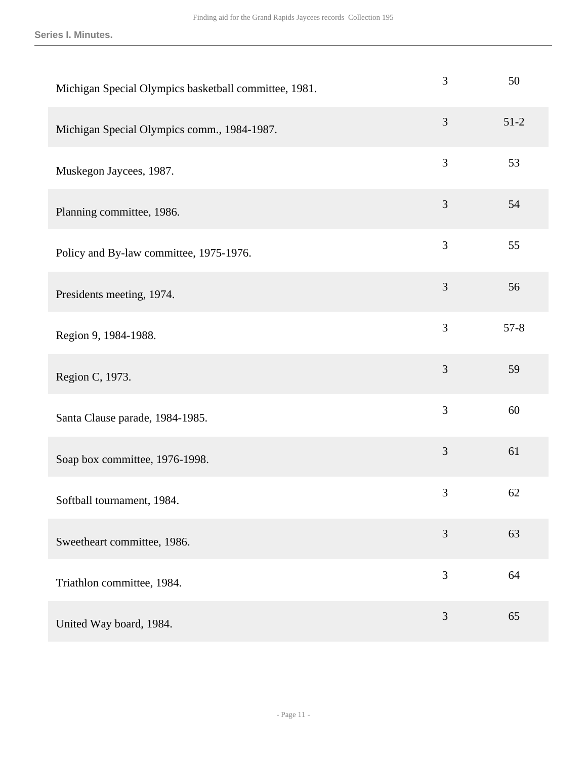**Series I. Minutes.**

| Michigan Special Olympics basketball committee, 1981. | 3              | 50     |
|-------------------------------------------------------|----------------|--------|
| Michigan Special Olympics comm., 1984-1987.           | 3              | $51-2$ |
| Muskegon Jaycees, 1987.                               | 3              | 53     |
| Planning committee, 1986.                             | $\mathfrak{Z}$ | 54     |
| Policy and By-law committee, 1975-1976.               | 3              | 55     |
| Presidents meeting, 1974.                             | $\mathfrak{Z}$ | 56     |
| Region 9, 1984-1988.                                  | 3              | $57-8$ |
| Region C, 1973.                                       | 3              | 59     |
| Santa Clause parade, 1984-1985.                       | 3              | 60     |
| Soap box committee, 1976-1998.                        | 3              | 61     |
| Softball tournament, 1984.                            | $\mathfrak{Z}$ | 62     |
| Sweetheart committee, 1986.                           | 3              | 63     |
| Triathlon committee, 1984.                            | 3              | 64     |
| United Way board, 1984.                               | 3              | 65     |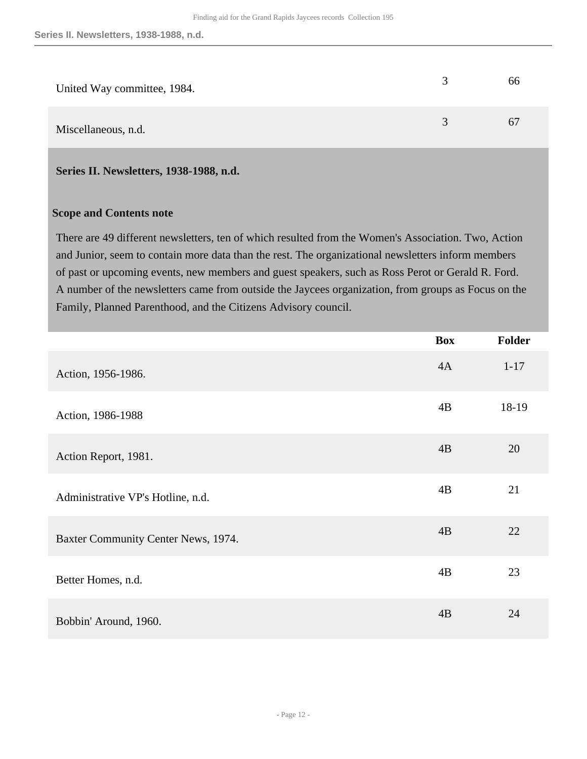| United Way committee, 1984. |   | 66 |
|-----------------------------|---|----|
| Miscellaneous, n.d.         | 3 | 67 |

#### <span id="page-11-0"></span>**Series II. Newsletters, 1938-1988, n.d.**

#### **Scope and Contents note**

There are 49 different newsletters, ten of which resulted from the Women's Association. Two, Action and Junior, seem to contain more data than the rest. The organizational newsletters inform members of past or upcoming events, new members and guest speakers, such as Ross Perot or Gerald R. Ford. A number of the newsletters came from outside the Jaycees organization, from groups as Focus on the Family, Planned Parenthood, and the Citizens Advisory council.

|                                     | <b>Box</b> | Folder   |
|-------------------------------------|------------|----------|
| Action, 1956-1986.                  | 4A         | $1 - 17$ |
| Action, 1986-1988                   | 4B         | 18-19    |
| Action Report, 1981.                | 4B         | 20       |
| Administrative VP's Hotline, n.d.   | 4B         | 21       |
| Baxter Community Center News, 1974. | 4B         | 22       |
| Better Homes, n.d.                  | 4B         | 23       |
| Bobbin' Around, 1960.               | 4B         | 24       |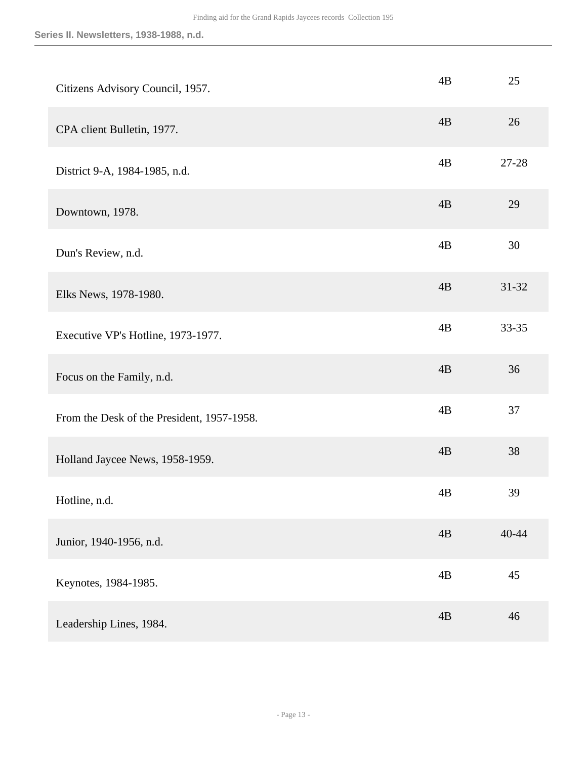| Citizens Advisory Council, 1957.           | 4B | 25        |
|--------------------------------------------|----|-----------|
| CPA client Bulletin, 1977.                 | 4B | 26        |
| District 9-A, 1984-1985, n.d.              | 4B | 27-28     |
| Downtown, 1978.                            | 4B | 29        |
| Dun's Review, n.d.                         | 4B | 30        |
| Elks News, 1978-1980.                      | 4B | $31 - 32$ |
| Executive VP's Hotline, 1973-1977.         | 4B | 33-35     |
| Focus on the Family, n.d.                  | 4B | 36        |
| From the Desk of the President, 1957-1958. | 4B | 37        |
| Holland Jaycee News, 1958-1959.            | 4B | 38        |
| Hotline, n.d.                              | 4B | 39        |
| Junior, 1940-1956, n.d.                    | 4B | $40 - 44$ |
| Keynotes, 1984-1985.                       | 4B | 45        |
| Leadership Lines, 1984.                    | 4B | 46        |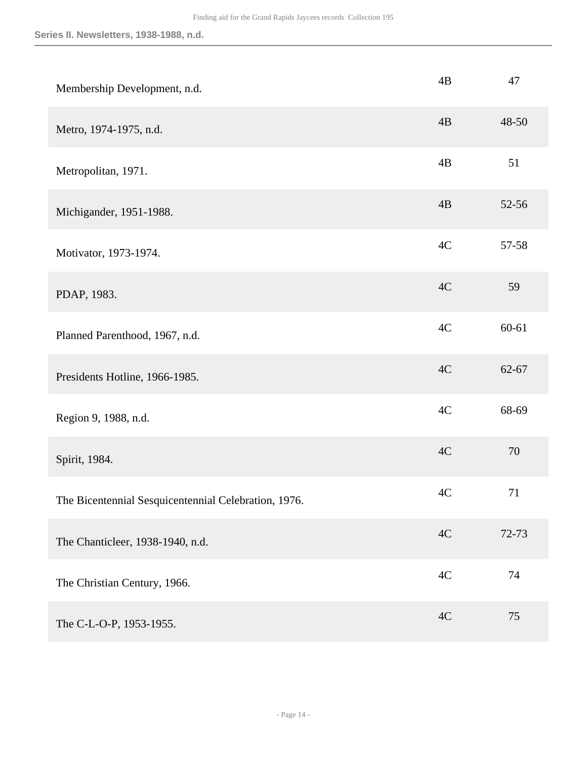| Membership Development, n.d.                         | 4B            | 47        |
|------------------------------------------------------|---------------|-----------|
| Metro, 1974-1975, n.d.                               | 4B            | 48-50     |
| Metropolitan, 1971.                                  | 4B            | 51        |
| Michigander, 1951-1988.                              | 4B            | 52-56     |
| Motivator, 1973-1974.                                | 4C            | 57-58     |
| PDAP, 1983.                                          | 4C            | 59        |
| Planned Parenthood, 1967, n.d.                       | 4C            | $60 - 61$ |
| Presidents Hotline, 1966-1985.                       | 4C            | 62-67     |
| Region 9, 1988, n.d.                                 | 4C            | 68-69     |
| Spirit, 1984.                                        | 4C            | 70        |
| The Bicentennial Sesquicentennial Celebration, 1976. | 4C            | 71        |
| The Chanticleer, 1938-1940, n.d.                     | 4C            | 72-73     |
| The Christian Century, 1966.                         | $4\mathrm{C}$ | 74        |
| The C-L-O-P, 1953-1955.                              | 4C            | 75        |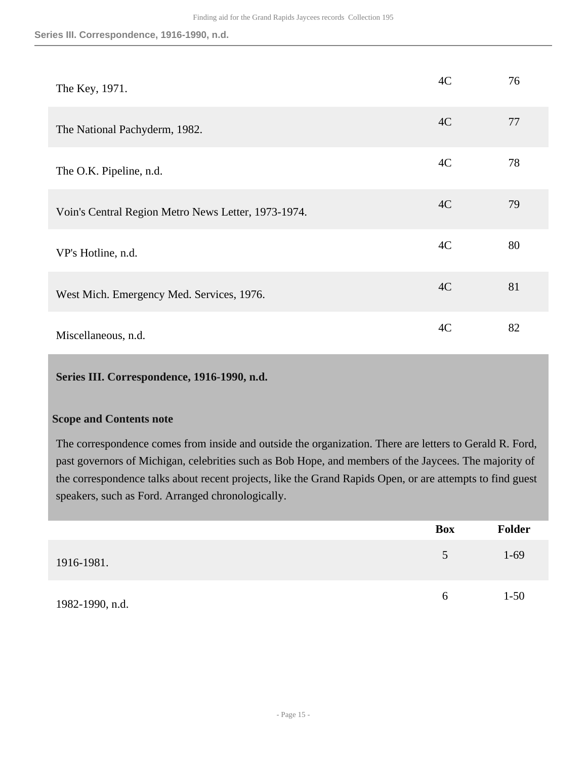**Series III. Correspondence, 1916-1990, n.d.**

| The Key, 1971.                                      | 4C | 76 |
|-----------------------------------------------------|----|----|
| The National Pachyderm, 1982.                       | 4C | 77 |
| The O.K. Pipeline, n.d.                             | 4C | 78 |
| Voin's Central Region Metro News Letter, 1973-1974. | 4C | 79 |
| VP's Hotline, n.d.                                  | 4C | 80 |
| West Mich. Emergency Med. Services, 1976.           | 4C | 81 |
| Miscellaneous, n.d.                                 | 4C | 82 |

#### <span id="page-14-0"></span>**Series III. Correspondence, 1916-1990, n.d.**

#### **Scope and Contents note**

The correspondence comes from inside and outside the organization. There are letters to Gerald R. Ford, past governors of Michigan, celebrities such as Bob Hope, and members of the Jaycees. The majority of the correspondence talks about recent projects, like the Grand Rapids Open, or are attempts to find guest speakers, such as Ford. Arranged chronologically.

|                 | <b>Box</b> | <b>Folder</b> |
|-----------------|------------|---------------|
| 1916-1981.      | 5          | $1-69$        |
| 1982-1990, n.d. | $\sigma$   | $1 - 50$      |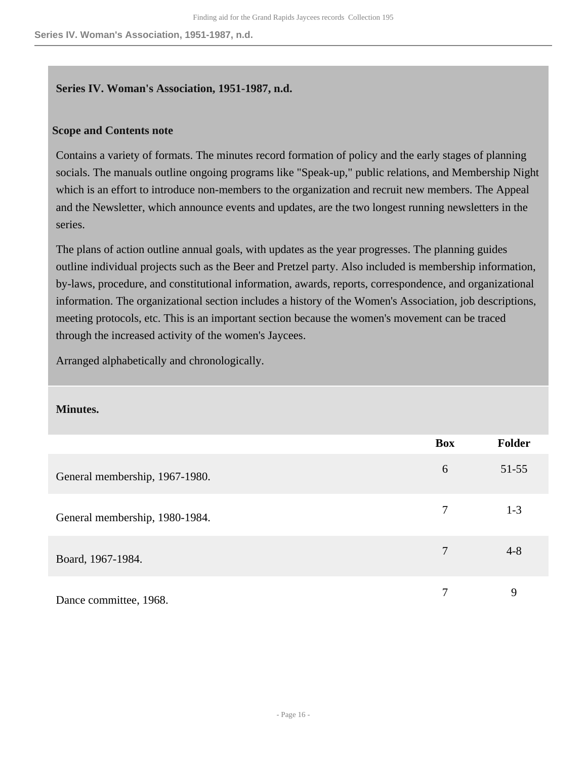#### <span id="page-15-0"></span>**Series IV. Woman's Association, 1951-1987, n.d.**

#### **Scope and Contents note**

Contains a variety of formats. The minutes record formation of policy and the early stages of planning socials. The manuals outline ongoing programs like "Speak-up," public relations, and Membership Night which is an effort to introduce non-members to the organization and recruit new members. The Appeal and the Newsletter, which announce events and updates, are the two longest running newsletters in the series.

The plans of action outline annual goals, with updates as the year progresses. The planning guides outline individual projects such as the Beer and Pretzel party. Also included is membership information, by-laws, procedure, and constitutional information, awards, reports, correspondence, and organizational information. The organizational section includes a history of the Women's Association, job descriptions, meeting protocols, etc. This is an important section because the women's movement can be traced through the increased activity of the women's Jaycees.

Arranged alphabetically and chronologically.

#### **Minutes.**

|                                | <b>Box</b> | Folder    |
|--------------------------------|------------|-----------|
| General membership, 1967-1980. | 6          | $51 - 55$ |
| General membership, 1980-1984. | 7          | $1 - 3$   |
| Board, 1967-1984.              | 7          | $4 - 8$   |
| Dance committee, 1968.         | 7          | 9         |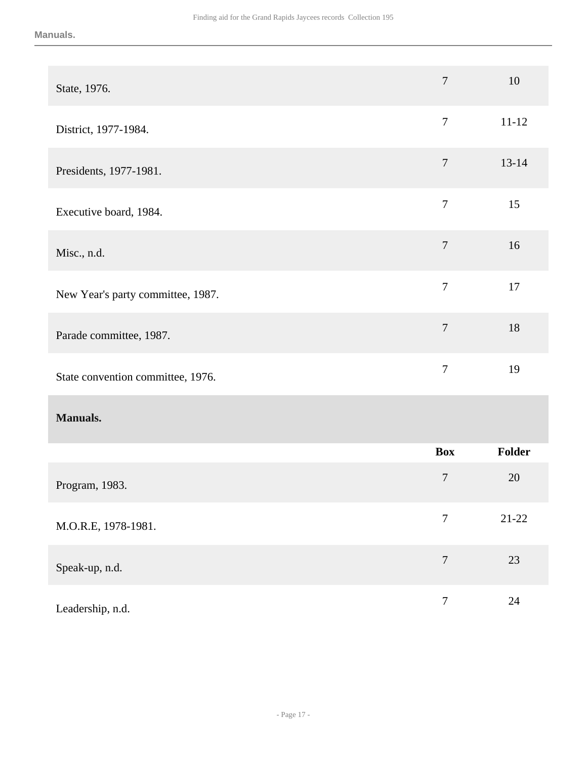| State, 1976.                      | $\tau$           | 10        |
|-----------------------------------|------------------|-----------|
| District, 1977-1984.              | $\tau$           | $11 - 12$ |
| Presidents, 1977-1981.            | $\overline{7}$   | $13 - 14$ |
| Executive board, 1984.            | $\tau$           | 15        |
| Misc., n.d.                       | $\overline{7}$   | 16        |
| New Year's party committee, 1987. | $\tau$           | 17        |
| Parade committee, 1987.           | $\overline{7}$   | 18        |
| State convention committee, 1976. | $\boldsymbol{7}$ | 19        |
| <b>Manuals.</b>                   |                  |           |
|                                   | <b>Box</b>       | Folder    |
| Program, 1983.                    | $\boldsymbol{7}$ | 20        |
| M.O.R.E, 1978-1981.               | $\boldsymbol{7}$ | $21-22$   |
| Speak-up, n.d.                    | $\overline{7}$   | $23\,$    |
| Leadership, n.d.                  | $\boldsymbol{7}$ | $24\,$    |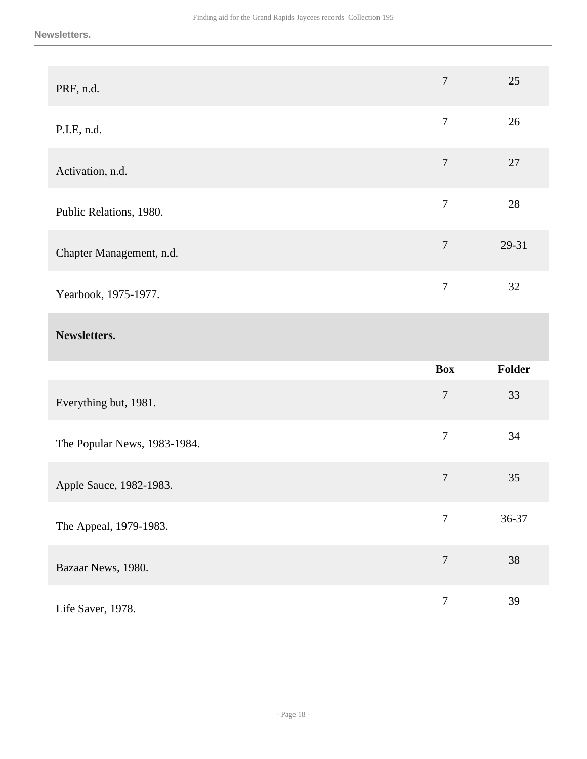| PRF, n.d.                    | $\overline{7}$   | 25     |
|------------------------------|------------------|--------|
| P.I.E, n.d.                  | $\overline{7}$   | 26     |
| Activation, n.d.             | $\overline{7}$   | 27     |
| Public Relations, 1980.      | $\overline{7}$   | $28\,$ |
| Chapter Management, n.d.     | $\overline{7}$   | 29-31  |
| Yearbook, 1975-1977.         | $\overline{7}$   | 32     |
|                              |                  |        |
| Newsletters.                 |                  |        |
|                              | <b>Box</b>       | Folder |
| Everything but, 1981.        | $\boldsymbol{7}$ | 33     |
| The Popular News, 1983-1984. | $\boldsymbol{7}$ | 34     |
| Apple Sauce, 1982-1983.      | $\overline{7}$   | 35     |
| The Appeal, 1979-1983.       | $\overline{7}$   | 36-37  |
| Bazaar News, 1980.           | $\overline{7}$   | 38     |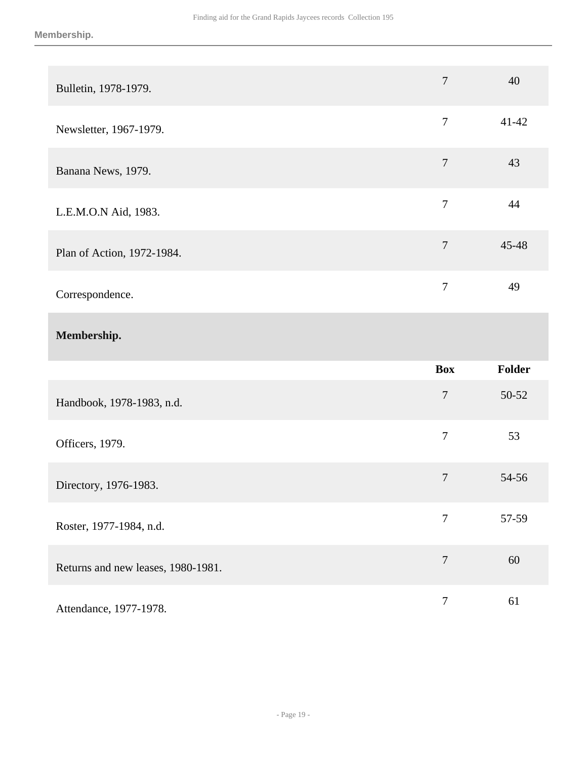| Bulletin, 1978-1979.               | $\overline{7}$   | 40     |
|------------------------------------|------------------|--------|
| Newsletter, 1967-1979.             | $\boldsymbol{7}$ | 41-42  |
| Banana News, 1979.                 | $\boldsymbol{7}$ | 43     |
| L.E.M.O.N Aid, 1983.               | $\boldsymbol{7}$ | 44     |
| Plan of Action, 1972-1984.         | $\boldsymbol{7}$ | 45-48  |
| Correspondence.                    | $\tau$           | 49     |
|                                    |                  |        |
| Membership.                        |                  |        |
|                                    | <b>Box</b>       | Folder |
| Handbook, 1978-1983, n.d.          | $\boldsymbol{7}$ | 50-52  |
| Officers, 1979.                    | $\tau$           | 53     |
| Directory, 1976-1983.              | $\boldsymbol{7}$ | 54-56  |
| Roster, 1977-1984, n.d.            | $\tau$           | 57-59  |
| Returns and new leases, 1980-1981. | $\boldsymbol{7}$ | 60     |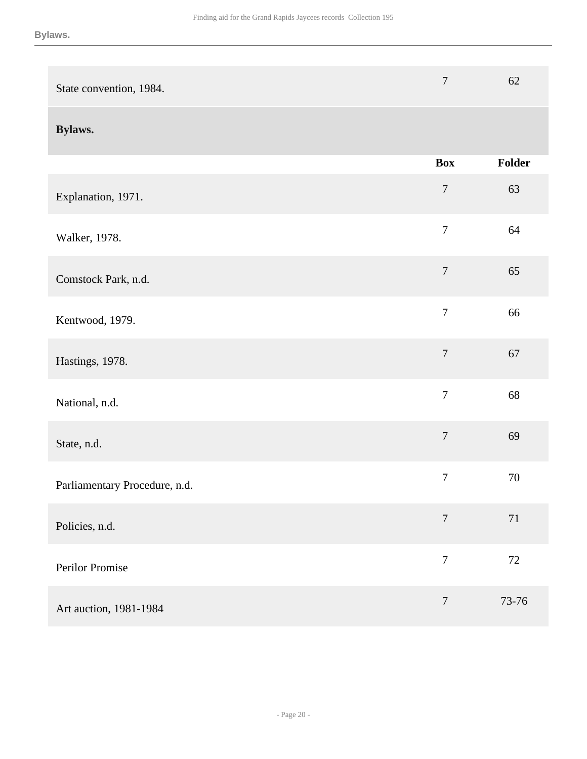| State convention, 1984.       | $\overline{7}$   | 62     |
|-------------------------------|------------------|--------|
| Bylaws.                       |                  |        |
|                               | <b>Box</b>       | Folder |
| Explanation, 1971.            | $\overline{7}$   | 63     |
| Walker, 1978.                 | $\overline{7}$   | 64     |
| Comstock Park, n.d.           | $\boldsymbol{7}$ | 65     |
| Kentwood, 1979.               | $\overline{7}$   | 66     |
| Hastings, 1978.               | $\boldsymbol{7}$ | 67     |
| National, n.d.                | $\overline{7}$   | 68     |
| State, n.d.                   | $\overline{7}$   | 69     |
| Parliamentary Procedure, n.d. | $\boldsymbol{7}$ | 70     |
| Policies, n.d.                | $\boldsymbol{7}$ | 71     |
| Perilor Promise               | $\overline{7}$   | $72\,$ |
| Art auction, 1981-1984        | $\boldsymbol{7}$ | 73-76  |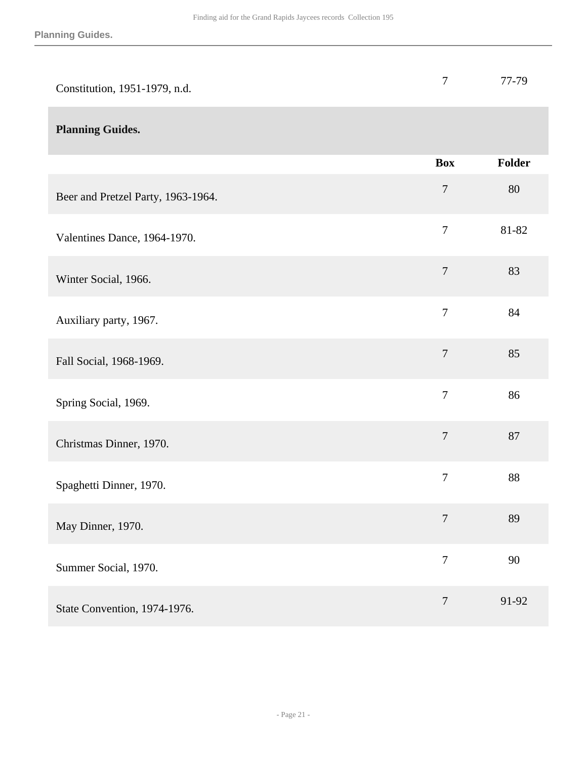**Planning Guides.**

| Constitution, 1951-1979, n.d.      | $\overline{7}$   | 77-79         |
|------------------------------------|------------------|---------------|
| <b>Planning Guides.</b>            |                  |               |
|                                    | <b>Box</b>       | <b>Folder</b> |
| Beer and Pretzel Party, 1963-1964. | $\overline{7}$   | 80            |
| Valentines Dance, 1964-1970.       | $\boldsymbol{7}$ | 81-82         |
| Winter Social, 1966.               | $\boldsymbol{7}$ | 83            |
| Auxiliary party, 1967.             | $\overline{7}$   | 84            |
| Fall Social, 1968-1969.            | $\boldsymbol{7}$ | 85            |
| Spring Social, 1969.               | $\overline{7}$   | 86            |
| Christmas Dinner, 1970.            | $\boldsymbol{7}$ | 87            |
| Spaghetti Dinner, 1970.            | $\boldsymbol{7}$ | 88            |
| May Dinner, 1970.                  | $\overline{7}$   | 89            |
| Summer Social, 1970.               | $\overline{7}$   | 90            |
| State Convention, 1974-1976.       | $\tau$           | 91-92         |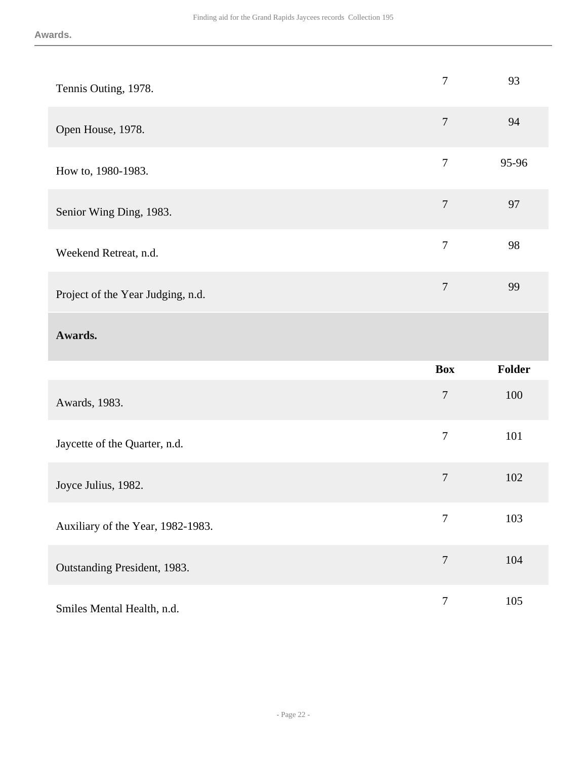| Tennis Outing, 1978.              | $\overline{7}$ | 93     |
|-----------------------------------|----------------|--------|
| Open House, 1978.                 | $\overline{7}$ | 94     |
| How to, 1980-1983.                | $\overline{7}$ | 95-96  |
| Senior Wing Ding, 1983.           | $\overline{7}$ | 97     |
| Weekend Retreat, n.d.             | $\overline{7}$ | 98     |
| Project of the Year Judging, n.d. | $\overline{7}$ | 99     |
| Awards.                           |                |        |
|                                   |                |        |
|                                   | <b>Box</b>     | Folder |
| Awards, 1983.                     | $\tau$         | 100    |
| Jaycette of the Quarter, n.d.     | $\overline{7}$ | 101    |
| Joyce Julius, 1982.               | $\overline{7}$ | 102    |
| Auxiliary of the Year, 1982-1983. | $\overline{7}$ | 103    |
| Outstanding President, 1983.      | $\tau$         | 104    |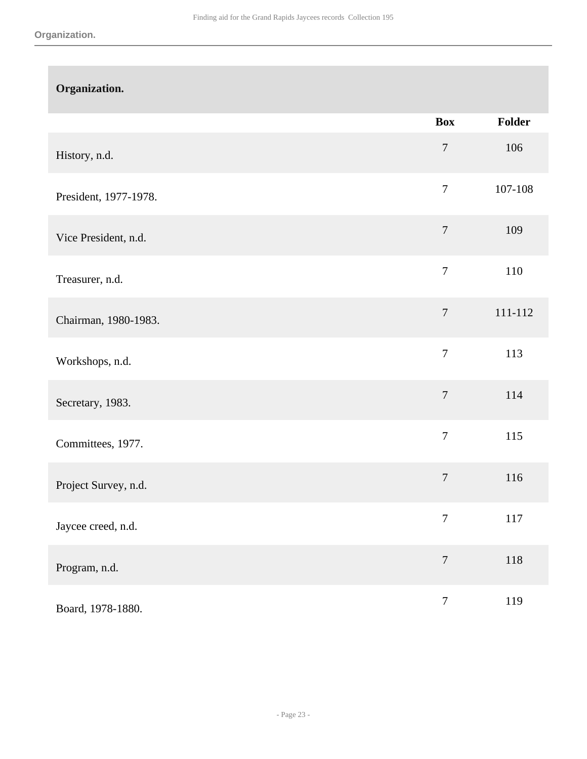| Organization.         |                  |               |
|-----------------------|------------------|---------------|
|                       | <b>Box</b>       | <b>Folder</b> |
| History, n.d.         | $\boldsymbol{7}$ | 106           |
| President, 1977-1978. | $\overline{7}$   | 107-108       |
| Vice President, n.d.  | $\overline{7}$   | 109           |
| Treasurer, n.d.       | $\tau$           | 110           |
| Chairman, 1980-1983.  | $\overline{7}$   | 111-112       |
| Workshops, n.d.       | $\overline{7}$   | 113           |
| Secretary, 1983.      | $\overline{7}$   | 114           |
| Committees, 1977.     | $\overline{7}$   | 115           |
| Project Survey, n.d.  | $\boldsymbol{7}$ | 116           |
| Jaycee creed, n.d.    | $\boldsymbol{7}$ | 117           |
| Program, n.d.         | $\overline{7}$   | 118           |
| Board, 1978-1880.     | $\boldsymbol{7}$ | 119           |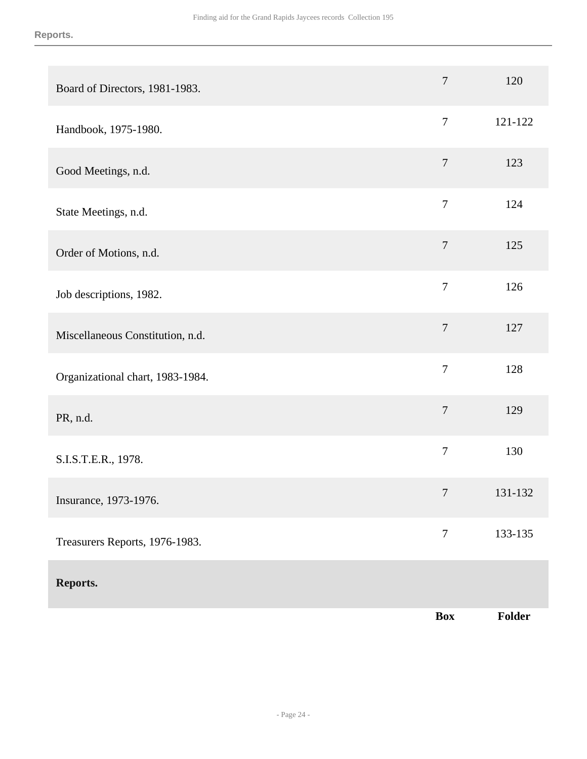| Board of Directors, 1981-1983.   | $\tau$         | 120     |
|----------------------------------|----------------|---------|
| Handbook, 1975-1980.             | $\overline{7}$ | 121-122 |
| Good Meetings, n.d.              | $\overline{7}$ | 123     |
| State Meetings, n.d.             | $\overline{7}$ | 124     |
| Order of Motions, n.d.           | $\overline{7}$ | 125     |
| Job descriptions, 1982.          | $\overline{7}$ | 126     |
| Miscellaneous Constitution, n.d. | $\tau$         | 127     |
| Organizational chart, 1983-1984. | $\overline{7}$ | 128     |
| PR, n.d.                         | $\overline{7}$ | 129     |
| S.I.S.T.E.R., 1978.              | $\overline{7}$ | 130     |
| Insurance, 1973-1976.            | $\overline{7}$ | 131-132 |
| Treasurers Reports, 1976-1983.   | $\tau$         | 133-135 |
| Reports.                         |                |         |
|                                  | <b>Box</b>     | Folder  |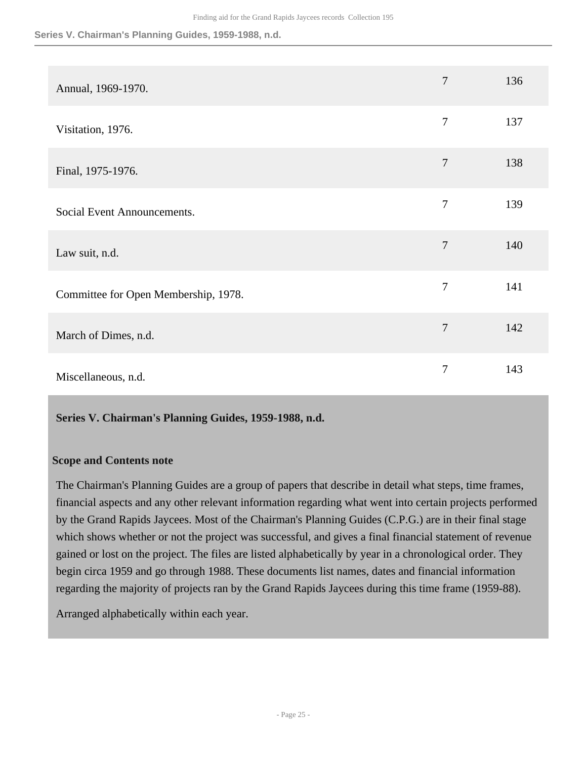| Annual, 1969-1970.                   | $\overline{7}$ | 136 |
|--------------------------------------|----------------|-----|
| Visitation, 1976.                    | $\overline{7}$ | 137 |
| Final, 1975-1976.                    | $\overline{7}$ | 138 |
| Social Event Announcements.          | $\overline{7}$ | 139 |
| Law suit, n.d.                       | $\overline{7}$ | 140 |
| Committee for Open Membership, 1978. | $\overline{7}$ | 141 |
| March of Dimes, n.d.                 | $\overline{7}$ | 142 |
| Miscellaneous, n.d.                  | 7              | 143 |

#### <span id="page-24-0"></span>**Series V. Chairman's Planning Guides, 1959-1988, n.d.**

#### **Scope and Contents note**

The Chairman's Planning Guides are a group of papers that describe in detail what steps, time frames, financial aspects and any other relevant information regarding what went into certain projects performed by the Grand Rapids Jaycees. Most of the Chairman's Planning Guides (C.P.G.) are in their final stage which shows whether or not the project was successful, and gives a final financial statement of revenue gained or lost on the project. The files are listed alphabetically by year in a chronological order. They begin circa 1959 and go through 1988. These documents list names, dates and financial information regarding the majority of projects ran by the Grand Rapids Jaycees during this time frame (1959-88).

Arranged alphabetically within each year.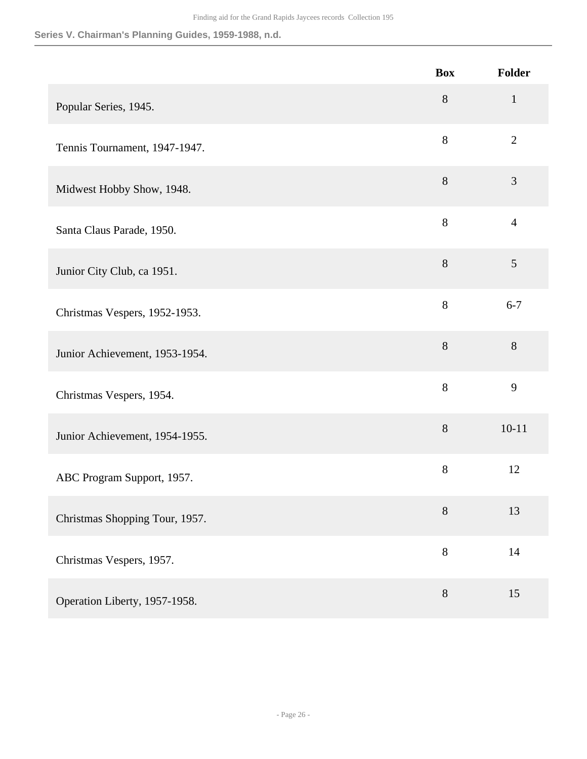|                                | <b>Box</b> | Folder         |
|--------------------------------|------------|----------------|
| Popular Series, 1945.          | $8\,$      | $\mathbf{1}$   |
| Tennis Tournament, 1947-1947.  | 8          | $\overline{2}$ |
| Midwest Hobby Show, 1948.      | 8          | 3              |
| Santa Claus Parade, 1950.      | 8          | $\overline{4}$ |
| Junior City Club, ca 1951.     | 8          | 5              |
| Christmas Vespers, 1952-1953.  | 8          | $6 - 7$        |
| Junior Achievement, 1953-1954. | 8          | $8\,$          |
| Christmas Vespers, 1954.       | 8          | 9              |
| Junior Achievement, 1954-1955. | $8\,$      | $10 - 11$      |
| ABC Program Support, 1957.     | 8          | 12             |
| Christmas Shopping Tour, 1957. | $8\,$      | 13             |
| Christmas Vespers, 1957.       | 8          | 14             |
| Operation Liberty, 1957-1958.  | $8\,$      | 15             |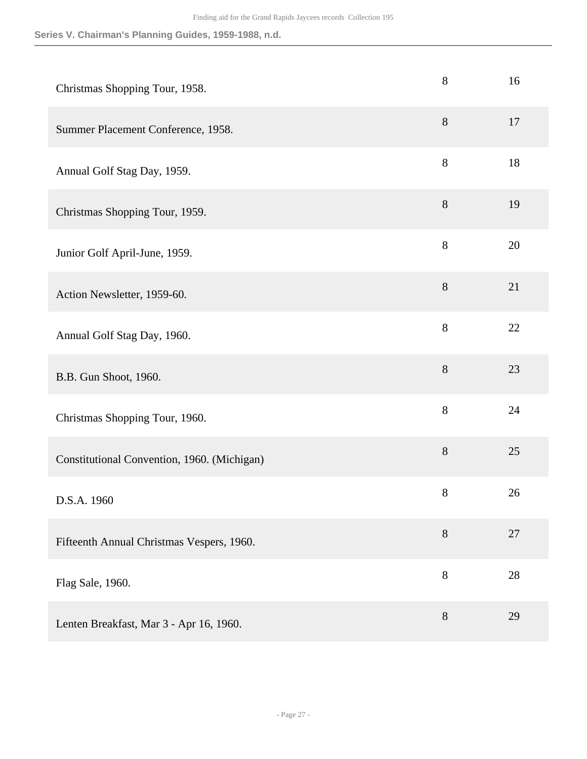| Christmas Shopping Tour, 1958.              | $8\,$          | 16 |
|---------------------------------------------|----------------|----|
| Summer Placement Conference, 1958.          | $8\,$          | 17 |
| Annual Golf Stag Day, 1959.                 | $8\,$          | 18 |
| Christmas Shopping Tour, 1959.              | $8\,$          | 19 |
| Junior Golf April-June, 1959.               | 8              | 20 |
| Action Newsletter, 1959-60.                 | 8              | 21 |
| Annual Golf Stag Day, 1960.                 | $8\,$          | 22 |
| B.B. Gun Shoot, 1960.                       | $8\,$          | 23 |
| Christmas Shopping Tour, 1960.              | 8              | 24 |
| Constitutional Convention, 1960. (Michigan) | $8\,$          | 25 |
| D.S.A. 1960                                 | $8\,$          | 26 |
| Fifteenth Annual Christmas Vespers, 1960.   | 8              | 27 |
| Flag Sale, 1960.                            | $8\,$          | 28 |
| Lenten Breakfast, Mar 3 - Apr 16, 1960.     | $8\phantom{1}$ | 29 |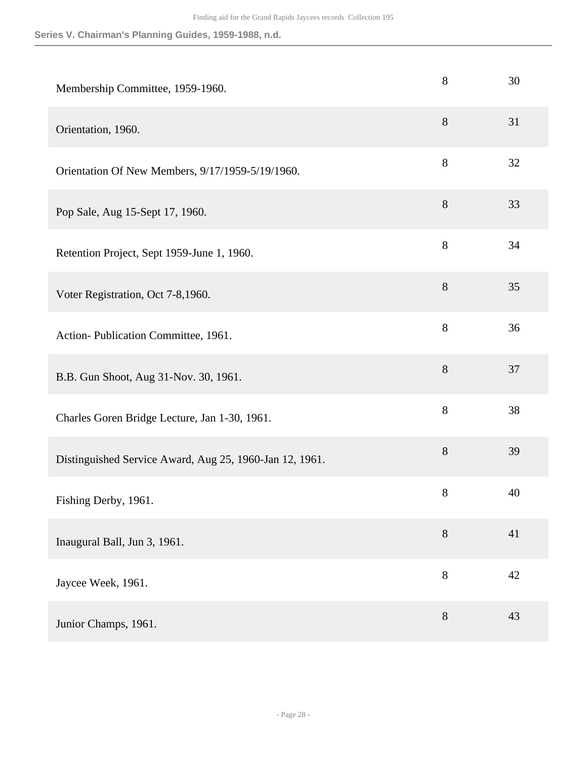| Membership Committee, 1959-1960.                        | 8     | 30 |
|---------------------------------------------------------|-------|----|
| Orientation, 1960.                                      | $8\,$ | 31 |
| Orientation Of New Members, 9/17/1959-5/19/1960.        | $8\,$ | 32 |
| Pop Sale, Aug 15-Sept 17, 1960.                         | $8\,$ | 33 |
| Retention Project, Sept 1959-June 1, 1960.              | 8     | 34 |
| Voter Registration, Oct 7-8,1960.                       | $8\,$ | 35 |
| Action-Publication Committee, 1961.                     | 8     | 36 |
| B.B. Gun Shoot, Aug 31-Nov. 30, 1961.                   | $8\,$ | 37 |
| Charles Goren Bridge Lecture, Jan 1-30, 1961.           | $8\,$ | 38 |
| Distinguished Service Award, Aug 25, 1960-Jan 12, 1961. | 8     | 39 |
| Fishing Derby, 1961.                                    | $8\,$ | 40 |
| Inaugural Ball, Jun 3, 1961.                            | 8     | 41 |
| Jaycee Week, 1961.                                      | 8     | 42 |
| Junior Champs, 1961.                                    | $8\,$ | 43 |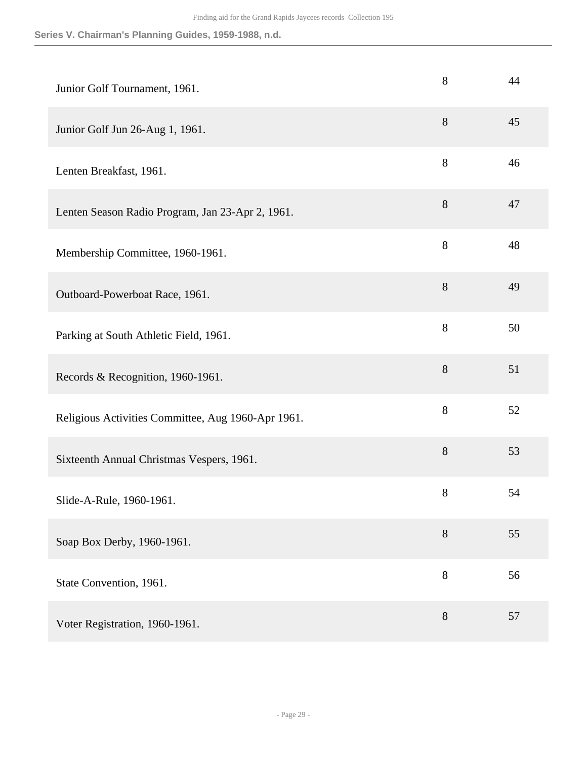| Junior Golf Tournament, 1961.                      | 8     | 44 |
|----------------------------------------------------|-------|----|
| Junior Golf Jun 26-Aug 1, 1961.                    | $8\,$ | 45 |
| Lenten Breakfast, 1961.                            | $8\,$ | 46 |
| Lenten Season Radio Program, Jan 23-Apr 2, 1961.   | 8     | 47 |
| Membership Committee, 1960-1961.                   | 8     | 48 |
| Outboard-Powerboat Race, 1961.                     | $8\,$ | 49 |
| Parking at South Athletic Field, 1961.             | 8     | 50 |
| Records & Recognition, 1960-1961.                  | $8\,$ | 51 |
| Religious Activities Committee, Aug 1960-Apr 1961. | $8\,$ | 52 |
| Sixteenth Annual Christmas Vespers, 1961.          | $8\,$ | 53 |
| Slide-A-Rule, 1960-1961.                           | $8\,$ | 54 |
| Soap Box Derby, 1960-1961.                         | $8\,$ | 55 |
| State Convention, 1961.                            | 8     | 56 |
| Voter Registration, 1960-1961.                     | $8\,$ | 57 |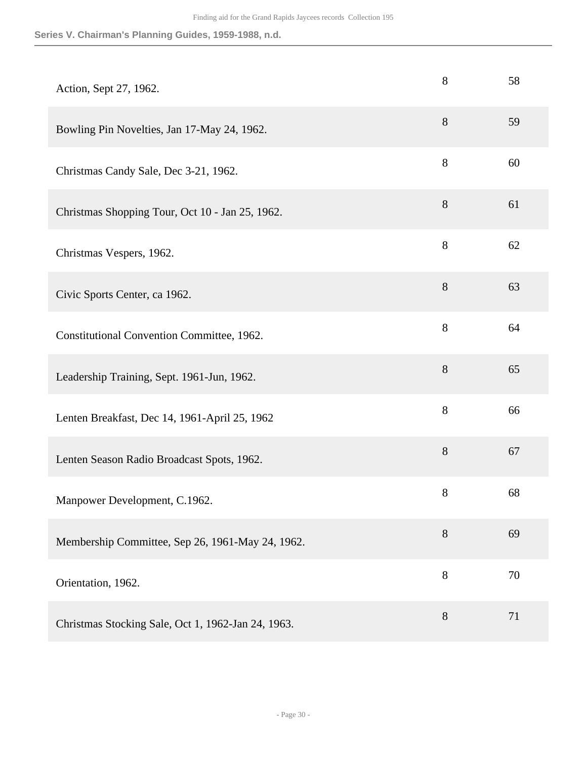| Action, Sept 27, 1962.                             | 8     | 58 |
|----------------------------------------------------|-------|----|
| Bowling Pin Novelties, Jan 17-May 24, 1962.        | $8\,$ | 59 |
| Christmas Candy Sale, Dec 3-21, 1962.              | $8\,$ | 60 |
| Christmas Shopping Tour, Oct 10 - Jan 25, 1962.    | $8\,$ | 61 |
| Christmas Vespers, 1962.                           | 8     | 62 |
| Civic Sports Center, ca 1962.                      | $8\,$ | 63 |
| Constitutional Convention Committee, 1962.         | $8\,$ | 64 |
| Leadership Training, Sept. 1961-Jun, 1962.         | 8     | 65 |
| Lenten Breakfast, Dec 14, 1961-April 25, 1962      | $8\,$ | 66 |
| Lenten Season Radio Broadcast Spots, 1962.         | $8\,$ | 67 |
| Manpower Development, C.1962.                      | 8     | 68 |
| Membership Committee, Sep 26, 1961-May 24, 1962.   | $8\,$ | 69 |
| Orientation, 1962.                                 | $8\,$ | 70 |
| Christmas Stocking Sale, Oct 1, 1962-Jan 24, 1963. | $8\,$ | 71 |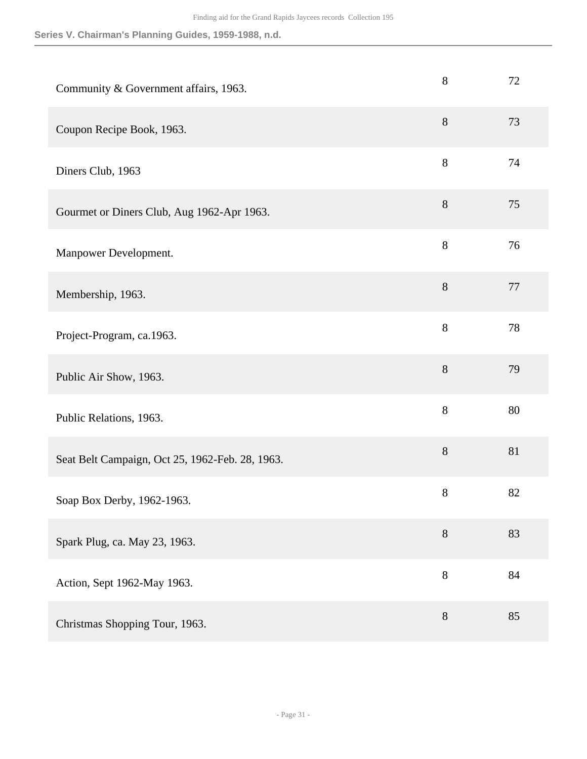| Community & Government affairs, 1963.           | 8       | 72 |
|-------------------------------------------------|---------|----|
| Coupon Recipe Book, 1963.                       | $8\,$   | 73 |
| Diners Club, 1963                               | $\,8\,$ | 74 |
| Gourmet or Diners Club, Aug 1962-Apr 1963.      | $8\,$   | 75 |
| Manpower Development.                           | 8       | 76 |
| Membership, 1963.                               | $8\,$   | 77 |
| Project-Program, ca.1963.                       | 8       | 78 |
| Public Air Show, 1963.                          | $8\,$   | 79 |
| Public Relations, 1963.                         | $8\,$   | 80 |
| Seat Belt Campaign, Oct 25, 1962-Feb. 28, 1963. | 8       | 81 |
| Soap Box Derby, 1962-1963.                      | $8\,$   | 82 |
| Spark Plug, ca. May 23, 1963.                   | $8\,$   | 83 |
| Action, Sept 1962-May 1963.                     | 8       | 84 |
| Christmas Shopping Tour, 1963.                  | $8\,$   | 85 |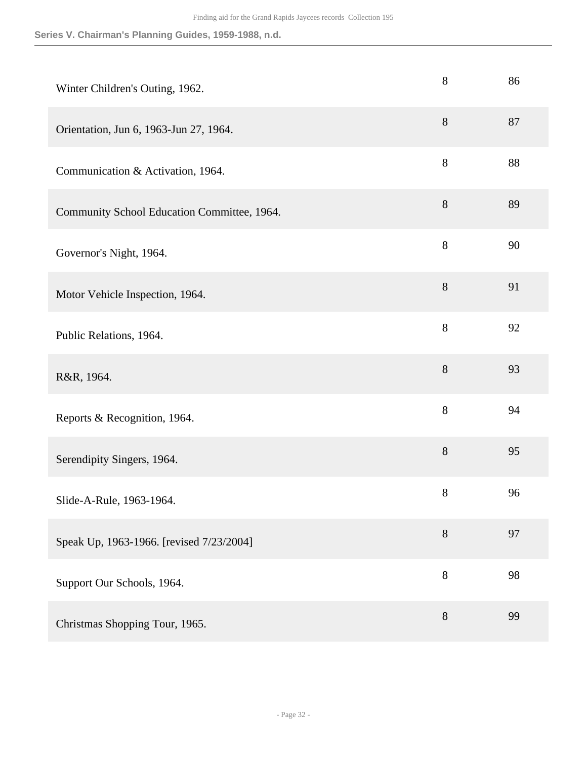| Winter Children's Outing, 1962.             | $8\,$ | 86 |
|---------------------------------------------|-------|----|
| Orientation, Jun 6, 1963-Jun 27, 1964.      | $8\,$ | 87 |
| Communication & Activation, 1964.           | $8\,$ | 88 |
| Community School Education Committee, 1964. | $8\,$ | 89 |
| Governor's Night, 1964.                     | 8     | 90 |
| Motor Vehicle Inspection, 1964.             | 8     | 91 |
| Public Relations, 1964.                     | 8     | 92 |
| R&R, 1964.                                  | $8\,$ | 93 |
| Reports & Recognition, 1964.                | $8\,$ | 94 |
| Serendipity Singers, 1964.                  | 8     | 95 |
| Slide-A-Rule, 1963-1964.                    | $8\,$ | 96 |
| Speak Up, 1963-1966. [revised 7/23/2004]    | 8     | 97 |
| Support Our Schools, 1964.                  | 8     | 98 |
| Christmas Shopping Tour, 1965.              | $8\,$ | 99 |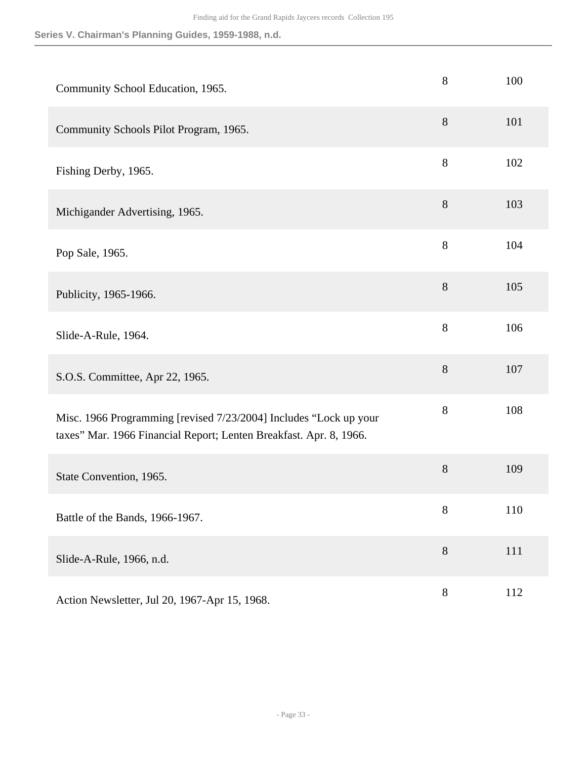| Community School Education, 1965.                                                                                                       | 8     | 100 |
|-----------------------------------------------------------------------------------------------------------------------------------------|-------|-----|
| Community Schools Pilot Program, 1965.                                                                                                  | 8     | 101 |
| Fishing Derby, 1965.                                                                                                                    | 8     | 102 |
| Michigander Advertising, 1965.                                                                                                          | 8     | 103 |
| Pop Sale, 1965.                                                                                                                         | 8     | 104 |
| Publicity, 1965-1966.                                                                                                                   | 8     | 105 |
| Slide-A-Rule, 1964.                                                                                                                     | 8     | 106 |
| S.O.S. Committee, Apr 22, 1965.                                                                                                         | 8     | 107 |
| Misc. 1966 Programming [revised 7/23/2004] Includes "Lock up your<br>taxes" Mar. 1966 Financial Report; Lenten Breakfast. Apr. 8, 1966. | 8     | 108 |
| State Convention, 1965.                                                                                                                 | 8     | 109 |
| Battle of the Bands, 1966-1967.                                                                                                         | 8     | 110 |
| Slide-A-Rule, 1966, n.d.                                                                                                                | $8\,$ | 111 |
| Action Newsletter, Jul 20, 1967-Apr 15, 1968.                                                                                           | $8\,$ | 112 |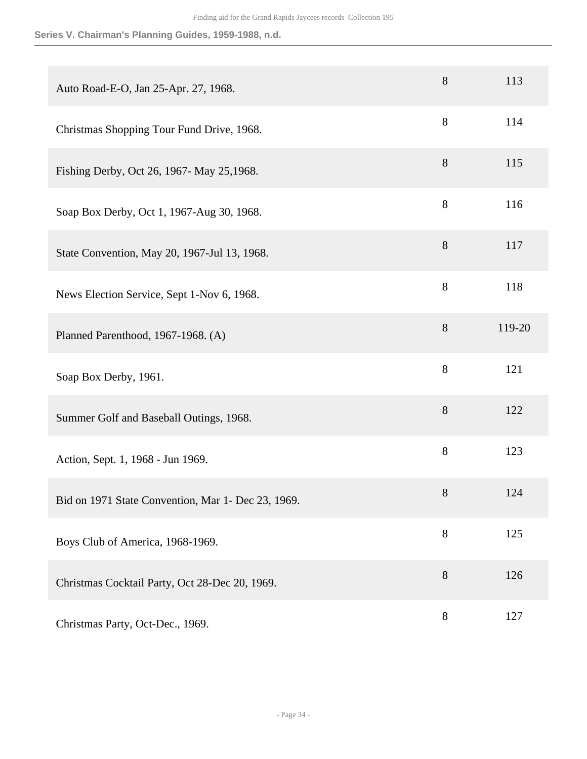| Auto Road-E-O, Jan 25-Apr. 27, 1968.               | 8     | 113    |
|----------------------------------------------------|-------|--------|
| Christmas Shopping Tour Fund Drive, 1968.          | 8     | 114    |
| Fishing Derby, Oct 26, 1967- May 25, 1968.         | 8     | 115    |
| Soap Box Derby, Oct 1, 1967-Aug 30, 1968.          | 8     | 116    |
| State Convention, May 20, 1967-Jul 13, 1968.       | 8     | 117    |
| News Election Service, Sept 1-Nov 6, 1968.         | 8     | 118    |
| Planned Parenthood, 1967-1968. (A)                 | 8     | 119-20 |
| Soap Box Derby, 1961.                              | 8     | 121    |
| Summer Golf and Baseball Outings, 1968.            | 8     | 122    |
| Action, Sept. 1, 1968 - Jun 1969.                  | $8\,$ | 123    |
| Bid on 1971 State Convention, Mar 1- Dec 23, 1969. | 8     | 124    |
| Boys Club of America, 1968-1969.                   | 8     | 125    |
| Christmas Cocktail Party, Oct 28-Dec 20, 1969.     | $8\,$ | 126    |
| Christmas Party, Oct-Dec., 1969.                   | $8\,$ | 127    |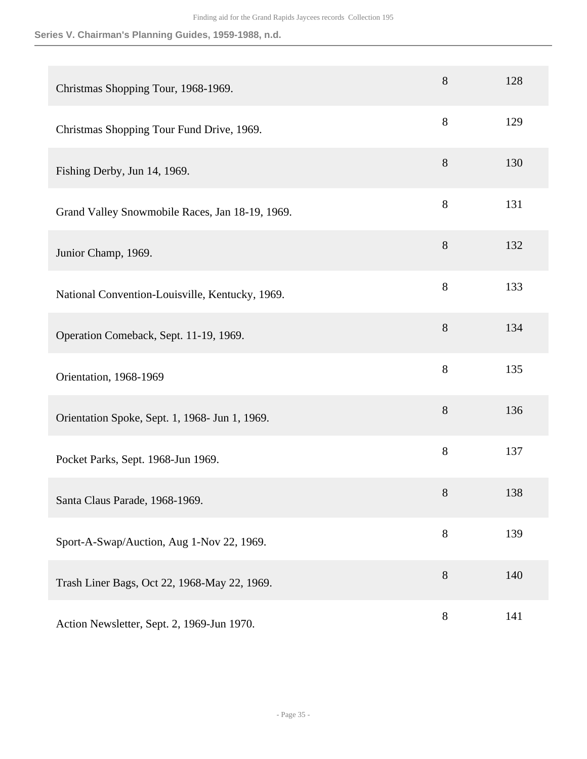| Christmas Shopping Tour, 1968-1969.             | 8     | 128 |
|-------------------------------------------------|-------|-----|
| Christmas Shopping Tour Fund Drive, 1969.       | 8     | 129 |
| Fishing Derby, Jun 14, 1969.                    | 8     | 130 |
| Grand Valley Snowmobile Races, Jan 18-19, 1969. | 8     | 131 |
| Junior Champ, 1969.                             | 8     | 132 |
| National Convention-Louisville, Kentucky, 1969. | 8     | 133 |
| Operation Comeback, Sept. 11-19, 1969.          | 8     | 134 |
| Orientation, 1968-1969                          | 8     | 135 |
| Orientation Spoke, Sept. 1, 1968- Jun 1, 1969.  | 8     | 136 |
| Pocket Parks, Sept. 1968-Jun 1969.              | 8     | 137 |
| Santa Claus Parade, 1968-1969.                  | $8\,$ | 138 |
| Sport-A-Swap/Auction, Aug 1-Nov 22, 1969.       | 8     | 139 |
| Trash Liner Bags, Oct 22, 1968-May 22, 1969.    | 8     | 140 |
| Action Newsletter, Sept. 2, 1969-Jun 1970.      | $8\,$ | 141 |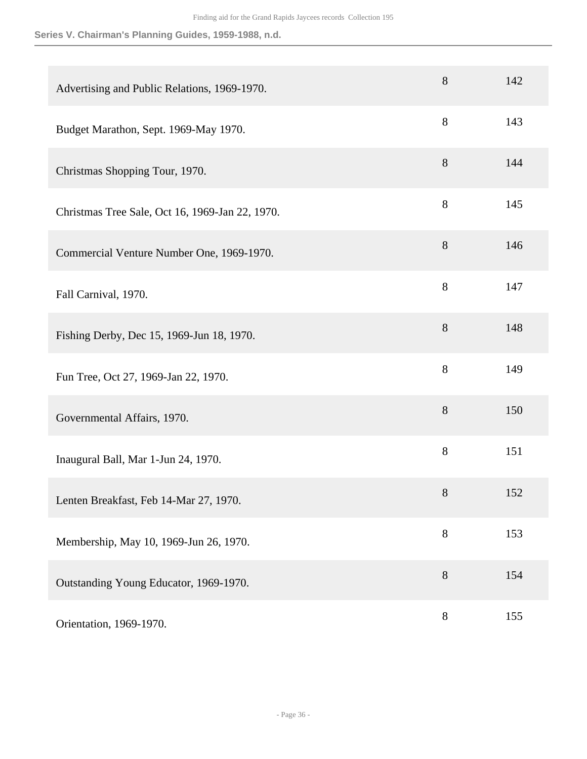| Advertising and Public Relations, 1969-1970.    | 8     | 142 |
|-------------------------------------------------|-------|-----|
| Budget Marathon, Sept. 1969-May 1970.           | $8\,$ | 143 |
| Christmas Shopping Tour, 1970.                  | $8\,$ | 144 |
| Christmas Tree Sale, Oct 16, 1969-Jan 22, 1970. | $8\,$ | 145 |
| Commercial Venture Number One, 1969-1970.       | 8     | 146 |
| Fall Carnival, 1970.                            | 8     | 147 |
| Fishing Derby, Dec 15, 1969-Jun 18, 1970.       | 8     | 148 |
| Fun Tree, Oct 27, 1969-Jan 22, 1970.            | 8     | 149 |
| Governmental Affairs, 1970.                     | 8     | 150 |
| Inaugural Ball, Mar 1-Jun 24, 1970.             | $8\,$ | 151 |
| Lenten Breakfast, Feb 14-Mar 27, 1970.          | $8\,$ | 152 |
| Membership, May 10, 1969-Jun 26, 1970.          | $8\,$ | 153 |
| Outstanding Young Educator, 1969-1970.          | $8\,$ | 154 |
| Orientation, 1969-1970.                         | $8\,$ | 155 |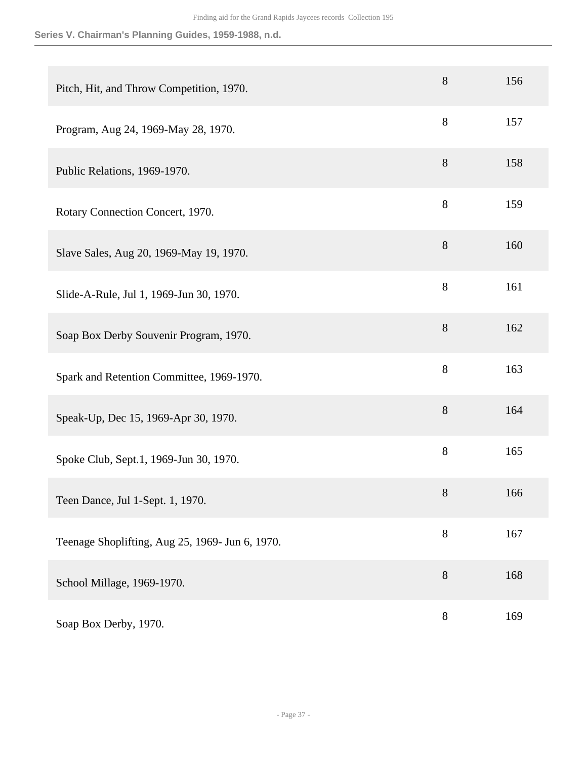| Pitch, Hit, and Throw Competition, 1970.        | 8     | 156 |
|-------------------------------------------------|-------|-----|
| Program, Aug 24, 1969-May 28, 1970.             | 8     | 157 |
| Public Relations, 1969-1970.                    | 8     | 158 |
| Rotary Connection Concert, 1970.                | 8     | 159 |
| Slave Sales, Aug 20, 1969-May 19, 1970.         | 8     | 160 |
| Slide-A-Rule, Jul 1, 1969-Jun 30, 1970.         | 8     | 161 |
| Soap Box Derby Souvenir Program, 1970.          | 8     | 162 |
| Spark and Retention Committee, 1969-1970.       | 8     | 163 |
| Speak-Up, Dec 15, 1969-Apr 30, 1970.            | 8     | 164 |
| Spoke Club, Sept.1, 1969-Jun 30, 1970.          | $8\,$ | 165 |
| Teen Dance, Jul 1-Sept. 1, 1970.                | 8     | 166 |
| Teenage Shoplifting, Aug 25, 1969- Jun 6, 1970. | $8\,$ | 167 |
| School Millage, 1969-1970.                      | $8\,$ | 168 |
| Soap Box Derby, 1970.                           | $8\,$ | 169 |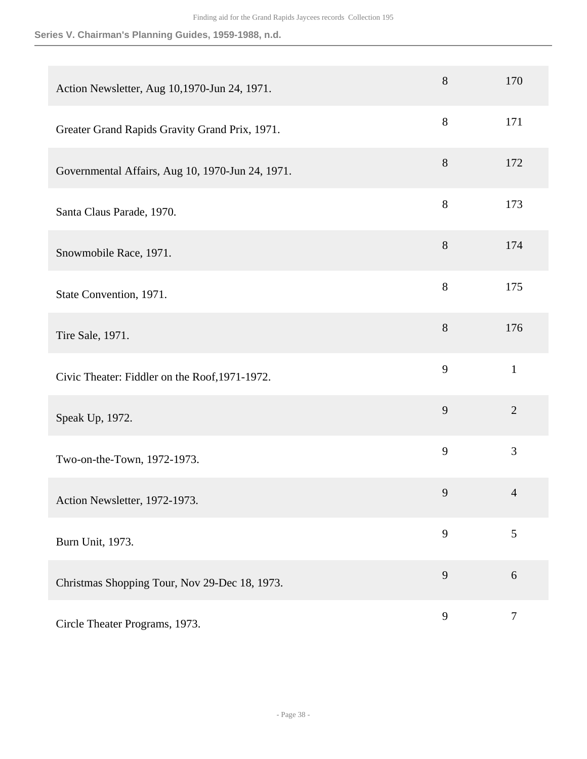| Action Newsletter, Aug 10,1970-Jun 24, 1971.     | $8\,$ | 170            |
|--------------------------------------------------|-------|----------------|
| Greater Grand Rapids Gravity Grand Prix, 1971.   | $8\,$ | 171            |
| Governmental Affairs, Aug 10, 1970-Jun 24, 1971. | $8\,$ | 172            |
| Santa Claus Parade, 1970.                        | $8\,$ | 173            |
| Snowmobile Race, 1971.                           | 8     | 174            |
| State Convention, 1971.                          | 8     | 175            |
| Tire Sale, 1971.                                 | $8\,$ | 176            |
| Civic Theater: Fiddler on the Roof, 1971-1972.   | 9     | $\mathbf{1}$   |
| Speak Up, 1972.                                  | 9     | $\overline{2}$ |
| Two-on-the-Town, 1972-1973.                      | 9     | 3              |
| Action Newsletter, 1972-1973.                    | 9     | $\Delta$       |
| Burn Unit, 1973.                                 | 9     | 5              |
| Christmas Shopping Tour, Nov 29-Dec 18, 1973.    | 9     | $6\,$          |
| Circle Theater Programs, 1973.                   | 9     | $\tau$         |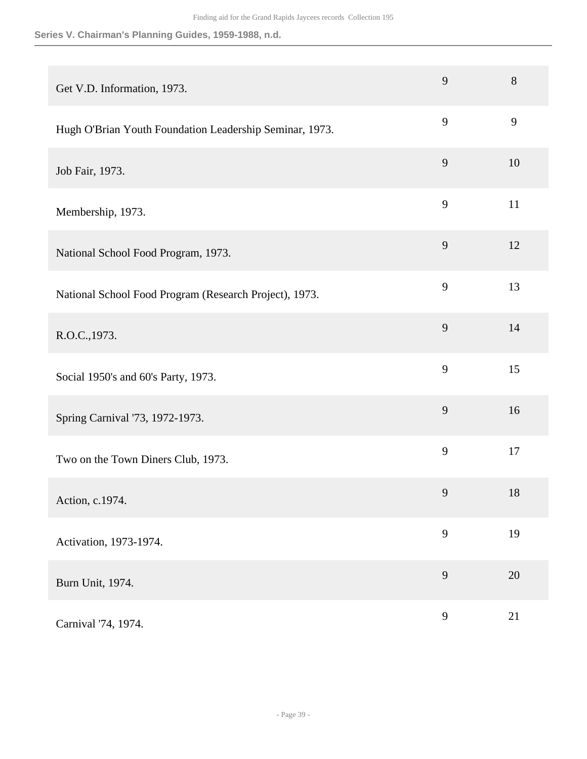| Get V.D. Information, 1973.                             | 9              | 8  |
|---------------------------------------------------------|----------------|----|
| Hugh O'Brian Youth Foundation Leadership Seminar, 1973. | 9              | 9  |
| Job Fair, 1973.                                         | 9              | 10 |
| Membership, 1973.                                       | 9              | 11 |
| National School Food Program, 1973.                     | 9              | 12 |
| National School Food Program (Research Project), 1973.  | 9              | 13 |
| R.O.C., 1973.                                           | 9              | 14 |
| Social 1950's and 60's Party, 1973.                     | 9              | 15 |
| Spring Carnival '73, 1972-1973.                         | 9              | 16 |
| Two on the Town Diners Club, 1973.                      | 9              | 17 |
| Action, c.1974.                                         | $\overline{9}$ | 18 |
| Activation, 1973-1974.                                  | 9              | 19 |
| Burn Unit, 1974.                                        | 9              | 20 |
| Carnival '74, 1974.                                     | 9              | 21 |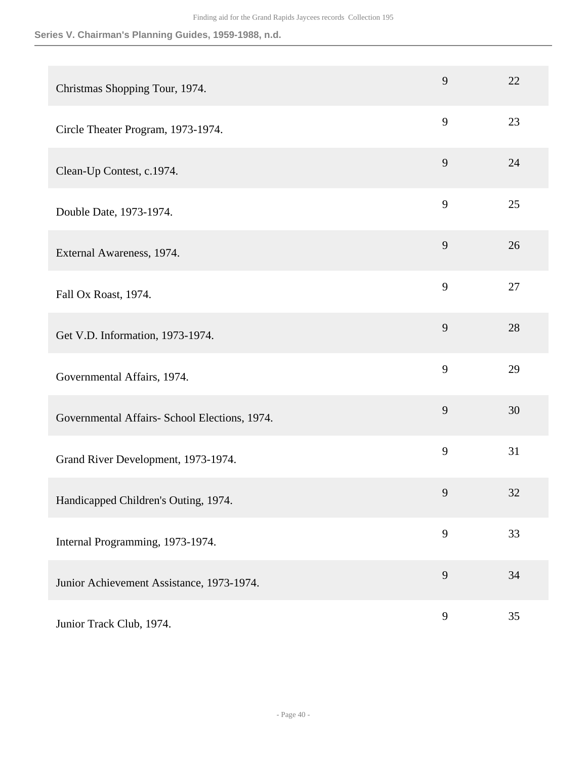|                                               | 9 | 22 |
|-----------------------------------------------|---|----|
| Christmas Shopping Tour, 1974.                |   |    |
| Circle Theater Program, 1973-1974.            | 9 | 23 |
| Clean-Up Contest, c.1974.                     | 9 | 24 |
| Double Date, 1973-1974.                       | 9 | 25 |
| External Awareness, 1974.                     | 9 | 26 |
| Fall Ox Roast, 1974.                          | 9 | 27 |
| Get V.D. Information, 1973-1974.              | 9 | 28 |
| Governmental Affairs, 1974.                   | 9 | 29 |
| Governmental Affairs- School Elections, 1974. | 9 | 30 |
| Grand River Development, 1973-1974.           | 9 | 31 |
| Handicapped Children's Outing, 1974.          | 9 | 32 |
| Internal Programming, 1973-1974.              | 9 | 33 |
| Junior Achievement Assistance, 1973-1974.     | 9 | 34 |
| Junior Track Club, 1974.                      | 9 | 35 |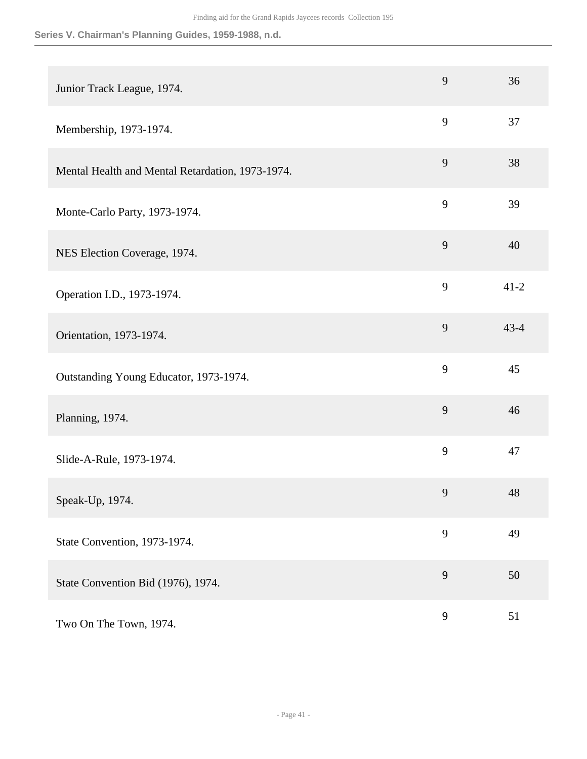| Junior Track League, 1974.                       | 9 | 36       |
|--------------------------------------------------|---|----------|
| Membership, 1973-1974.                           | 9 | 37       |
| Mental Health and Mental Retardation, 1973-1974. | 9 | 38       |
| Monte-Carlo Party, 1973-1974.                    | 9 | 39       |
| NES Election Coverage, 1974.                     | 9 | 40       |
| Operation I.D., 1973-1974.                       | 9 | $41 - 2$ |
| Orientation, 1973-1974.                          | 9 | $43 - 4$ |
| Outstanding Young Educator, 1973-1974.           | 9 | 45       |
| Planning, 1974.                                  | 9 | 46       |
| Slide-A-Rule, 1973-1974.                         | 9 | 47       |
| Speak-Up, 1974.                                  | 9 | 48       |
| State Convention, 1973-1974.                     | 9 | 49       |
| State Convention Bid (1976), 1974.               | 9 | 50       |
| Two On The Town, 1974.                           | 9 | 51       |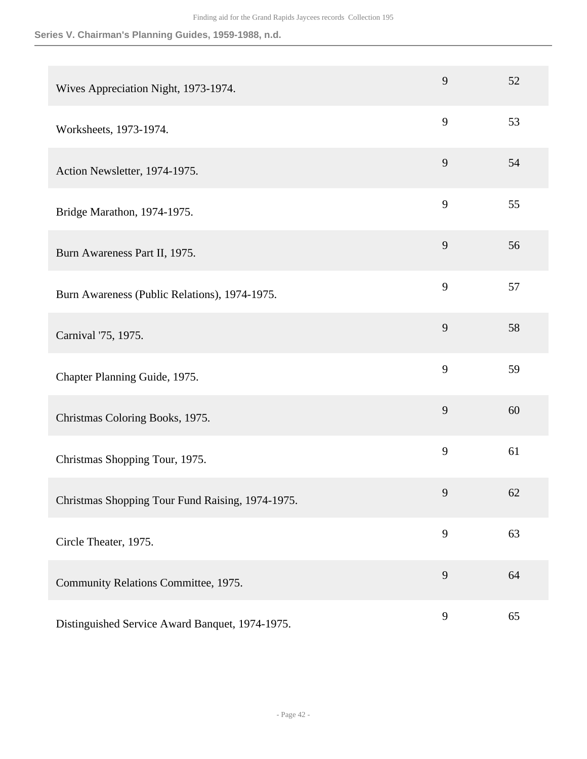| Wives Appreciation Night, 1973-1974.             | 9 | 52 |
|--------------------------------------------------|---|----|
| Worksheets, 1973-1974.                           | 9 | 53 |
| Action Newsletter, 1974-1975.                    | 9 | 54 |
| Bridge Marathon, 1974-1975.                      | 9 | 55 |
| Burn Awareness Part II, 1975.                    | 9 | 56 |
| Burn Awareness (Public Relations), 1974-1975.    | 9 | 57 |
| Carnival '75, 1975.                              | 9 | 58 |
| Chapter Planning Guide, 1975.                    | 9 | 59 |
| Christmas Coloring Books, 1975.                  | 9 | 60 |
| Christmas Shopping Tour, 1975.                   | 9 | 61 |
| Christmas Shopping Tour Fund Raising, 1974-1975. | 9 | 62 |
| Circle Theater, 1975.                            | 9 | 63 |
| Community Relations Committee, 1975.             | 9 | 64 |
| Distinguished Service Award Banquet, 1974-1975.  | 9 | 65 |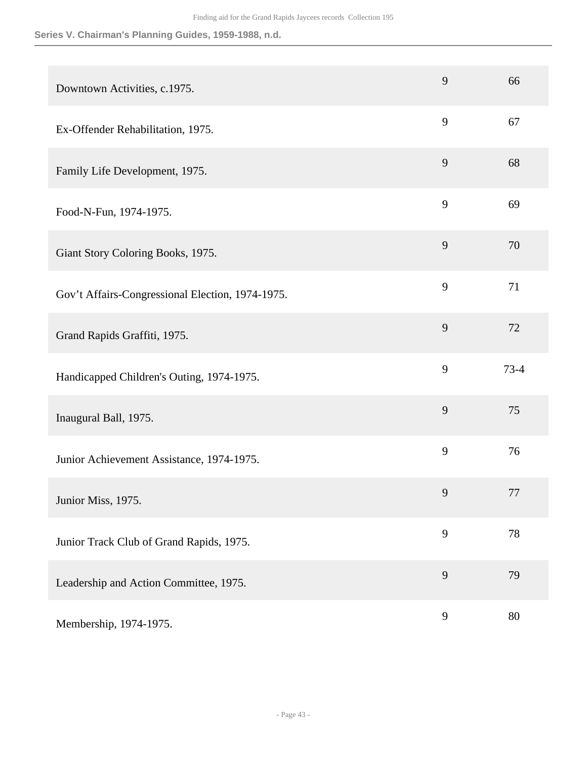| Downtown Activities, c.1975.                     | 9 | 66       |
|--------------------------------------------------|---|----------|
| Ex-Offender Rehabilitation, 1975.                | 9 | 67       |
| Family Life Development, 1975.                   | 9 | 68       |
| Food-N-Fun, 1974-1975.                           | 9 | 69       |
| Giant Story Coloring Books, 1975.                | 9 | 70       |
| Gov't Affairs-Congressional Election, 1974-1975. | 9 | 71       |
| Grand Rapids Graffiti, 1975.                     | 9 | 72       |
| Handicapped Children's Outing, 1974-1975.        | 9 | $73 - 4$ |
| Inaugural Ball, 1975.                            | 9 | 75       |
| Junior Achievement Assistance, 1974-1975.        | 9 | 76       |
| Junior Miss, 1975.                               | 9 | $77 \,$  |
| Junior Track Club of Grand Rapids, 1975.         | 9 | 78       |
| Leadership and Action Committee, 1975.           | 9 | 79       |
| Membership, 1974-1975.                           | 9 | 80       |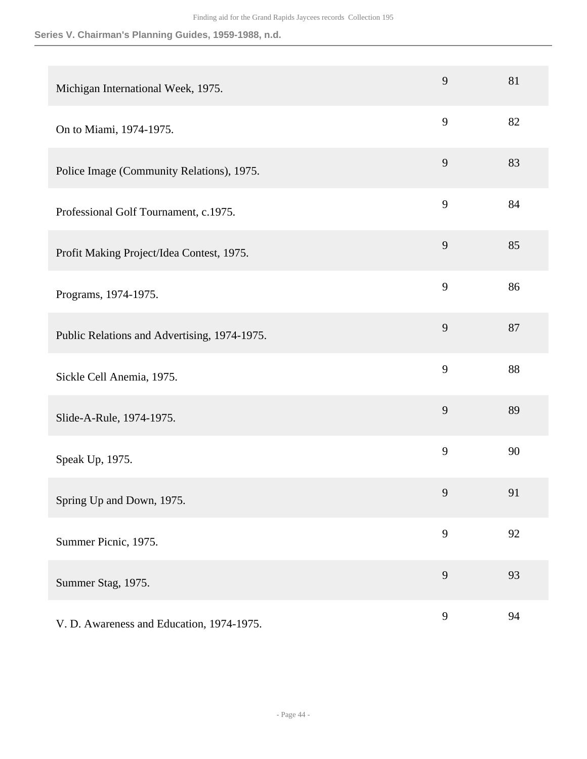| Michigan International Week, 1975.           | 9 | 81 |
|----------------------------------------------|---|----|
| On to Miami, 1974-1975.                      | 9 | 82 |
| Police Image (Community Relations), 1975.    | 9 | 83 |
| Professional Golf Tournament, c.1975.        | 9 | 84 |
| Profit Making Project/Idea Contest, 1975.    | 9 | 85 |
| Programs, 1974-1975.                         | 9 | 86 |
| Public Relations and Advertising, 1974-1975. | 9 | 87 |
| Sickle Cell Anemia, 1975.                    | 9 | 88 |
| Slide-A-Rule, 1974-1975.                     | 9 | 89 |
| Speak Up, 1975.                              | 9 | 90 |
| Spring Up and Down, 1975.                    | 9 | 91 |
| Summer Picnic, 1975.                         | 9 | 92 |
| Summer Stag, 1975.                           | 9 | 93 |
| V. D. Awareness and Education, 1974-1975.    | 9 | 94 |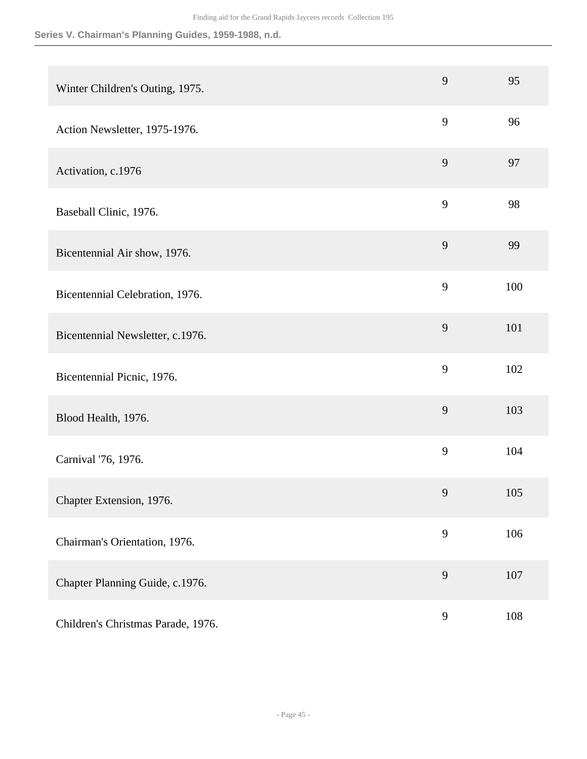|                                    | 9              | 95  |
|------------------------------------|----------------|-----|
| Winter Children's Outing, 1975.    |                |     |
| Action Newsletter, 1975-1976.      | 9              | 96  |
| Activation, c.1976                 | 9              | 97  |
| Baseball Clinic, 1976.             | 9              | 98  |
| Bicentennial Air show, 1976.       | 9              | 99  |
| Bicentennial Celebration, 1976.    | 9              | 100 |
| Bicentennial Newsletter, c.1976.   | 9              | 101 |
| Bicentennial Picnic, 1976.         | 9              | 102 |
| Blood Health, 1976.                | 9              | 103 |
| Carnival '76, 1976.                | 9              | 104 |
| Chapter Extension, 1976.           | 9              | 105 |
| Chairman's Orientation, 1976.      | 9              | 106 |
| Chapter Planning Guide, c.1976.    | 9              | 107 |
| Children's Christmas Parade, 1976. | $\overline{9}$ | 108 |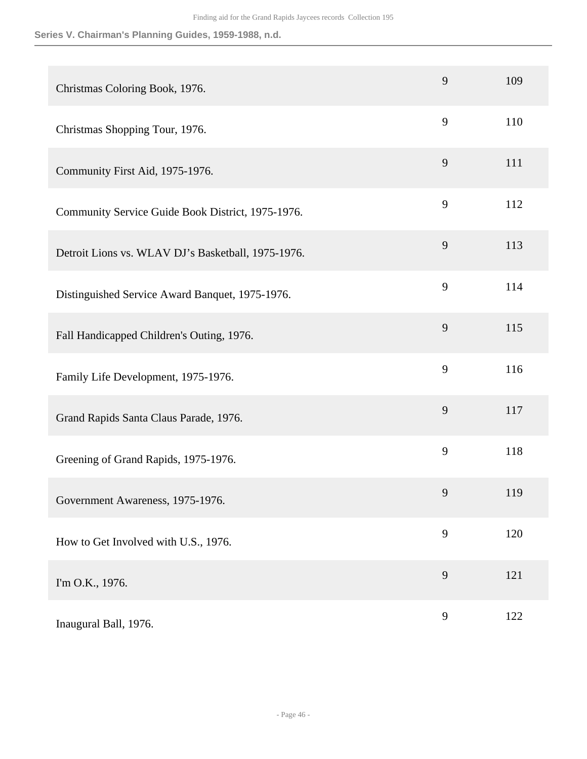| Christmas Coloring Book, 1976.                     | 9 | 109 |
|----------------------------------------------------|---|-----|
| Christmas Shopping Tour, 1976.                     | 9 | 110 |
| Community First Aid, 1975-1976.                    | 9 | 111 |
| Community Service Guide Book District, 1975-1976.  | 9 | 112 |
| Detroit Lions vs. WLAV DJ's Basketball, 1975-1976. | 9 | 113 |
| Distinguished Service Award Banquet, 1975-1976.    | 9 | 114 |
| Fall Handicapped Children's Outing, 1976.          | 9 | 115 |
| Family Life Development, 1975-1976.                | 9 | 116 |
| Grand Rapids Santa Claus Parade, 1976.             | 9 | 117 |
| Greening of Grand Rapids, 1975-1976.               | 9 | 118 |
| Government Awareness, 1975-1976.                   | 9 | 119 |
| How to Get Involved with U.S., 1976.               | 9 | 120 |
| I'm O.K., 1976.                                    | 9 | 121 |
| Inaugural Ball, 1976.                              | 9 | 122 |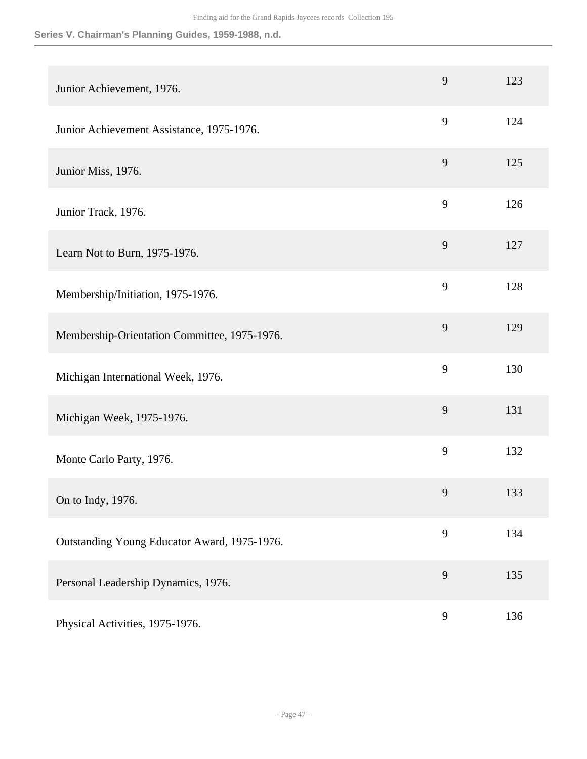| Junior Achievement, 1976.                    | 9 | 123 |
|----------------------------------------------|---|-----|
| Junior Achievement Assistance, 1975-1976.    | 9 | 124 |
| Junior Miss, 1976.                           | 9 | 125 |
| Junior Track, 1976.                          | 9 | 126 |
| Learn Not to Burn, 1975-1976.                | 9 | 127 |
| Membership/Initiation, 1975-1976.            | 9 | 128 |
| Membership-Orientation Committee, 1975-1976. | 9 | 129 |
| Michigan International Week, 1976.           | 9 | 130 |
| Michigan Week, 1975-1976.                    | 9 | 131 |
| Monte Carlo Party, 1976.                     | 9 | 132 |
| On to Indy, 1976.                            | 9 | 133 |
| Outstanding Young Educator Award, 1975-1976. | 9 | 134 |
| Personal Leadership Dynamics, 1976.          | 9 | 135 |
| Physical Activities, 1975-1976.              | 9 | 136 |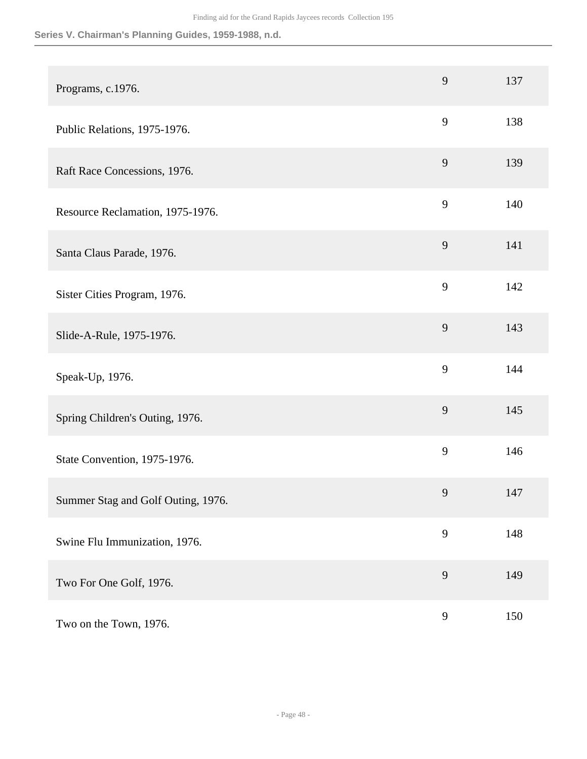| Programs, c.1976.                  | 9 | 137 |
|------------------------------------|---|-----|
| Public Relations, 1975-1976.       | 9 | 138 |
| Raft Race Concessions, 1976.       | 9 | 139 |
| Resource Reclamation, 1975-1976.   | 9 | 140 |
| Santa Claus Parade, 1976.          | 9 | 141 |
| Sister Cities Program, 1976.       | 9 | 142 |
| Slide-A-Rule, 1975-1976.           | 9 | 143 |
| Speak-Up, 1976.                    | 9 | 144 |
| Spring Children's Outing, 1976.    | 9 | 145 |
| State Convention, 1975-1976.       | 9 | 146 |
| Summer Stag and Golf Outing, 1976. | 9 | 147 |
| Swine Flu Immunization, 1976.      | 9 | 148 |
| Two For One Golf, 1976.            | 9 | 149 |
| Two on the Town, 1976.             | 9 | 150 |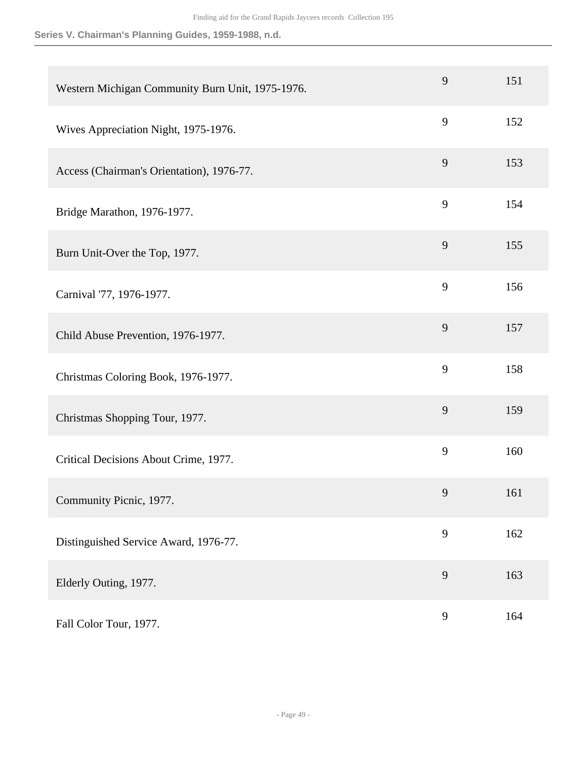| Western Michigan Community Burn Unit, 1975-1976. | 9 | 151 |
|--------------------------------------------------|---|-----|
| Wives Appreciation Night, 1975-1976.             | 9 | 152 |
| Access (Chairman's Orientation), 1976-77.        | 9 | 153 |
| Bridge Marathon, 1976-1977.                      | 9 | 154 |
| Burn Unit-Over the Top, 1977.                    | 9 | 155 |
| Carnival '77, 1976-1977.                         | 9 | 156 |
| Child Abuse Prevention, 1976-1977.               | 9 | 157 |
| Christmas Coloring Book, 1976-1977.              | 9 | 158 |
| Christmas Shopping Tour, 1977.                   | 9 | 159 |
| Critical Decisions About Crime, 1977.            | 9 | 160 |
| Community Picnic, 1977.                          | 9 | 161 |
| Distinguished Service Award, 1976-77.            | 9 | 162 |
| Elderly Outing, 1977.                            | 9 | 163 |
| Fall Color Tour, 1977.                           | 9 | 164 |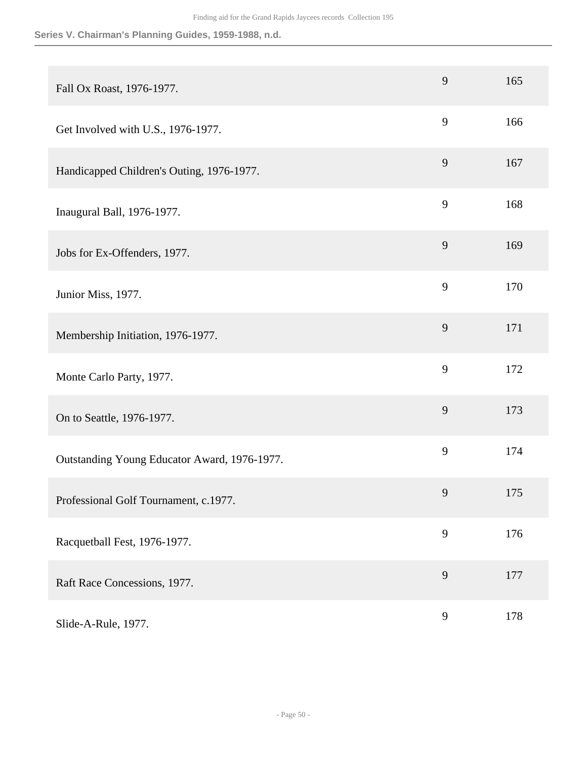| Fall Ox Roast, 1976-1977.                    | 9 | 165 |
|----------------------------------------------|---|-----|
| Get Involved with U.S., 1976-1977.           | 9 | 166 |
| Handicapped Children's Outing, 1976-1977.    | 9 | 167 |
| Inaugural Ball, 1976-1977.                   | 9 | 168 |
| Jobs for Ex-Offenders, 1977.                 | 9 | 169 |
| Junior Miss, 1977.                           | 9 | 170 |
| Membership Initiation, 1976-1977.            | 9 | 171 |
| Monte Carlo Party, 1977.                     | 9 | 172 |
| On to Seattle, 1976-1977.                    | 9 | 173 |
| Outstanding Young Educator Award, 1976-1977. | 9 | 174 |
| Professional Golf Tournament, c.1977.        | 9 | 175 |
| Racquetball Fest, 1976-1977.                 | 9 | 176 |
| Raft Race Concessions, 1977.                 | 9 | 177 |
| Slide-A-Rule, 1977.                          | 9 | 178 |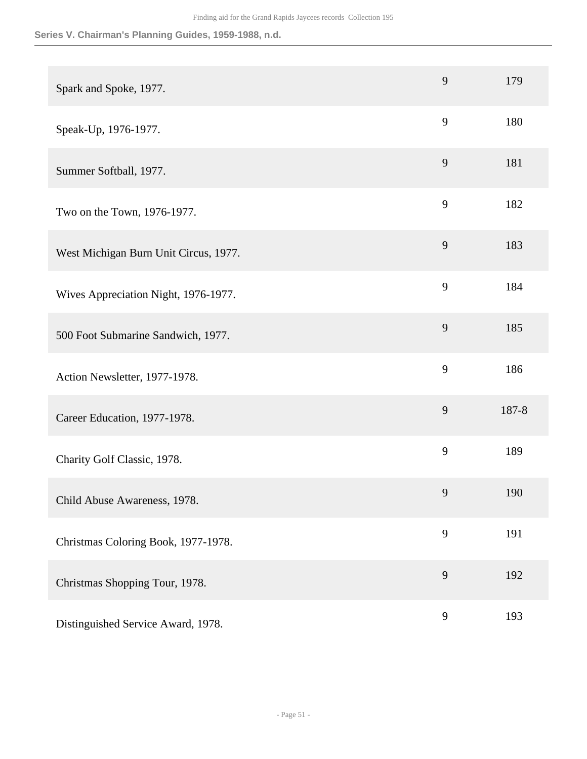| Spark and Spoke, 1977.                | 9 | 179   |
|---------------------------------------|---|-------|
| Speak-Up, 1976-1977.                  | 9 | 180   |
| Summer Softball, 1977.                | 9 | 181   |
| Two on the Town, 1976-1977.           | 9 | 182   |
| West Michigan Burn Unit Circus, 1977. | 9 | 183   |
| Wives Appreciation Night, 1976-1977.  | 9 | 184   |
| 500 Foot Submarine Sandwich, 1977.    | 9 | 185   |
| Action Newsletter, 1977-1978.         | 9 | 186   |
| Career Education, 1977-1978.          | 9 | 187-8 |
| Charity Golf Classic, 1978.           | 9 | 189   |
| Child Abuse Awareness, 1978.          | 9 | 190   |
| Christmas Coloring Book, 1977-1978.   | 9 | 191   |
| Christmas Shopping Tour, 1978.        | 9 | 192   |
| Distinguished Service Award, 1978.    | 9 | 193   |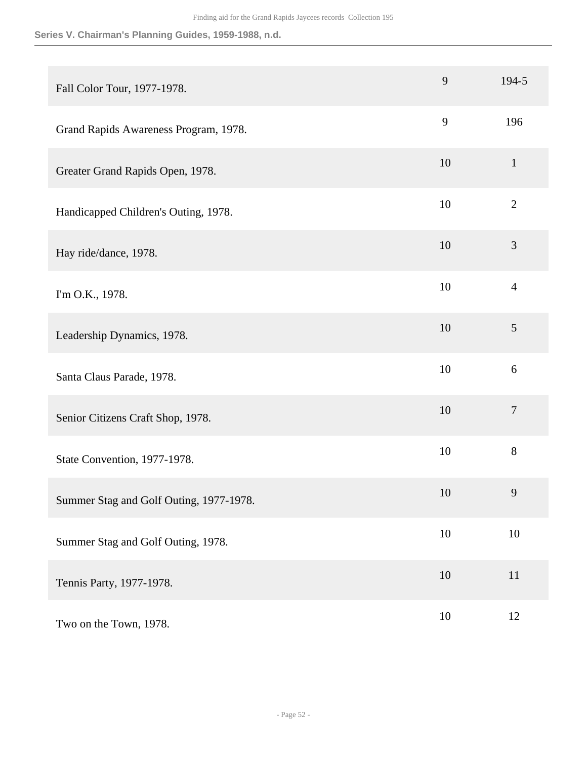| Fall Color Tour, 1977-1978.             | 9      | 194-5          |
|-----------------------------------------|--------|----------------|
| Grand Rapids Awareness Program, 1978.   | 9      | 196            |
| Greater Grand Rapids Open, 1978.        | 10     | $\mathbf{1}$   |
| Handicapped Children's Outing, 1978.    | 10     | $\mathbf{2}$   |
| Hay ride/dance, 1978.                   | 10     | 3              |
| I'm O.K., 1978.                         | 10     | $\overline{4}$ |
| Leadership Dynamics, 1978.              | 10     | 5              |
| Santa Claus Parade, 1978.               | 10     | 6              |
| Senior Citizens Craft Shop, 1978.       | 10     | $\tau$         |
| State Convention, 1977-1978.            | 10     | 8              |
| Summer Stag and Golf Outing, 1977-1978. | 10     | 9              |
| Summer Stag and Golf Outing, 1978.      | 10     | $10\,$         |
| Tennis Party, 1977-1978.                | 10     | 11             |
| Two on the Town, 1978.                  | $10\,$ | 12             |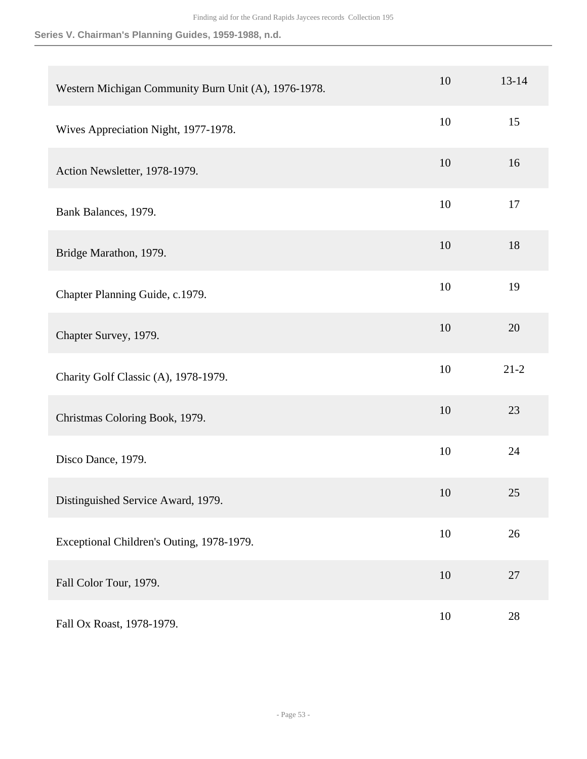| Western Michigan Community Burn Unit (A), 1976-1978. | 10     | $13 - 14$ |
|------------------------------------------------------|--------|-----------|
| Wives Appreciation Night, 1977-1978.                 | 10     | 15        |
| Action Newsletter, 1978-1979.                        | 10     | 16        |
| Bank Balances, 1979.                                 | 10     | 17        |
| Bridge Marathon, 1979.                               | 10     | 18        |
| Chapter Planning Guide, c.1979.                      | 10     | 19        |
| Chapter Survey, 1979.                                | 10     | 20        |
| Charity Golf Classic (A), 1978-1979.                 | 10     | $21 - 2$  |
| Christmas Coloring Book, 1979.                       | 10     | 23        |
| Disco Dance, 1979.                                   | 10     | 24        |
| Distinguished Service Award, 1979.                   | 10     | 25        |
| Exceptional Children's Outing, 1978-1979.            | $10\,$ | 26        |
| Fall Color Tour, 1979.                               | 10     | 27        |
| Fall Ox Roast, 1978-1979.                            | $10\,$ | $28\,$    |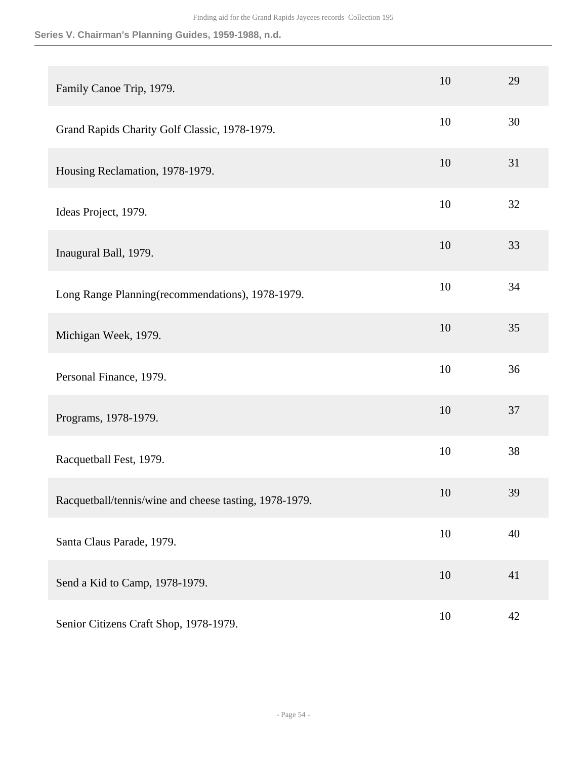| Family Canoe Trip, 1979.                               | 10 | 29 |
|--------------------------------------------------------|----|----|
| Grand Rapids Charity Golf Classic, 1978-1979.          | 10 | 30 |
| Housing Reclamation, 1978-1979.                        | 10 | 31 |
| Ideas Project, 1979.                                   | 10 | 32 |
| Inaugural Ball, 1979.                                  | 10 | 33 |
| Long Range Planning (recommendations), 1978-1979.      | 10 | 34 |
| Michigan Week, 1979.                                   | 10 | 35 |
| Personal Finance, 1979.                                | 10 | 36 |
| Programs, 1978-1979.                                   | 10 | 37 |
| Racquetball Fest, 1979.                                | 10 | 38 |
| Racquetball/tennis/wine and cheese tasting, 1978-1979. | 10 | 39 |
| Santa Claus Parade, 1979.                              | 10 | 40 |
| Send a Kid to Camp, 1978-1979.                         | 10 | 41 |
| Senior Citizens Craft Shop, 1978-1979.                 | 10 | 42 |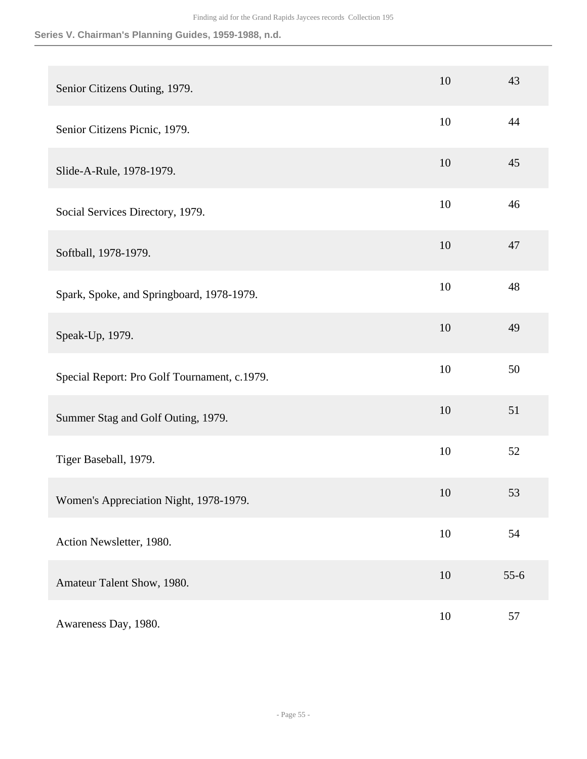| Senior Citizens Outing, 1979.                | 10     | 43     |
|----------------------------------------------|--------|--------|
| Senior Citizens Picnic, 1979.                | 10     | 44     |
| Slide-A-Rule, 1978-1979.                     | 10     | 45     |
| Social Services Directory, 1979.             | 10     | 46     |
| Softball, 1978-1979.                         | 10     | 47     |
| Spark, Spoke, and Springboard, 1978-1979.    | 10     | 48     |
| Speak-Up, 1979.                              | 10     | 49     |
| Special Report: Pro Golf Tournament, c.1979. | 10     | 50     |
| Summer Stag and Golf Outing, 1979.           | 10     | 51     |
| Tiger Baseball, 1979.                        | 10     | 52     |
| Women's Appreciation Night, 1978-1979.       | 10     | 53     |
| Action Newsletter, 1980.                     | 10     | 54     |
| Amateur Talent Show, 1980.                   | 10     | $55-6$ |
| Awareness Day, 1980.                         | $10\,$ | 57     |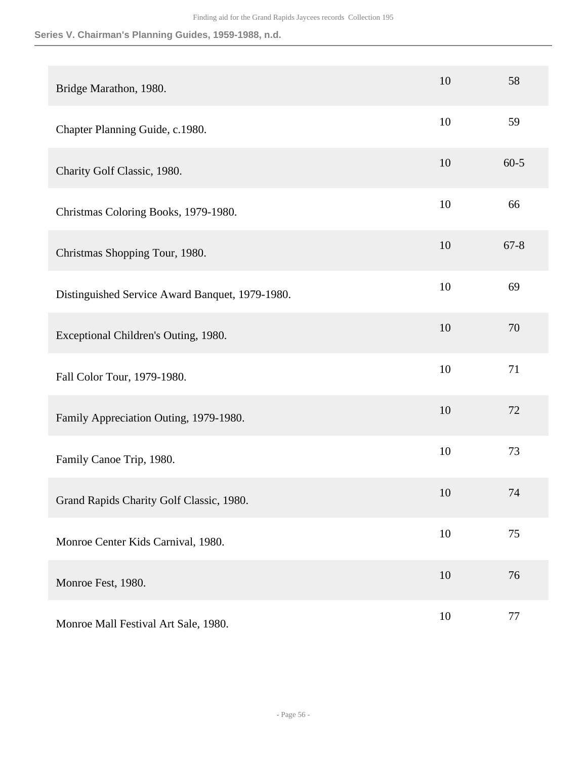| Bridge Marathon, 1980.                          | 10 | 58       |
|-------------------------------------------------|----|----------|
| Chapter Planning Guide, c.1980.                 | 10 | 59       |
| Charity Golf Classic, 1980.                     | 10 | $60 - 5$ |
| Christmas Coloring Books, 1979-1980.            | 10 | 66       |
| Christmas Shopping Tour, 1980.                  | 10 | $67 - 8$ |
| Distinguished Service Award Banquet, 1979-1980. | 10 | 69       |
| Exceptional Children's Outing, 1980.            | 10 | 70       |
| Fall Color Tour, 1979-1980.                     | 10 | 71       |
| Family Appreciation Outing, 1979-1980.          | 10 | 72       |
| Family Canoe Trip, 1980.                        | 10 | 73       |
| Grand Rapids Charity Golf Classic, 1980.        | 10 | 74       |
| Monroe Center Kids Carnival, 1980.              | 10 | 75       |
| Monroe Fest, 1980.                              | 10 | 76       |
| Monroe Mall Festival Art Sale, 1980.            | 10 | 77       |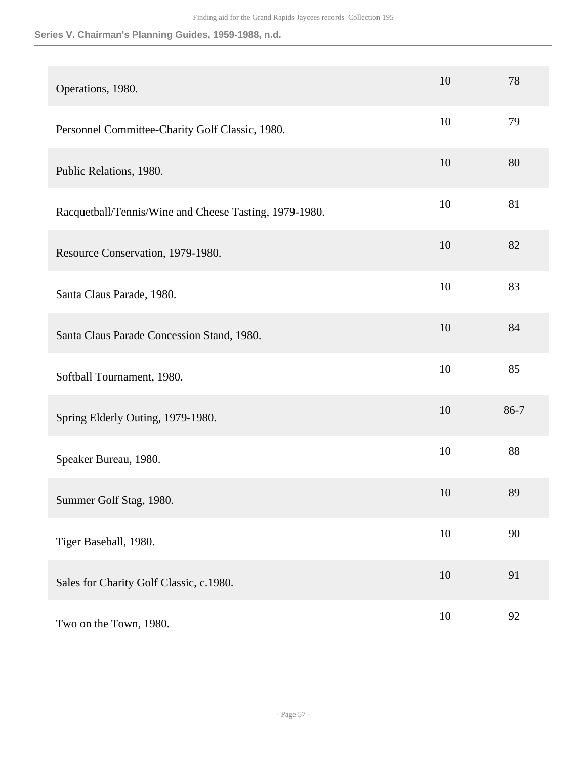| Operations, 1980.                                      | 10 | 78   |
|--------------------------------------------------------|----|------|
| Personnel Committee-Charity Golf Classic, 1980.        | 10 | 79   |
| Public Relations, 1980.                                | 10 | 80   |
| Racquetball/Tennis/Wine and Cheese Tasting, 1979-1980. | 10 | 81   |
| Resource Conservation, 1979-1980.                      | 10 | 82   |
| Santa Claus Parade, 1980.                              | 10 | 83   |
| Santa Claus Parade Concession Stand, 1980.             | 10 | 84   |
| Softball Tournament, 1980.                             | 10 | 85   |
| Spring Elderly Outing, 1979-1980.                      | 10 | 86-7 |
| Speaker Bureau, 1980.                                  | 10 | 88   |
| Summer Golf Stag, 1980.                                | 10 | 89   |
| Tiger Baseball, 1980.                                  | 10 | 90   |
| Sales for Charity Golf Classic, c.1980.                | 10 | 91   |
| Two on the Town, 1980.                                 | 10 | 92   |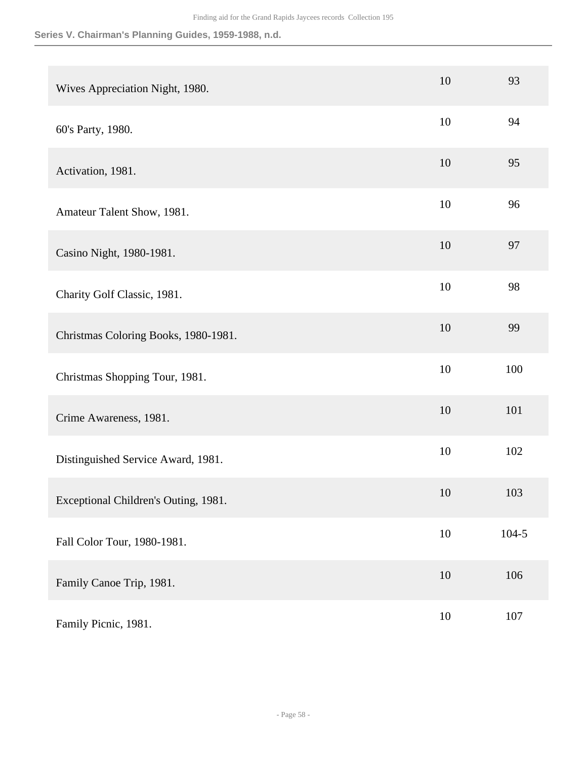| Wives Appreciation Night, 1980.      | 10     | 93        |
|--------------------------------------|--------|-----------|
| 60's Party, 1980.                    | 10     | 94        |
| Activation, 1981.                    | 10     | 95        |
| Amateur Talent Show, 1981.           | 10     | 96        |
| Casino Night, 1980-1981.             | 10     | 97        |
| Charity Golf Classic, 1981.          | 10     | 98        |
| Christmas Coloring Books, 1980-1981. | 10     | 99        |
| Christmas Shopping Tour, 1981.       | 10     | 100       |
| Crime Awareness, 1981.               | 10     | 101       |
| Distinguished Service Award, 1981.   | 10     | 102       |
| Exceptional Children's Outing, 1981. | 10     | 103       |
| Fall Color Tour, 1980-1981.          | $10\,$ | $104 - 5$ |
| Family Canoe Trip, 1981.             | $10\,$ | 106       |
| Family Picnic, 1981.                 | $10\,$ | $107\,$   |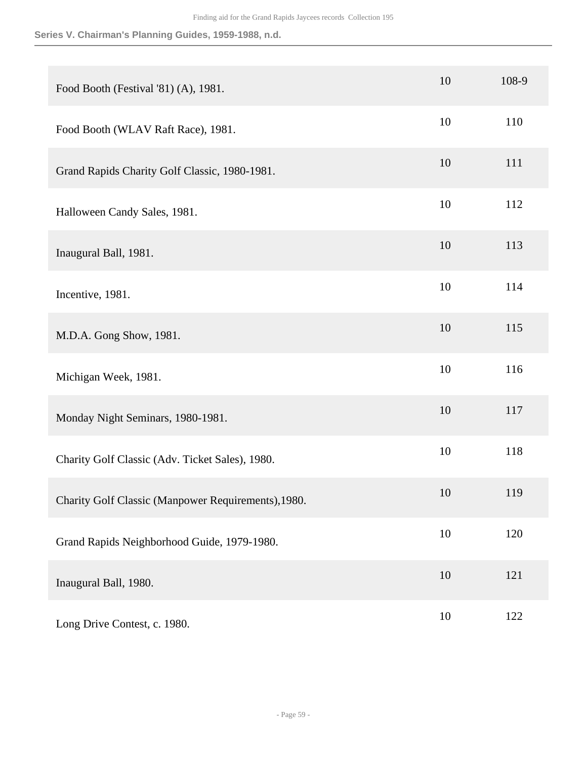| Food Booth (Festival '81) (A), 1981.                | 10     | 108-9 |
|-----------------------------------------------------|--------|-------|
| Food Booth (WLAV Raft Race), 1981.                  | 10     | 110   |
| Grand Rapids Charity Golf Classic, 1980-1981.       | 10     | 111   |
| Halloween Candy Sales, 1981.                        | 10     | 112   |
| Inaugural Ball, 1981.                               | 10     | 113   |
| Incentive, 1981.                                    | 10     | 114   |
| M.D.A. Gong Show, 1981.                             | 10     | 115   |
| Michigan Week, 1981.                                | 10     | 116   |
| Monday Night Seminars, 1980-1981.                   | 10     | 117   |
| Charity Golf Classic (Adv. Ticket Sales), 1980.     | 10     | 118   |
| Charity Golf Classic (Manpower Requirements), 1980. | 10     | 119   |
| Grand Rapids Neighborhood Guide, 1979-1980.         | $10\,$ | 120   |
| Inaugural Ball, 1980.                               | 10     | 121   |
| Long Drive Contest, c. 1980.                        | $10\,$ | 122   |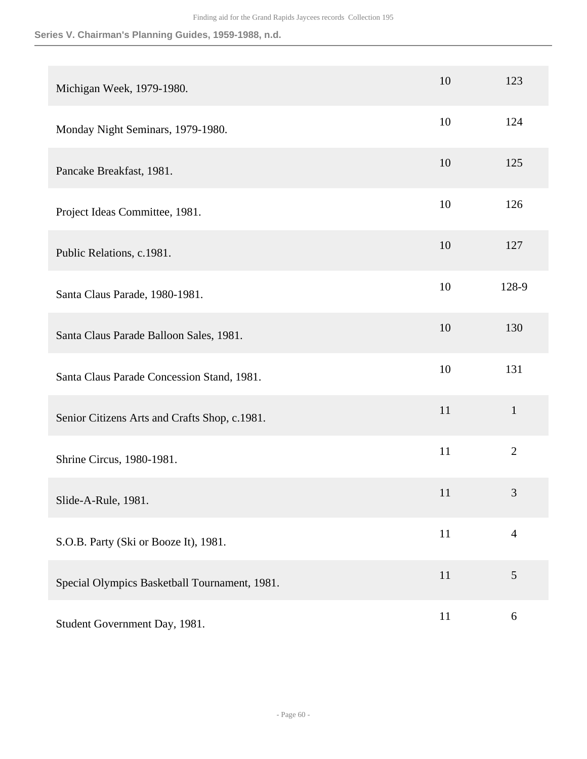| Michigan Week, 1979-1980.                     | 10 | 123            |
|-----------------------------------------------|----|----------------|
| Monday Night Seminars, 1979-1980.             | 10 | 124            |
| Pancake Breakfast, 1981.                      | 10 | 125            |
| Project Ideas Committee, 1981.                | 10 | 126            |
| Public Relations, c.1981.                     | 10 | 127            |
| Santa Claus Parade, 1980-1981.                | 10 | 128-9          |
| Santa Claus Parade Balloon Sales, 1981.       | 10 | 130            |
| Santa Claus Parade Concession Stand, 1981.    | 10 | 131            |
| Senior Citizens Arts and Crafts Shop, c.1981. | 11 | $\mathbf{1}$   |
| Shrine Circus, 1980-1981.                     | 11 | $\overline{2}$ |
| Slide-A-Rule, 1981.                           | 11 | 3              |
| S.O.B. Party (Ski or Booze It), 1981.         | 11 | $\overline{4}$ |
| Special Olympics Basketball Tournament, 1981. | 11 | $\mathfrak{S}$ |
| Student Government Day, 1981.                 | 11 | 6              |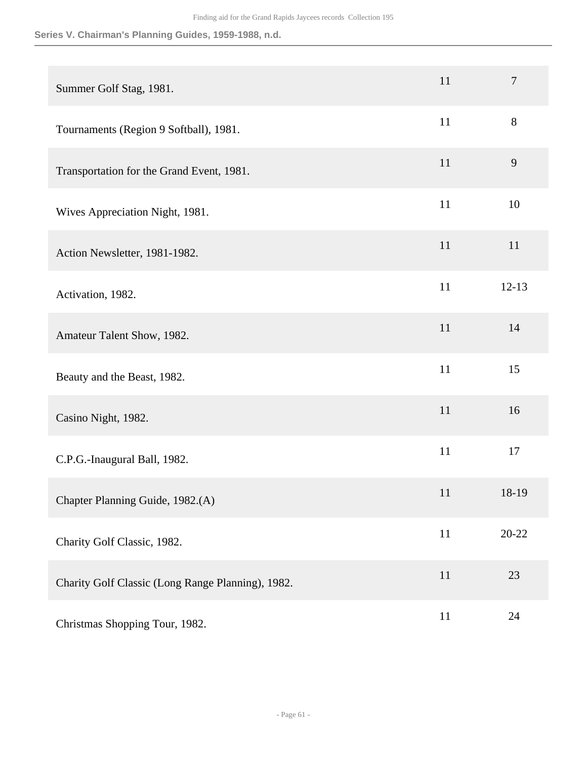| Summer Golf Stag, 1981.                           | 11 | $\tau$    |
|---------------------------------------------------|----|-----------|
| Tournaments (Region 9 Softball), 1981.            | 11 | $8\,$     |
| Transportation for the Grand Event, 1981.         | 11 | 9         |
| Wives Appreciation Night, 1981.                   | 11 | 10        |
| Action Newsletter, 1981-1982.                     | 11 | 11        |
| Activation, 1982.                                 | 11 | $12 - 13$ |
| Amateur Talent Show, 1982.                        | 11 | 14        |
| Beauty and the Beast, 1982.                       | 11 | 15        |
| Casino Night, 1982.                               | 11 | 16        |
| C.P.G.-Inaugural Ball, 1982.                      | 11 | 17        |
| Chapter Planning Guide, 1982.(A)                  | 11 | 18-19     |
| Charity Golf Classic, 1982.                       | 11 | $20 - 22$ |
| Charity Golf Classic (Long Range Planning), 1982. | 11 | 23        |
| Christmas Shopping Tour, 1982.                    | 11 | 24        |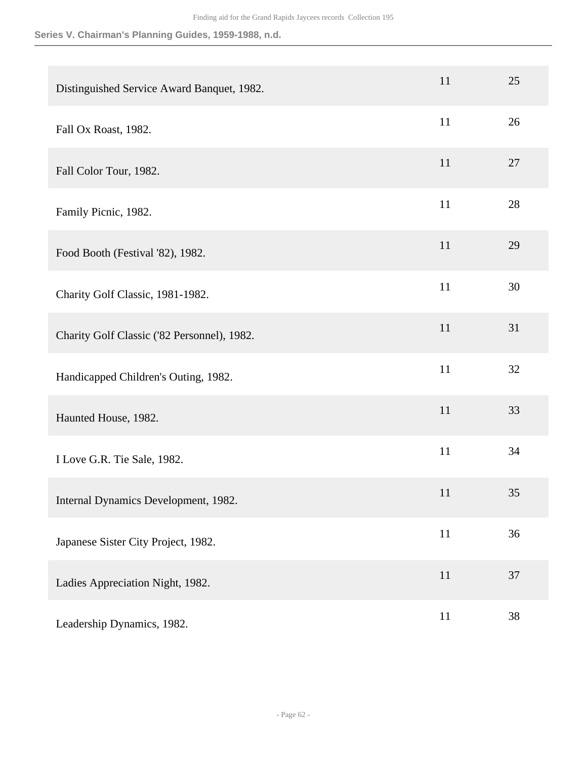| Distinguished Service Award Banquet, 1982.  | 11     | 25 |
|---------------------------------------------|--------|----|
| Fall Ox Roast, 1982.                        | 11     | 26 |
| Fall Color Tour, 1982.                      | 11     | 27 |
| Family Picnic, 1982.                        | 11     | 28 |
| Food Booth (Festival '82), 1982.            | 11     | 29 |
| Charity Golf Classic, 1981-1982.            | 11     | 30 |
| Charity Golf Classic ('82 Personnel), 1982. | 11     | 31 |
| Handicapped Children's Outing, 1982.        | 11     | 32 |
| Haunted House, 1982.                        | 11     | 33 |
| I Love G.R. Tie Sale, 1982.                 | 11     | 34 |
| Internal Dynamics Development, 1982.        | 11     | 35 |
| Japanese Sister City Project, 1982.         | $11\,$ | 36 |
| Ladies Appreciation Night, 1982.            | 11     | 37 |
| Leadership Dynamics, 1982.                  | 11     | 38 |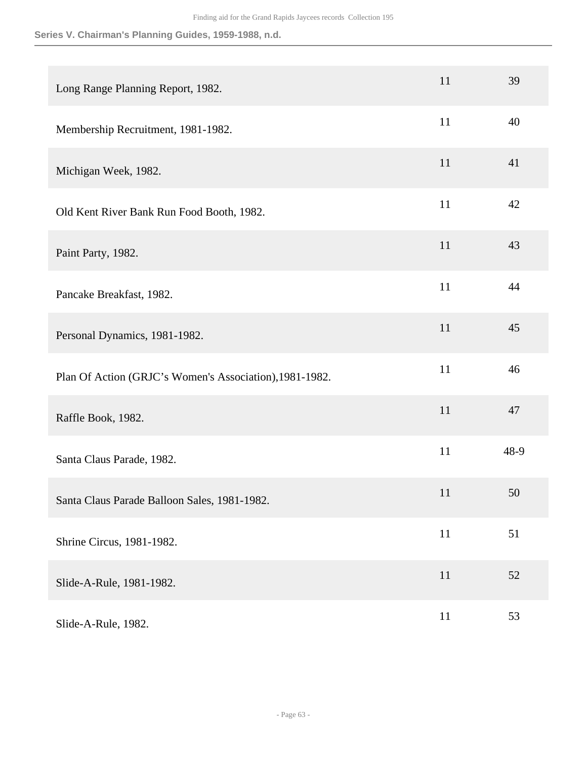| Long Range Planning Report, 1982.                       | 11 | 39   |
|---------------------------------------------------------|----|------|
| Membership Recruitment, 1981-1982.                      | 11 | 40   |
| Michigan Week, 1982.                                    | 11 | 41   |
| Old Kent River Bank Run Food Booth, 1982.               | 11 | 42   |
| Paint Party, 1982.                                      | 11 | 43   |
| Pancake Breakfast, 1982.                                | 11 | 44   |
| Personal Dynamics, 1981-1982.                           | 11 | 45   |
| Plan Of Action (GRJC's Women's Association), 1981-1982. | 11 | 46   |
| Raffle Book, 1982.                                      | 11 | 47   |
| Santa Claus Parade, 1982.                               | 11 | 48-9 |
| Santa Claus Parade Balloon Sales, 1981-1982.            | 11 | 50   |
| Shrine Circus, 1981-1982.                               | 11 | 51   |
| Slide-A-Rule, 1981-1982.                                | 11 | 52   |
| Slide-A-Rule, 1982.                                     | 11 | 53   |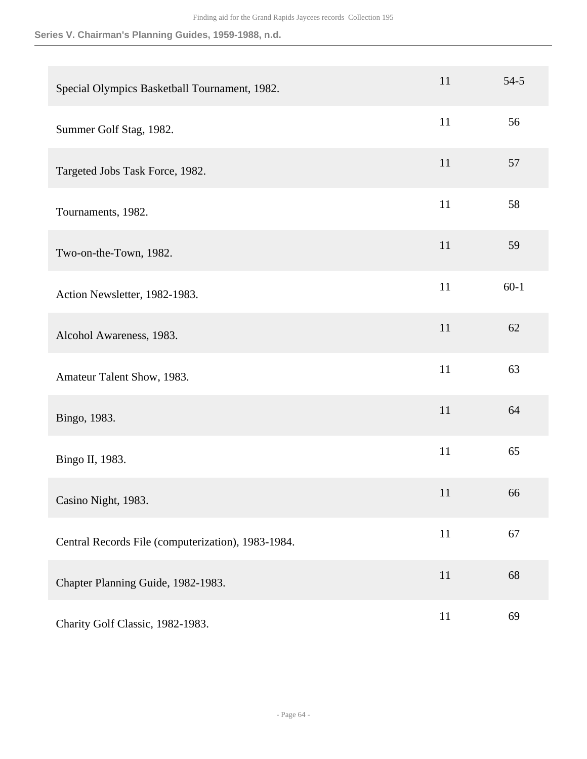| Special Olympics Basketball Tournament, 1982.      | 11 | $54 - 5$ |
|----------------------------------------------------|----|----------|
| Summer Golf Stag, 1982.                            | 11 | 56       |
| Targeted Jobs Task Force, 1982.                    | 11 | 57       |
| Tournaments, 1982.                                 | 11 | 58       |
| Two-on-the-Town, 1982.                             | 11 | 59       |
| Action Newsletter, 1982-1983.                      | 11 | $60-1$   |
| Alcohol Awareness, 1983.                           | 11 | 62       |
| Amateur Talent Show, 1983.                         | 11 | 63       |
| Bingo, 1983.                                       | 11 | 64       |
| Bingo II, 1983.                                    | 11 | 65       |
| Casino Night, 1983.                                | 11 | 66       |
| Central Records File (computerization), 1983-1984. | 11 | 67       |
| Chapter Planning Guide, 1982-1983.                 | 11 | 68       |
| Charity Golf Classic, 1982-1983.                   | 11 | 69       |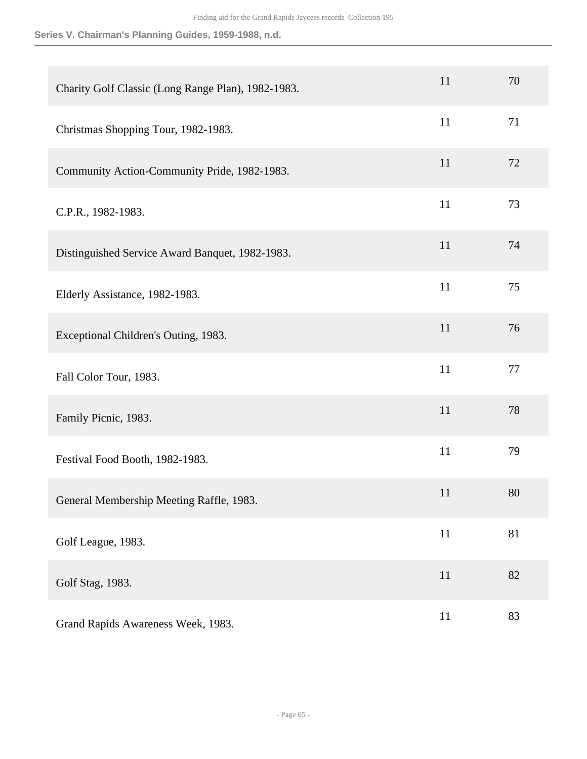| Charity Golf Classic (Long Range Plan), 1982-1983. | 11     | 70 |
|----------------------------------------------------|--------|----|
| Christmas Shopping Tour, 1982-1983.                | 11     | 71 |
| Community Action-Community Pride, 1982-1983.       | 11     | 72 |
| C.P.R., 1982-1983.                                 | 11     | 73 |
| Distinguished Service Award Banquet, 1982-1983.    | 11     | 74 |
| Elderly Assistance, 1982-1983.                     | 11     | 75 |
| Exceptional Children's Outing, 1983.               | 11     | 76 |
| Fall Color Tour, 1983.                             | 11     | 77 |
| Family Picnic, 1983.                               | 11     | 78 |
| Festival Food Booth, 1982-1983.                    | 11     | 79 |
| General Membership Meeting Raffle, 1983.           | 11     | 80 |
| Golf League, 1983.                                 | $11\,$ | 81 |
| Golf Stag, 1983.                                   | $11\,$ | 82 |
| Grand Rapids Awareness Week, 1983.                 | 11     | 83 |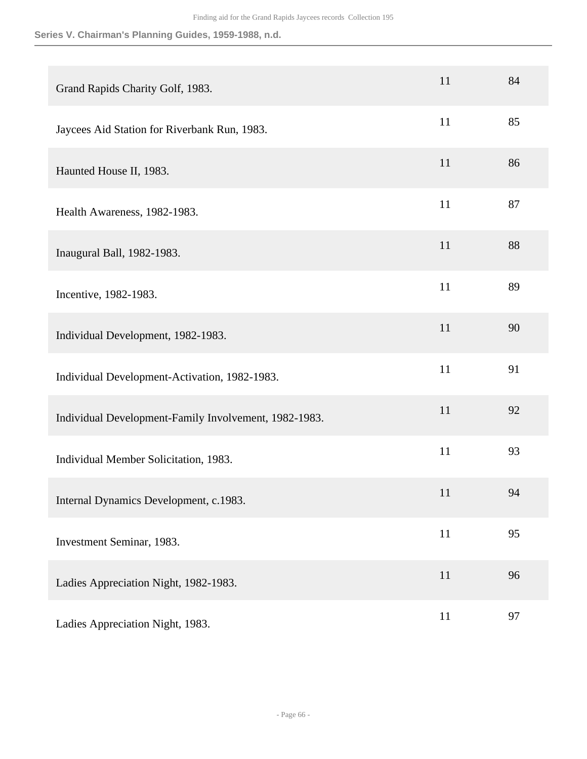| Grand Rapids Charity Golf, 1983.                      | 11 | 84 |
|-------------------------------------------------------|----|----|
| Jaycees Aid Station for Riverbank Run, 1983.          | 11 | 85 |
| Haunted House II, 1983.                               | 11 | 86 |
| Health Awareness, 1982-1983.                          | 11 | 87 |
| Inaugural Ball, 1982-1983.                            | 11 | 88 |
| Incentive, 1982-1983.                                 | 11 | 89 |
| Individual Development, 1982-1983.                    | 11 | 90 |
| Individual Development-Activation, 1982-1983.         | 11 | 91 |
| Individual Development-Family Involvement, 1982-1983. | 11 | 92 |
| Individual Member Solicitation, 1983.                 | 11 | 93 |
| Internal Dynamics Development, c.1983.                | 11 | 94 |
| Investment Seminar, 1983.                             | 11 | 95 |
| Ladies Appreciation Night, 1982-1983.                 | 11 | 96 |
| Ladies Appreciation Night, 1983.                      | 11 | 97 |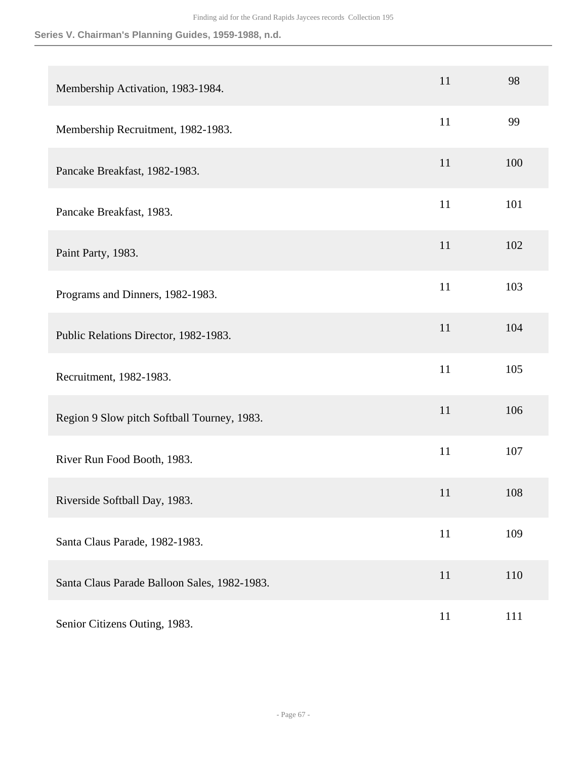| Membership Activation, 1983-1984.            | 11 | 98  |
|----------------------------------------------|----|-----|
| Membership Recruitment, 1982-1983.           | 11 | 99  |
| Pancake Breakfast, 1982-1983.                | 11 | 100 |
| Pancake Breakfast, 1983.                     | 11 | 101 |
| Paint Party, 1983.                           | 11 | 102 |
| Programs and Dinners, 1982-1983.             | 11 | 103 |
| Public Relations Director, 1982-1983.        | 11 | 104 |
| Recruitment, 1982-1983.                      | 11 | 105 |
| Region 9 Slow pitch Softball Tourney, 1983.  | 11 | 106 |
| River Run Food Booth, 1983.                  | 11 | 107 |
| Riverside Softball Day, 1983.                | 11 | 108 |
| Santa Claus Parade, 1982-1983.               | 11 | 109 |
| Santa Claus Parade Balloon Sales, 1982-1983. | 11 | 110 |
| Senior Citizens Outing, 1983.                | 11 | 111 |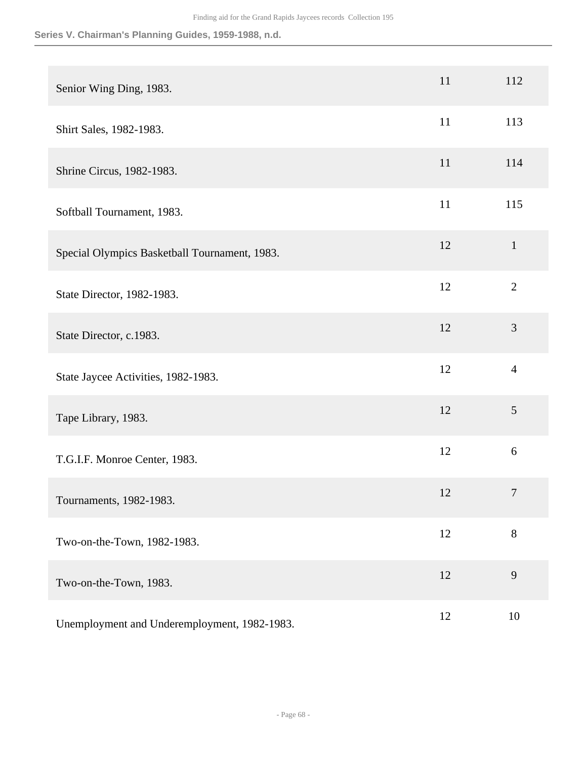| Senior Wing Ding, 1983.                       | 11 | 112            |
|-----------------------------------------------|----|----------------|
| Shirt Sales, 1982-1983.                       | 11 | 113            |
| Shrine Circus, 1982-1983.                     | 11 | 114            |
| Softball Tournament, 1983.                    | 11 | 115            |
| Special Olympics Basketball Tournament, 1983. | 12 | $\mathbf{1}$   |
| State Director, 1982-1983.                    | 12 | $\overline{2}$ |
| State Director, c.1983.                       | 12 | 3              |
| State Jaycee Activities, 1982-1983.           | 12 | $\overline{4}$ |
| Tape Library, 1983.                           | 12 | 5              |
| T.G.I.F. Monroe Center, 1983.                 | 12 | 6              |
| Tournaments, 1982-1983.                       | 12 | 7              |
| Two-on-the-Town, 1982-1983.                   | 12 | 8              |
| Two-on-the-Town, 1983.                        | 12 | 9              |
| Unemployment and Underemployment, 1982-1983.  | 12 | 10             |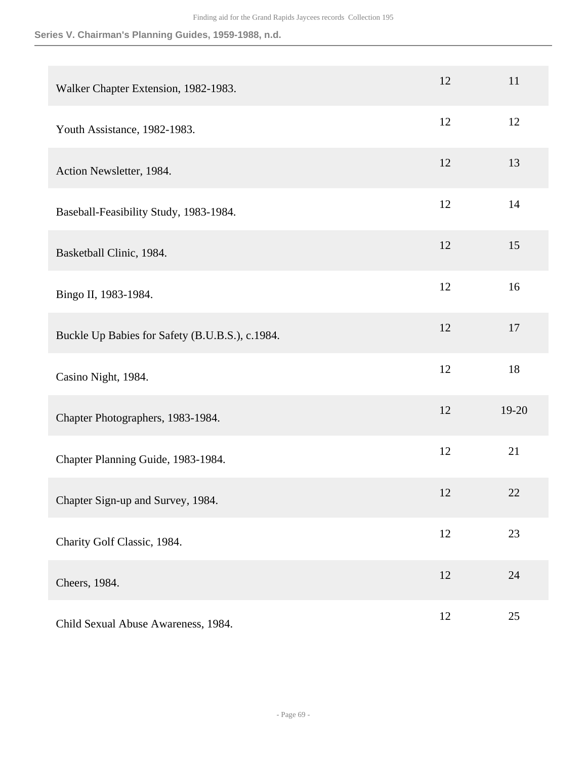| Walker Chapter Extension, 1982-1983.            | 12 | 11    |
|-------------------------------------------------|----|-------|
| Youth Assistance, 1982-1983.                    | 12 | 12    |
| Action Newsletter, 1984.                        | 12 | 13    |
| Baseball-Feasibility Study, 1983-1984.          | 12 | 14    |
| Basketball Clinic, 1984.                        | 12 | 15    |
| Bingo II, 1983-1984.                            | 12 | 16    |
| Buckle Up Babies for Safety (B.U.B.S.), c.1984. | 12 | 17    |
| Casino Night, 1984.                             | 12 | 18    |
| Chapter Photographers, 1983-1984.               | 12 | 19-20 |
| Chapter Planning Guide, 1983-1984.              | 12 | 21    |
| Chapter Sign-up and Survey, 1984.               | 12 | 22    |
| Charity Golf Classic, 1984.                     | 12 | 23    |
| Cheers, 1984.                                   | 12 | 24    |
| Child Sexual Abuse Awareness, 1984.             | 12 | 25    |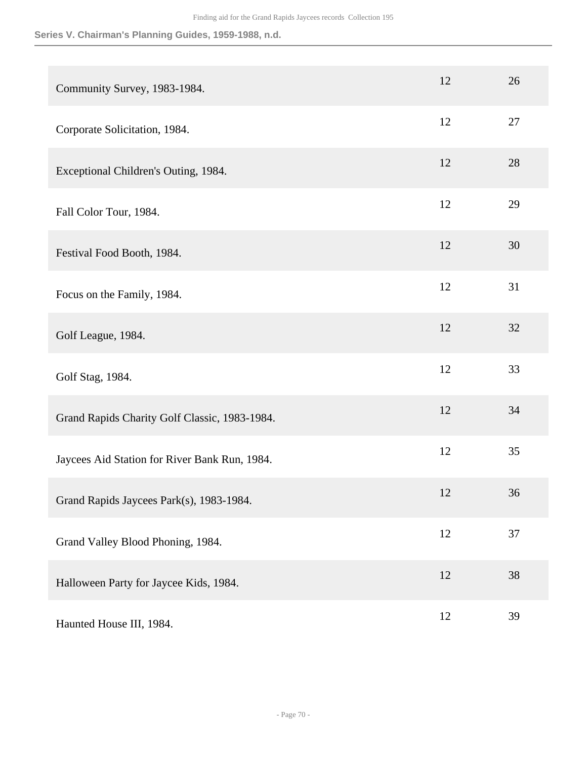| Community Survey, 1983-1984.                  | 12 | 26 |
|-----------------------------------------------|----|----|
| Corporate Solicitation, 1984.                 | 12 | 27 |
| Exceptional Children's Outing, 1984.          | 12 | 28 |
| Fall Color Tour, 1984.                        | 12 | 29 |
| Festival Food Booth, 1984.                    | 12 | 30 |
| Focus on the Family, 1984.                    | 12 | 31 |
| Golf League, 1984.                            | 12 | 32 |
| Golf Stag, 1984.                              | 12 | 33 |
| Grand Rapids Charity Golf Classic, 1983-1984. | 12 | 34 |
| Jaycees Aid Station for River Bank Run, 1984. | 12 | 35 |
| Grand Rapids Jaycees Park(s), 1983-1984.      | 12 | 36 |
| Grand Valley Blood Phoning, 1984.             | 12 | 37 |
| Halloween Party for Jaycee Kids, 1984.        | 12 | 38 |
| Haunted House III, 1984.                      | 12 | 39 |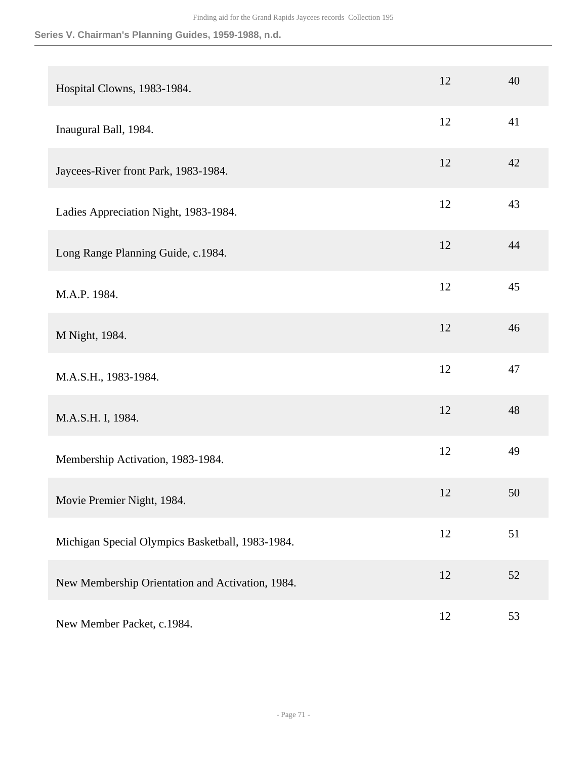| Hospital Clowns, 1983-1984.                      | 12 | 40 |
|--------------------------------------------------|----|----|
| Inaugural Ball, 1984.                            | 12 | 41 |
| Jaycees-River front Park, 1983-1984.             | 12 | 42 |
| Ladies Appreciation Night, 1983-1984.            | 12 | 43 |
| Long Range Planning Guide, c.1984.               | 12 | 44 |
| M.A.P. 1984.                                     | 12 | 45 |
| M Night, 1984.                                   | 12 | 46 |
| M.A.S.H., 1983-1984.                             | 12 | 47 |
| M.A.S.H. I, 1984.                                | 12 | 48 |
| Membership Activation, 1983-1984.                | 12 | 49 |
| Movie Premier Night, 1984.                       | 12 | 50 |
| Michigan Special Olympics Basketball, 1983-1984. | 12 | 51 |
| New Membership Orientation and Activation, 1984. | 12 | 52 |
| New Member Packet, c.1984.                       | 12 | 53 |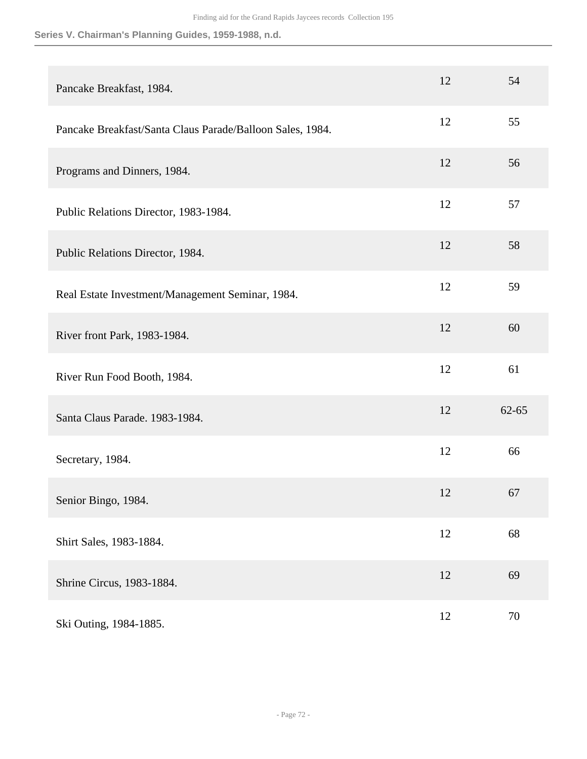| Pancake Breakfast, 1984.                                  | 12 | 54        |
|-----------------------------------------------------------|----|-----------|
| Pancake Breakfast/Santa Claus Parade/Balloon Sales, 1984. | 12 | 55        |
| Programs and Dinners, 1984.                               | 12 | 56        |
| Public Relations Director, 1983-1984.                     | 12 | 57        |
| Public Relations Director, 1984.                          | 12 | 58        |
| Real Estate Investment/Management Seminar, 1984.          | 12 | 59        |
| River front Park, 1983-1984.                              | 12 | 60        |
| River Run Food Booth, 1984.                               | 12 | 61        |
| Santa Claus Parade. 1983-1984.                            | 12 | $62 - 65$ |
| Secretary, 1984.                                          | 12 | 66        |
| Senior Bingo, 1984.                                       | 12 | 67        |
| Shirt Sales, 1983-1884.                                   | 12 | 68        |
| Shrine Circus, 1983-1884.                                 | 12 | 69        |
| Ski Outing, 1984-1885.                                    | 12 | 70        |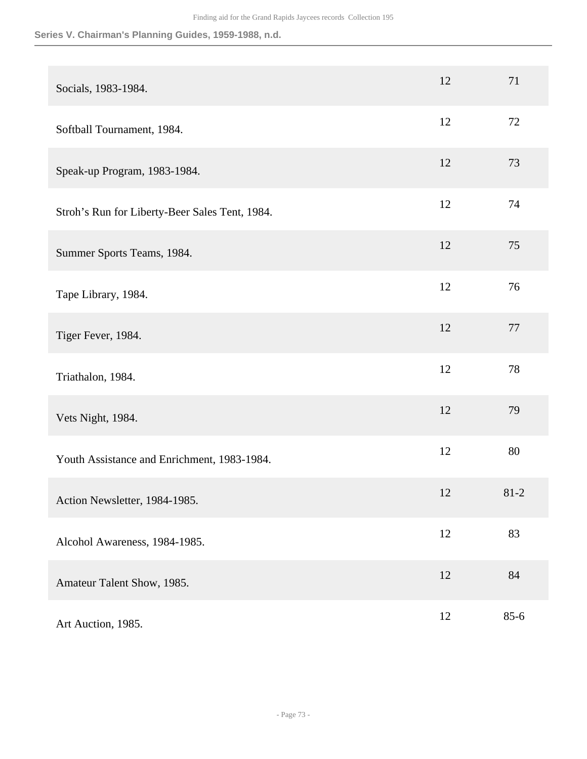| Socials, 1983-1984.                            | 12 | 71       |
|------------------------------------------------|----|----------|
| Softball Tournament, 1984.                     | 12 | 72       |
| Speak-up Program, 1983-1984.                   | 12 | 73       |
| Stroh's Run for Liberty-Beer Sales Tent, 1984. | 12 | 74       |
| Summer Sports Teams, 1984.                     | 12 | 75       |
| Tape Library, 1984.                            | 12 | 76       |
| Tiger Fever, 1984.                             | 12 | 77       |
| Triathalon, 1984.                              | 12 | 78       |
| Vets Night, 1984.                              | 12 | 79       |
| Youth Assistance and Enrichment, 1983-1984.    | 12 | 80       |
| Action Newsletter, 1984-1985.                  | 12 | $81 - 2$ |
| Alcohol Awareness, 1984-1985.                  | 12 | 83       |
| Amateur Talent Show, 1985.                     | 12 | 84       |
| Art Auction, 1985.                             | 12 | $85 - 6$ |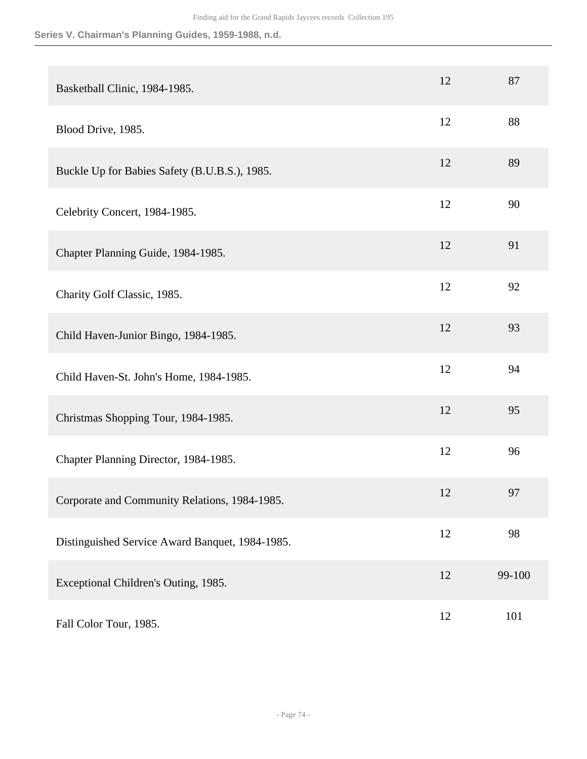| Basketball Clinic, 1984-1985.                   | 12 | 87     |
|-------------------------------------------------|----|--------|
| Blood Drive, 1985.                              | 12 | 88     |
| Buckle Up for Babies Safety (B.U.B.S.), 1985.   | 12 | 89     |
| Celebrity Concert, 1984-1985.                   | 12 | 90     |
| Chapter Planning Guide, 1984-1985.              | 12 | 91     |
| Charity Golf Classic, 1985.                     | 12 | 92     |
| Child Haven-Junior Bingo, 1984-1985.            | 12 | 93     |
| Child Haven-St. John's Home, 1984-1985.         | 12 | 94     |
| Christmas Shopping Tour, 1984-1985.             | 12 | 95     |
| Chapter Planning Director, 1984-1985.           | 12 | 96     |
| Corporate and Community Relations, 1984-1985.   | 12 | 97     |
| Distinguished Service Award Banquet, 1984-1985. | 12 | 98     |
| Exceptional Children's Outing, 1985.            | 12 | 99-100 |
| Fall Color Tour, 1985.                          | 12 | 101    |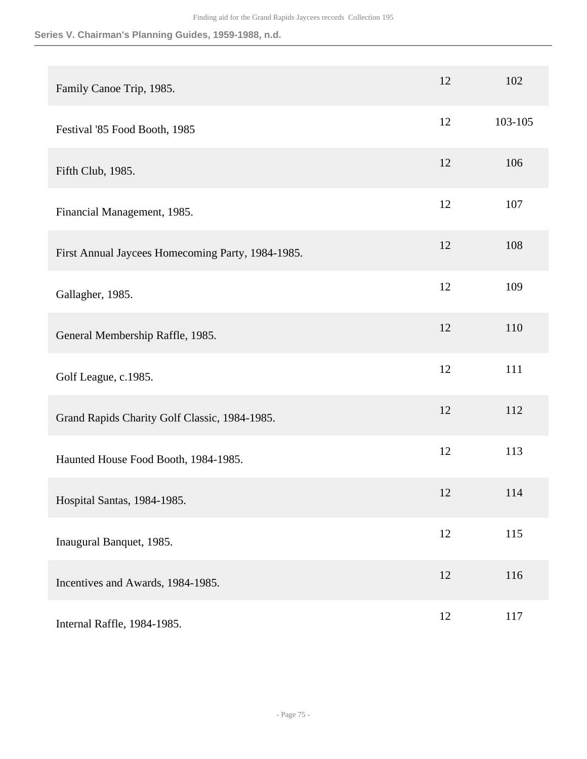| Family Canoe Trip, 1985.                          | 12 | 102     |
|---------------------------------------------------|----|---------|
| Festival '85 Food Booth, 1985                     | 12 | 103-105 |
| Fifth Club, 1985.                                 | 12 | 106     |
| Financial Management, 1985.                       | 12 | 107     |
| First Annual Jaycees Homecoming Party, 1984-1985. | 12 | 108     |
| Gallagher, 1985.                                  | 12 | 109     |
| General Membership Raffle, 1985.                  | 12 | 110     |
| Golf League, c.1985.                              | 12 | 111     |
| Grand Rapids Charity Golf Classic, 1984-1985.     | 12 | 112     |
| Haunted House Food Booth, 1984-1985.              | 12 | 113     |
| Hospital Santas, 1984-1985.                       | 12 | 114     |
| Inaugural Banquet, 1985.                          | 12 | 115     |
| Incentives and Awards, 1984-1985.                 | 12 | 116     |
| Internal Raffle, 1984-1985.                       | 12 | 117     |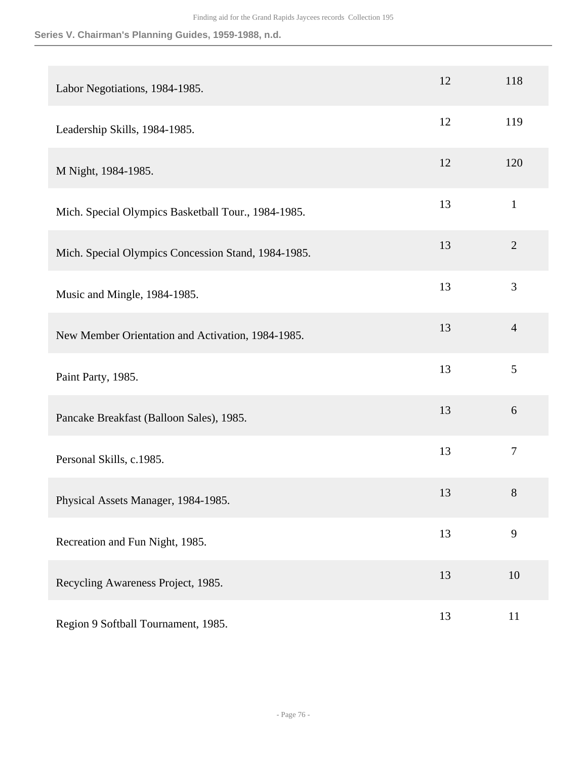| Labor Negotiations, 1984-1985.                      | 12 | 118            |
|-----------------------------------------------------|----|----------------|
| Leadership Skills, 1984-1985.                       | 12 | 119            |
| M Night, 1984-1985.                                 | 12 | 120            |
| Mich. Special Olympics Basketball Tour., 1984-1985. | 13 | $\mathbf{1}$   |
| Mich. Special Olympics Concession Stand, 1984-1985. | 13 | $\overline{2}$ |
| Music and Mingle, 1984-1985.                        | 13 | 3              |
| New Member Orientation and Activation, 1984-1985.   | 13 | $\overline{4}$ |
| Paint Party, 1985.                                  | 13 | 5              |
| Pancake Breakfast (Balloon Sales), 1985.            | 13 | 6              |
| Personal Skills, c.1985.                            | 13 | $\overline{7}$ |
| Physical Assets Manager, 1984-1985.                 | 13 | 8              |
| Recreation and Fun Night, 1985.                     | 13 | 9              |
| Recycling Awareness Project, 1985.                  | 13 | 10             |
| Region 9 Softball Tournament, 1985.                 | 13 | 11             |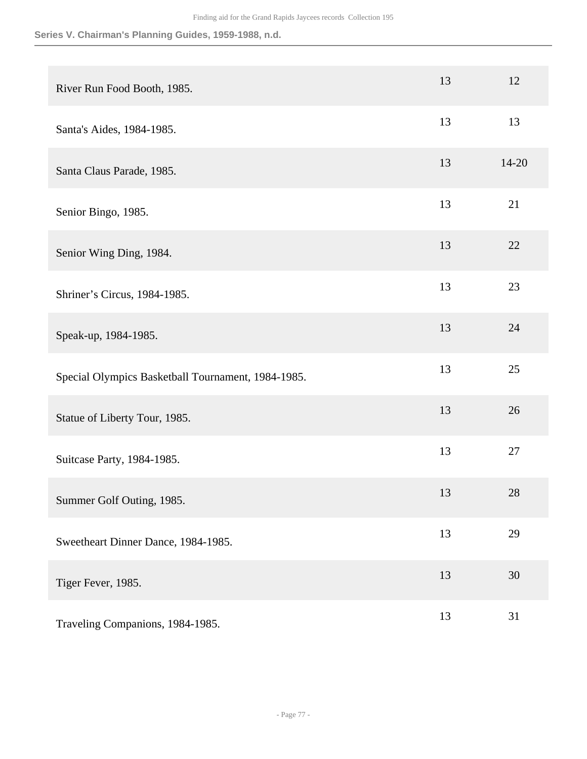| River Run Food Booth, 1985.                        | 13 | 12    |
|----------------------------------------------------|----|-------|
| Santa's Aides, 1984-1985.                          | 13 | 13    |
| Santa Claus Parade, 1985.                          | 13 | 14-20 |
| Senior Bingo, 1985.                                | 13 | 21    |
| Senior Wing Ding, 1984.                            | 13 | 22    |
| Shriner's Circus, 1984-1985.                       | 13 | 23    |
| Speak-up, 1984-1985.                               | 13 | 24    |
| Special Olympics Basketball Tournament, 1984-1985. | 13 | 25    |
| Statue of Liberty Tour, 1985.                      | 13 | 26    |
| Suitcase Party, 1984-1985.                         | 13 | 27    |
| Summer Golf Outing, 1985.                          | 13 | 28    |
| Sweetheart Dinner Dance, 1984-1985.                | 13 | 29    |
| Tiger Fever, 1985.                                 | 13 | 30    |
| Traveling Companions, 1984-1985.                   | 13 | 31    |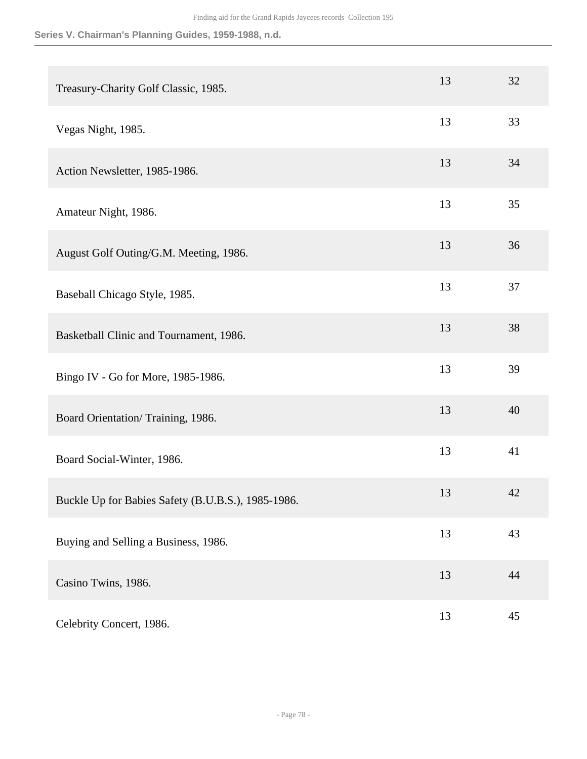| Treasury-Charity Golf Classic, 1985.               | 13 | 32 |
|----------------------------------------------------|----|----|
| Vegas Night, 1985.                                 | 13 | 33 |
| Action Newsletter, 1985-1986.                      | 13 | 34 |
| Amateur Night, 1986.                               | 13 | 35 |
| August Golf Outing/G.M. Meeting, 1986.             | 13 | 36 |
| Baseball Chicago Style, 1985.                      | 13 | 37 |
| Basketball Clinic and Tournament, 1986.            | 13 | 38 |
| Bingo IV - Go for More, 1985-1986.                 | 13 | 39 |
| Board Orientation/Training, 1986.                  | 13 | 40 |
| Board Social-Winter, 1986.                         | 13 | 41 |
| Buckle Up for Babies Safety (B.U.B.S.), 1985-1986. | 13 | 42 |
| Buying and Selling a Business, 1986.               | 13 | 43 |
| Casino Twins, 1986.                                | 13 | 44 |
| Celebrity Concert, 1986.                           | 13 | 45 |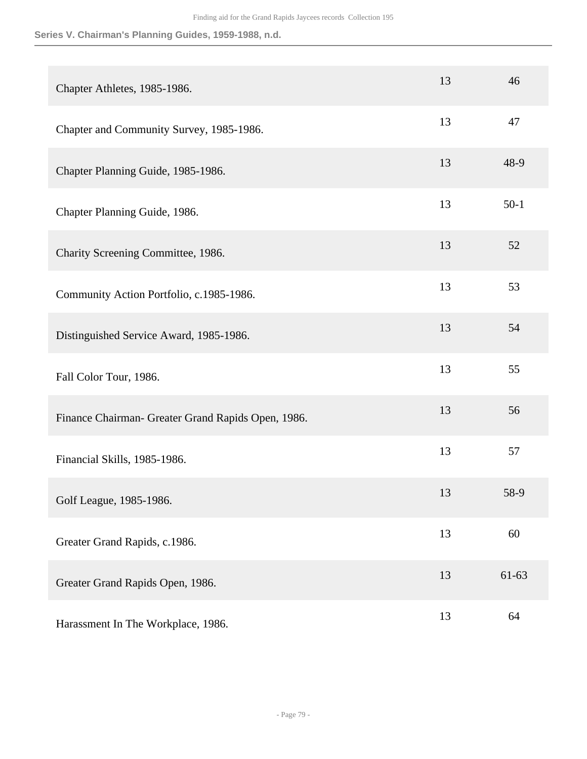| Chapter Athletes, 1985-1986.                       | 13 | 46        |
|----------------------------------------------------|----|-----------|
| Chapter and Community Survey, 1985-1986.           | 13 | 47        |
| Chapter Planning Guide, 1985-1986.                 | 13 | 48-9      |
| Chapter Planning Guide, 1986.                      | 13 | $50-1$    |
| Charity Screening Committee, 1986.                 | 13 | 52        |
| Community Action Portfolio, c.1985-1986.           | 13 | 53        |
| Distinguished Service Award, 1985-1986.            | 13 | 54        |
| Fall Color Tour, 1986.                             | 13 | 55        |
| Finance Chairman- Greater Grand Rapids Open, 1986. | 13 | 56        |
| Financial Skills, 1985-1986.                       | 13 | 57        |
| Golf League, 1985-1986.                            | 13 | 58-9      |
| Greater Grand Rapids, c.1986.                      | 13 | 60        |
| Greater Grand Rapids Open, 1986.                   | 13 | $61 - 63$ |
| Harassment In The Workplace, 1986.                 | 13 | 64        |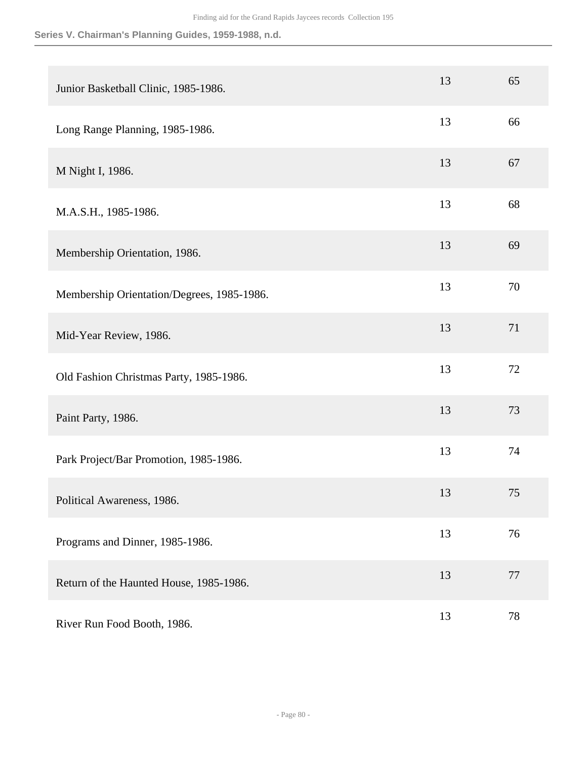| Junior Basketball Clinic, 1985-1986.       | 13 | 65     |
|--------------------------------------------|----|--------|
| Long Range Planning, 1985-1986.            | 13 | 66     |
| M Night I, 1986.                           | 13 | 67     |
| M.A.S.H., 1985-1986.                       | 13 | 68     |
| Membership Orientation, 1986.              | 13 | 69     |
| Membership Orientation/Degrees, 1985-1986. | 13 | 70     |
| Mid-Year Review, 1986.                     | 13 | 71     |
| Old Fashion Christmas Party, 1985-1986.    | 13 | 72     |
| Paint Party, 1986.                         | 13 | 73     |
| Park Project/Bar Promotion, 1985-1986.     | 13 | 74     |
| Political Awareness, 1986.                 | 13 | 75     |
| Programs and Dinner, 1985-1986.            | 13 | 76     |
| Return of the Haunted House, 1985-1986.    | 13 | $77\,$ |
| River Run Food Booth, 1986.                | 13 | 78     |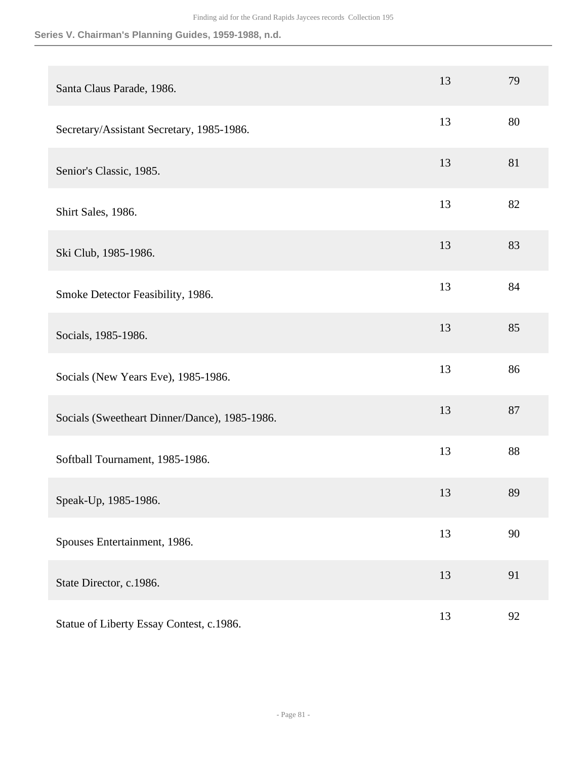| Santa Claus Parade, 1986.                     | 13 | 79 |
|-----------------------------------------------|----|----|
| Secretary/Assistant Secretary, 1985-1986.     | 13 | 80 |
| Senior's Classic, 1985.                       | 13 | 81 |
| Shirt Sales, 1986.                            | 13 | 82 |
| Ski Club, 1985-1986.                          | 13 | 83 |
| Smoke Detector Feasibility, 1986.             | 13 | 84 |
| Socials, 1985-1986.                           | 13 | 85 |
| Socials (New Years Eve), 1985-1986.           | 13 | 86 |
| Socials (Sweetheart Dinner/Dance), 1985-1986. | 13 | 87 |
| Softball Tournament, 1985-1986.               | 13 | 88 |
| Speak-Up, 1985-1986.                          | 13 | 89 |
| Spouses Entertainment, 1986.                  | 13 | 90 |
| State Director, c.1986.                       | 13 | 91 |
| Statue of Liberty Essay Contest, c.1986.      | 13 | 92 |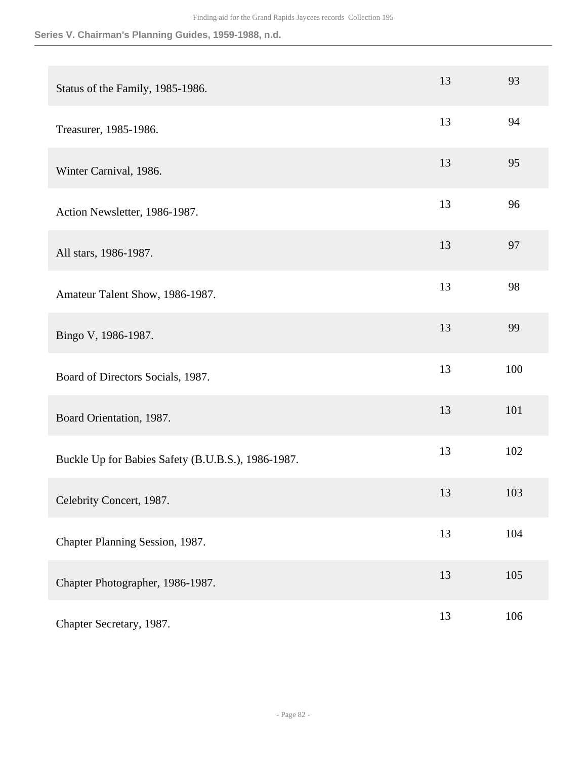| Status of the Family, 1985-1986.                   | 13 | 93  |
|----------------------------------------------------|----|-----|
| Treasurer, 1985-1986.                              | 13 | 94  |
| Winter Carnival, 1986.                             | 13 | 95  |
| Action Newsletter, 1986-1987.                      | 13 | 96  |
| All stars, 1986-1987.                              | 13 | 97  |
| Amateur Talent Show, 1986-1987.                    | 13 | 98  |
| Bingo V, 1986-1987.                                | 13 | 99  |
| Board of Directors Socials, 1987.                  | 13 | 100 |
| Board Orientation, 1987.                           | 13 | 101 |
| Buckle Up for Babies Safety (B.U.B.S.), 1986-1987. | 13 | 102 |
| Celebrity Concert, 1987.                           | 13 | 103 |
| Chapter Planning Session, 1987.                    | 13 | 104 |
| Chapter Photographer, 1986-1987.                   | 13 | 105 |
| Chapter Secretary, 1987.                           | 13 | 106 |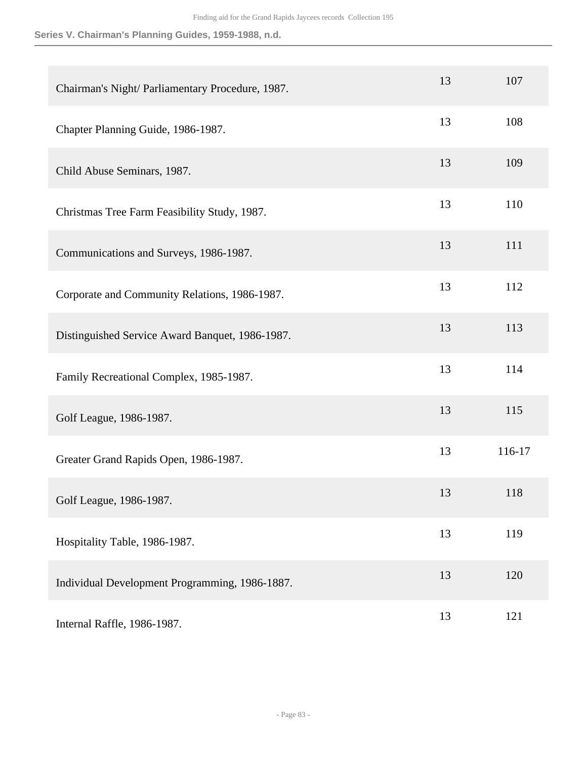| Chairman's Night/Parliamentary Procedure, 1987. | 13 | 107    |
|-------------------------------------------------|----|--------|
| Chapter Planning Guide, 1986-1987.              | 13 | 108    |
| Child Abuse Seminars, 1987.                     | 13 | 109    |
| Christmas Tree Farm Feasibility Study, 1987.    | 13 | 110    |
| Communications and Surveys, 1986-1987.          | 13 | 111    |
| Corporate and Community Relations, 1986-1987.   | 13 | 112    |
| Distinguished Service Award Banquet, 1986-1987. | 13 | 113    |
| Family Recreational Complex, 1985-1987.         | 13 | 114    |
| Golf League, 1986-1987.                         | 13 | 115    |
| Greater Grand Rapids Open, 1986-1987.           | 13 | 116-17 |
| Golf League, 1986-1987.                         | 13 | 118    |
| Hospitality Table, 1986-1987.                   | 13 | 119    |
| Individual Development Programming, 1986-1887.  | 13 | 120    |
| Internal Raffle, 1986-1987.                     | 13 | 121    |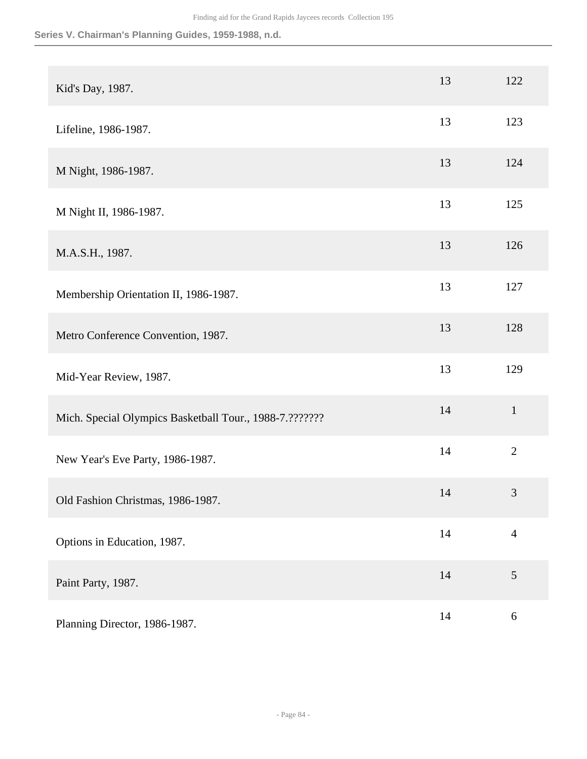| Kid's Day, 1987.                                        | 13 | 122              |
|---------------------------------------------------------|----|------------------|
| Lifeline, 1986-1987.                                    | 13 | 123              |
| M Night, 1986-1987.                                     | 13 | 124              |
| M Night II, 1986-1987.                                  | 13 | 125              |
| M.A.S.H., 1987.                                         | 13 | 126              |
| Membership Orientation II, 1986-1987.                   | 13 | 127              |
| Metro Conference Convention, 1987.                      | 13 | 128              |
| Mid-Year Review, 1987.                                  | 13 | 129              |
| Mich. Special Olympics Basketball Tour., 1988-7.??????? | 14 | $\mathbf{1}$     |
| New Year's Eve Party, 1986-1987.                        | 14 | $\overline{2}$   |
| Old Fashion Christmas, 1986-1987.                       | 14 | $\mathfrak{Z}$   |
| Options in Education, 1987.                             | 14 | $\overline{4}$   |
| Paint Party, 1987.                                      | 14 | $\mathfrak{S}$   |
| Planning Director, 1986-1987.                           | 14 | $\boldsymbol{6}$ |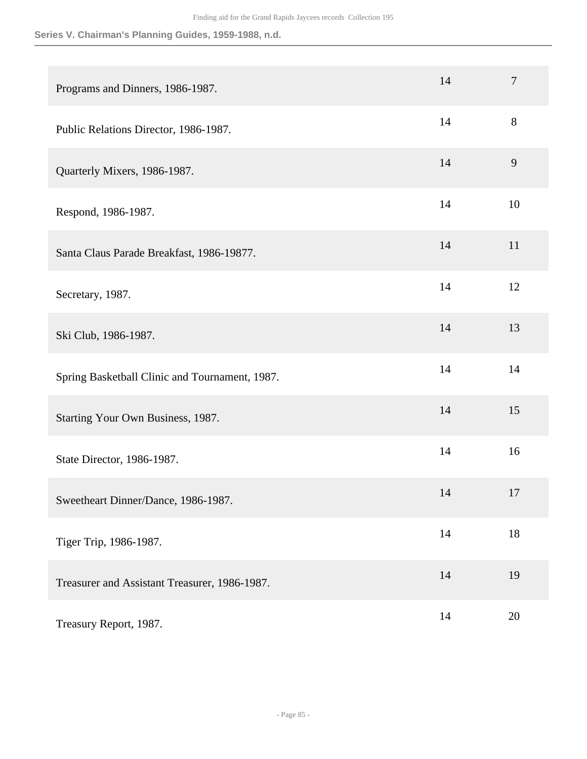| Programs and Dinners, 1986-1987.               | 14 | $\tau$ |
|------------------------------------------------|----|--------|
| Public Relations Director, 1986-1987.          | 14 | 8      |
| Quarterly Mixers, 1986-1987.                   | 14 | 9      |
| Respond, 1986-1987.                            | 14 | 10     |
| Santa Claus Parade Breakfast, 1986-19877.      | 14 | 11     |
| Secretary, 1987.                               | 14 | 12     |
| Ski Club, 1986-1987.                           | 14 | 13     |
| Spring Basketball Clinic and Tournament, 1987. | 14 | 14     |
| Starting Your Own Business, 1987.              | 14 | 15     |
| State Director, 1986-1987.                     | 14 | 16     |
| Sweetheart Dinner/Dance, 1986-1987.            | 14 | 17     |
| Tiger Trip, 1986-1987.                         | 14 | 18     |
| Treasurer and Assistant Treasurer, 1986-1987.  | 14 | 19     |
| Treasury Report, 1987.                         | 14 | 20     |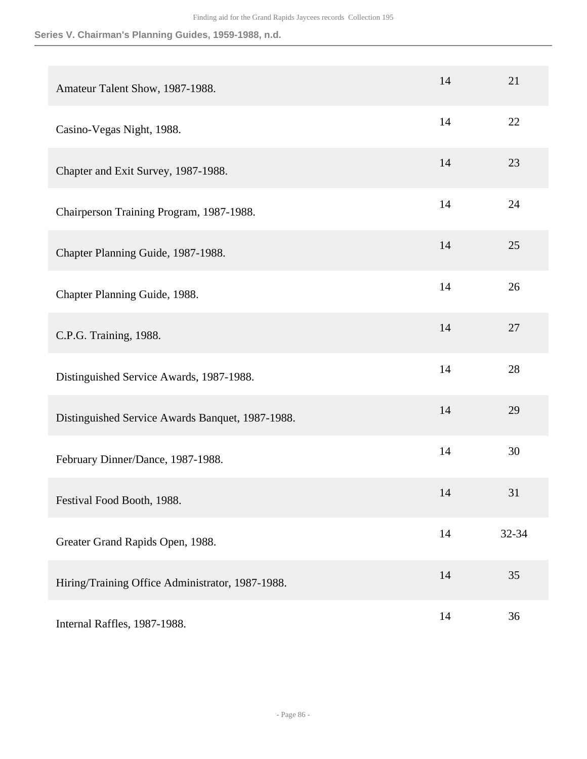| Amateur Talent Show, 1987-1988.                  | 14 | 21    |
|--------------------------------------------------|----|-------|
| Casino-Vegas Night, 1988.                        | 14 | 22    |
| Chapter and Exit Survey, 1987-1988.              | 14 | 23    |
| Chairperson Training Program, 1987-1988.         | 14 | 24    |
| Chapter Planning Guide, 1987-1988.               | 14 | 25    |
| Chapter Planning Guide, 1988.                    | 14 | 26    |
| C.P.G. Training, 1988.                           | 14 | 27    |
| Distinguished Service Awards, 1987-1988.         | 14 | 28    |
| Distinguished Service Awards Banquet, 1987-1988. | 14 | 29    |
| February Dinner/Dance, 1987-1988.                | 14 | 30    |
| Festival Food Booth, 1988.                       | 14 | 31    |
| Greater Grand Rapids Open, 1988.                 | 14 | 32-34 |
| Hiring/Training Office Administrator, 1987-1988. | 14 | 35    |
| Internal Raffles, 1987-1988.                     | 14 | 36    |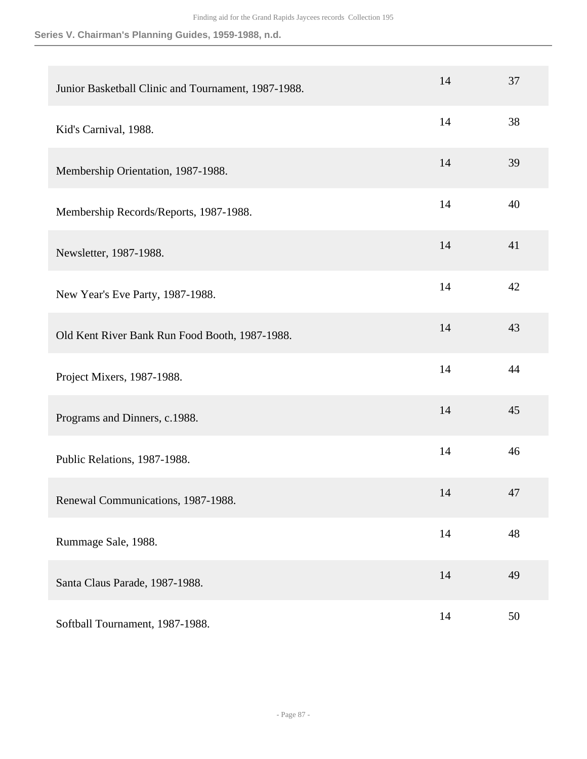| Junior Basketball Clinic and Tournament, 1987-1988. | 14 | 37     |
|-----------------------------------------------------|----|--------|
| Kid's Carnival, 1988.                               | 14 | 38     |
| Membership Orientation, 1987-1988.                  | 14 | 39     |
| Membership Records/Reports, 1987-1988.              | 14 | 40     |
| Newsletter, 1987-1988.                              | 14 | 41     |
| New Year's Eve Party, 1987-1988.                    | 14 | 42     |
| Old Kent River Bank Run Food Booth, 1987-1988.      | 14 | 43     |
| Project Mixers, 1987-1988.                          | 14 | 44     |
| Programs and Dinners, c.1988.                       | 14 | 45     |
| Public Relations, 1987-1988.                        | 14 | 46     |
| Renewal Communications, 1987-1988.                  | 14 | 47     |
| Rummage Sale, 1988.                                 | 14 | 48     |
| Santa Claus Parade, 1987-1988.                      | 14 | 49     |
| Softball Tournament, 1987-1988.                     | 14 | $50\,$ |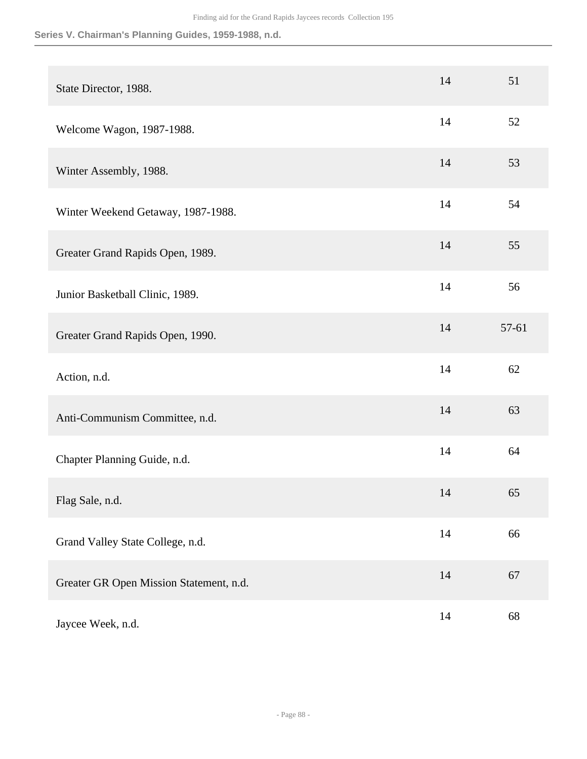| State Director, 1988.                   | 14 | 51    |
|-----------------------------------------|----|-------|
| Welcome Wagon, 1987-1988.               | 14 | 52    |
| Winter Assembly, 1988.                  | 14 | 53    |
| Winter Weekend Getaway, 1987-1988.      | 14 | 54    |
| Greater Grand Rapids Open, 1989.        | 14 | 55    |
| Junior Basketball Clinic, 1989.         | 14 | 56    |
| Greater Grand Rapids Open, 1990.        | 14 | 57-61 |
| Action, n.d.                            | 14 | 62    |
| Anti-Communism Committee, n.d.          | 14 | 63    |
| Chapter Planning Guide, n.d.            | 14 | 64    |
| Flag Sale, n.d.                         | 14 | 65    |
| Grand Valley State College, n.d.        | 14 | 66    |
| Greater GR Open Mission Statement, n.d. | 14 | 67    |
| Jaycee Week, n.d.                       | 14 | 68    |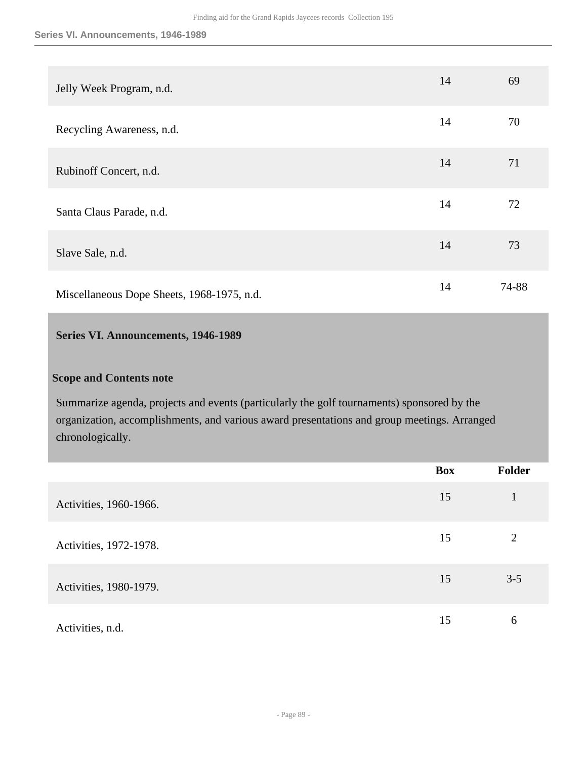| Jelly Week Program, n.d.                   | 14 | 69    |
|--------------------------------------------|----|-------|
| Recycling Awareness, n.d.                  | 14 | 70    |
| Rubinoff Concert, n.d.                     | 14 | 71    |
| Santa Claus Parade, n.d.                   | 14 | 72    |
| Slave Sale, n.d.                           | 14 | 73    |
| Miscellaneous Dope Sheets, 1968-1975, n.d. | 14 | 74-88 |

## **Series VI. Announcements, 1946-1989**

## **Scope and Contents note**

Summarize agenda, projects and events (particularly the golf tournaments) sponsored by the organization, accomplishments, and various award presentations and group meetings. Arranged chronologically.

|                        | Box | Folder  |
|------------------------|-----|---------|
| Activities, 1960-1966. | 15  | 1       |
| Activities, 1972-1978. | 15  | 2       |
| Activities, 1980-1979. | 15  | $3 - 5$ |
| Activities, n.d.       | 15  | 6       |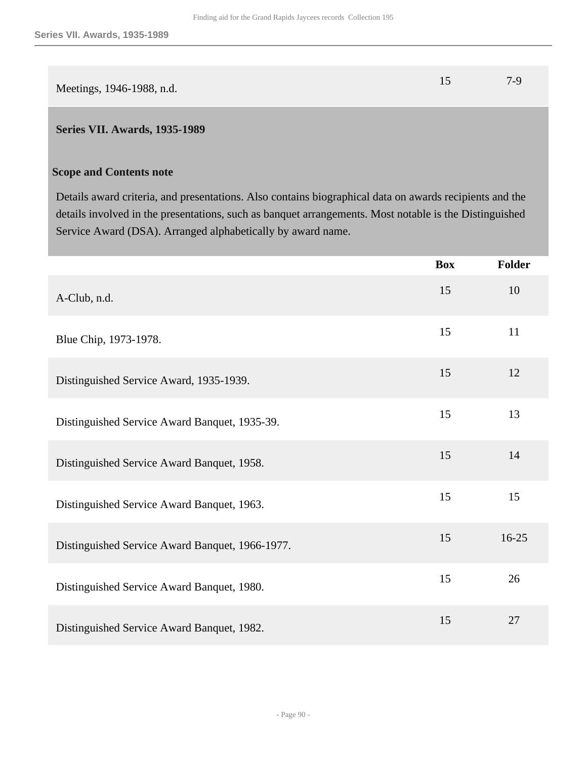|                           | $7-9$ |
|---------------------------|-------|
| Meetings, 1946-1988, n.d. |       |

### **Series VII. Awards, 1935-1989**

#### **Scope and Contents note**

Details award criteria, and presentations. Also contains biographical data on awards recipients and the details involved in the presentations, such as banquet arrangements. Most notable is the Distinguished Service Award (DSA). Arranged alphabetically by award name.

|                                                 | <b>Box</b> | Folder    |
|-------------------------------------------------|------------|-----------|
| A-Club, n.d.                                    | 15         | 10        |
| Blue Chip, 1973-1978.                           | 15         | 11        |
| Distinguished Service Award, 1935-1939.         | 15         | 12        |
| Distinguished Service Award Banquet, 1935-39.   | 15         | 13        |
| Distinguished Service Award Banquet, 1958.      | 15         | 14        |
| Distinguished Service Award Banquet, 1963.      | 15         | 15        |
| Distinguished Service Award Banquet, 1966-1977. | 15         | $16 - 25$ |
| Distinguished Service Award Banquet, 1980.      | 15         | 26        |
| Distinguished Service Award Banquet, 1982.      | 15         | 27        |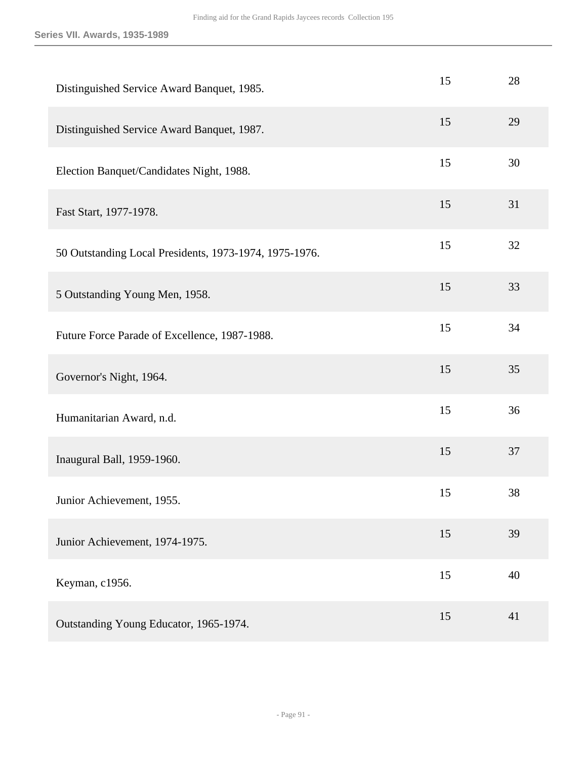| Distinguished Service Award Banquet, 1985.             | 15 | 28 |
|--------------------------------------------------------|----|----|
| Distinguished Service Award Banquet, 1987.             | 15 | 29 |
| Election Banquet/Candidates Night, 1988.               | 15 | 30 |
| Fast Start, 1977-1978.                                 | 15 | 31 |
| 50 Outstanding Local Presidents, 1973-1974, 1975-1976. | 15 | 32 |
| 5 Outstanding Young Men, 1958.                         | 15 | 33 |
| Future Force Parade of Excellence, 1987-1988.          | 15 | 34 |
| Governor's Night, 1964.                                | 15 | 35 |
| Humanitarian Award, n.d.                               | 15 | 36 |
| Inaugural Ball, 1959-1960.                             | 15 | 37 |
| Junior Achievement, 1955.                              | 15 | 38 |
| Junior Achievement, 1974-1975.                         | 15 | 39 |
| Keyman, c1956.                                         | 15 | 40 |
| Outstanding Young Educator, 1965-1974.                 | 15 | 41 |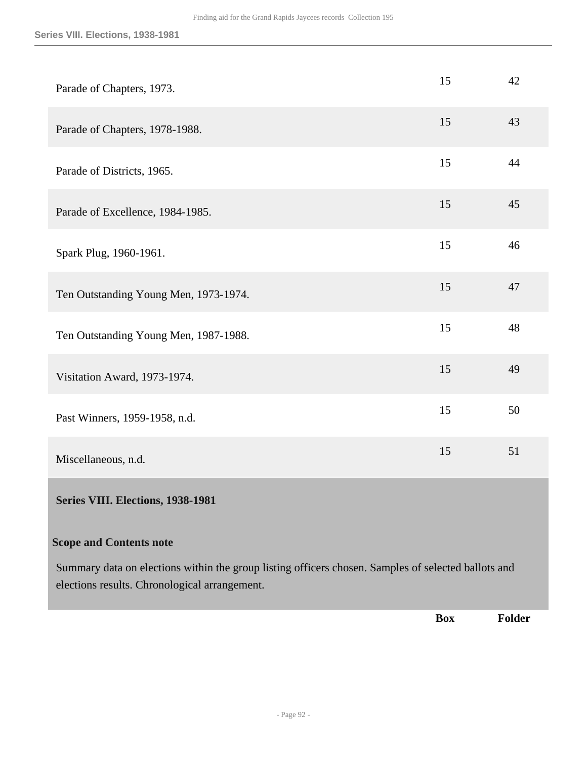| Parade of Chapters, 1973.             | 15 | 42 |
|---------------------------------------|----|----|
| Parade of Chapters, 1978-1988.        | 15 | 43 |
| Parade of Districts, 1965.            | 15 | 44 |
| Parade of Excellence, 1984-1985.      | 15 | 45 |
| Spark Plug, 1960-1961.                | 15 | 46 |
| Ten Outstanding Young Men, 1973-1974. | 15 | 47 |
| Ten Outstanding Young Men, 1987-1988. | 15 | 48 |
| Visitation Award, 1973-1974.          | 15 | 49 |
| Past Winners, 1959-1958, n.d.         | 15 | 50 |
| Miscellaneous, n.d.                   | 15 | 51 |
| Series VIII. Elections, 1938-1981     |    |    |
| <b>Scope and Contents note</b>        |    |    |

Summary data on elections within the group listing officers chosen. Samples of selected ballots and elections results. Chronological arrangement.

**Box Folder**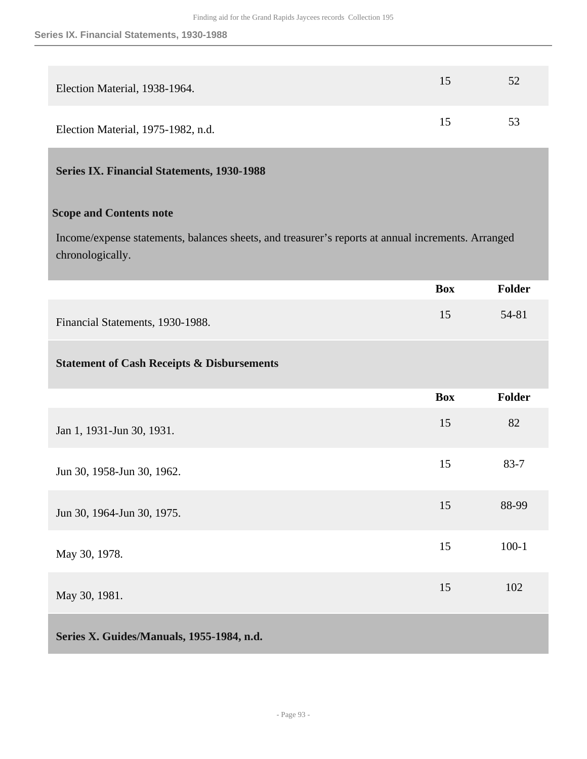| Election Material, 1938-1964.      | 15 | 52 |
|------------------------------------|----|----|
| Election Material, 1975-1982, n.d. | 15 | 53 |

# **Series IX. Financial Statements, 1930-1988**

## **Scope and Contents note**

Income/expense statements, balances sheets, and treasurer's reports at annual increments. Arranged chronologically.

|                                                       | <b>Box</b> | <b>Folder</b> |
|-------------------------------------------------------|------------|---------------|
| Financial Statements, 1930-1988.                      | 15         | 54-81         |
| <b>Statement of Cash Receipts &amp; Disbursements</b> |            |               |
|                                                       | <b>Box</b> | <b>Folder</b> |
| Jan 1, 1931-Jun 30, 1931.                             | 15         | 82            |
| Jun 30, 1958-Jun 30, 1962.                            | 15         | $83 - 7$      |
| Jun 30, 1964-Jun 30, 1975.                            | 15         | 88-99         |
| May 30, 1978.                                         | 15         | $100 - 1$     |
| May 30, 1981.                                         | 15         | 102           |
| Series X. Guides/Manuals, 1955-1984, n.d.             |            |               |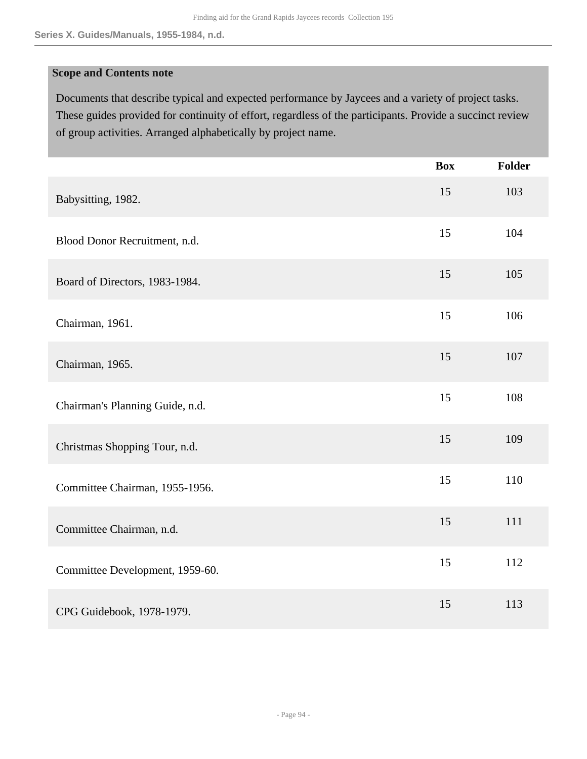#### **Scope and Contents note**

Documents that describe typical and expected performance by Jaycees and a variety of project tasks. These guides provided for continuity of effort, regardless of the participants. Provide a succinct review of group activities. Arranged alphabetically by project name.

|                                 | <b>Box</b> | <b>Folder</b> |
|---------------------------------|------------|---------------|
| Babysitting, 1982.              | 15         | 103           |
| Blood Donor Recruitment, n.d.   | 15         | 104           |
| Board of Directors, 1983-1984.  | 15         | 105           |
| Chairman, 1961.                 | 15         | 106           |
| Chairman, 1965.                 | 15         | 107           |
| Chairman's Planning Guide, n.d. | 15         | 108           |
| Christmas Shopping Tour, n.d.   | 15         | 109           |
| Committee Chairman, 1955-1956.  | 15         | 110           |
| Committee Chairman, n.d.        | 15         | 111           |
| Committee Development, 1959-60. | 15         | 112           |
| CPG Guidebook, 1978-1979.       | 15         | 113           |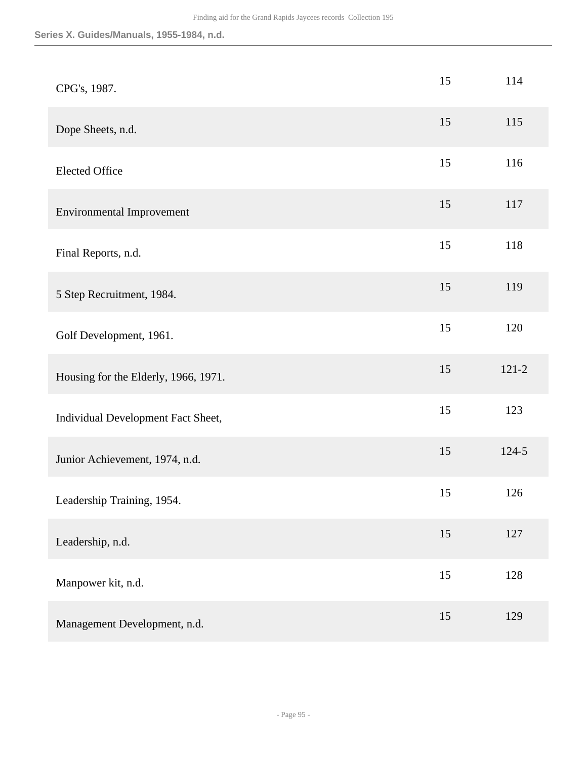| CPG's, 1987.                         | 15 | 114       |
|--------------------------------------|----|-----------|
| Dope Sheets, n.d.                    | 15 | 115       |
| <b>Elected Office</b>                | 15 | 116       |
| <b>Environmental Improvement</b>     | 15 | 117       |
| Final Reports, n.d.                  | 15 | 118       |
| 5 Step Recruitment, 1984.            | 15 | 119       |
| Golf Development, 1961.              | 15 | 120       |
| Housing for the Elderly, 1966, 1971. | 15 | $121 - 2$ |
| Individual Development Fact Sheet,   | 15 | 123       |
| Junior Achievement, 1974, n.d.       | 15 | $124 - 5$ |
| Leadership Training, 1954.           | 15 | 126       |
| Leadership, n.d.                     | 15 | 127       |
| Manpower kit, n.d.                   | 15 | 128       |
| Management Development, n.d.         | 15 | 129       |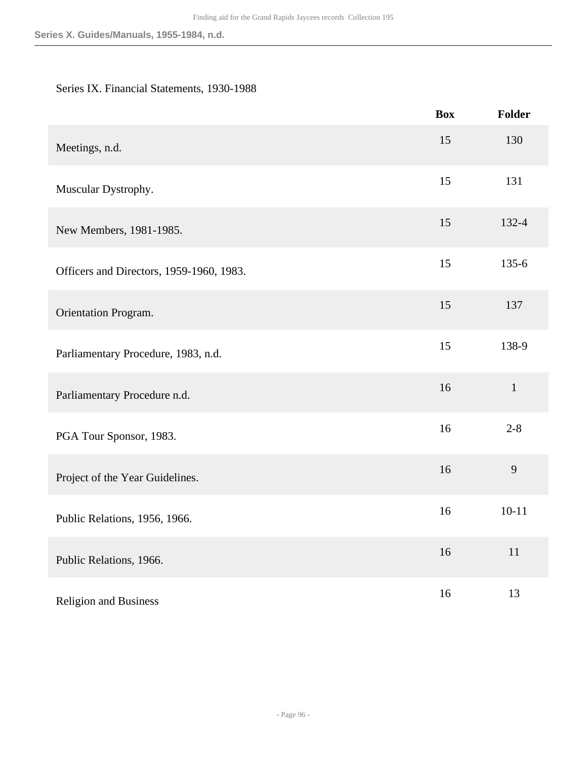# Series IX. Financial Statements, 1930-1988

|                                          | <b>Box</b> | <b>Folder</b> |
|------------------------------------------|------------|---------------|
| Meetings, n.d.                           | 15         | 130           |
| Muscular Dystrophy.                      | 15         | 131           |
| New Members, 1981-1985.                  | 15         | 132-4         |
| Officers and Directors, 1959-1960, 1983. | 15         | $135 - 6$     |
| Orientation Program.                     | 15         | 137           |
| Parliamentary Procedure, 1983, n.d.      | 15         | 138-9         |
| Parliamentary Procedure n.d.             | 16         | $\mathbf{1}$  |
| PGA Tour Sponsor, 1983.                  | 16         | $2 - 8$       |
| Project of the Year Guidelines.          | 16         | 9             |
| Public Relations, 1956, 1966.            | 16         | $10 - 11$     |
| Public Relations, 1966.                  | 16         | 11            |
| <b>Religion and Business</b>             | 16         | 13            |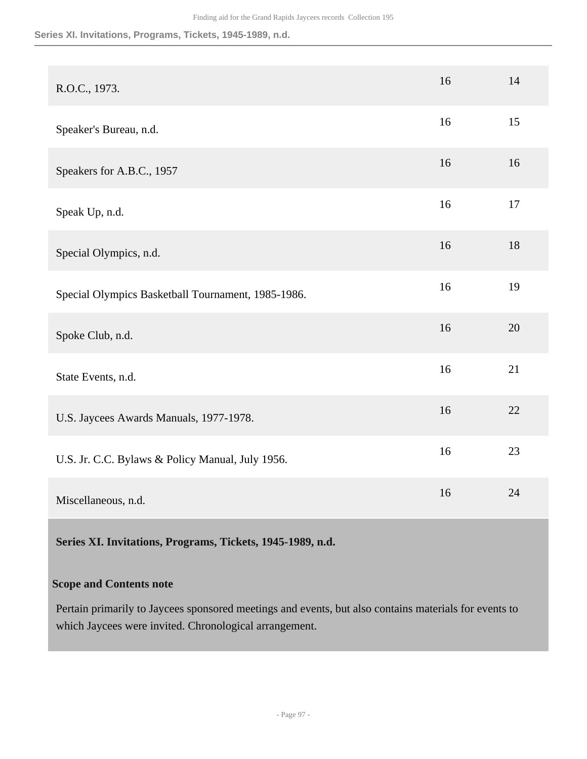#### **Series XI. Invitations, Programs, Tickets, 1945-1989, n.d.**

| R.O.C., 1973.                                      | 16 | 14 |
|----------------------------------------------------|----|----|
| Speaker's Bureau, n.d.                             | 16 | 15 |
| Speakers for A.B.C., 1957                          | 16 | 16 |
| Speak Up, n.d.                                     | 16 | 17 |
| Special Olympics, n.d.                             | 16 | 18 |
| Special Olympics Basketball Tournament, 1985-1986. | 16 | 19 |
| Spoke Club, n.d.                                   | 16 | 20 |
| State Events, n.d.                                 | 16 | 21 |
| U.S. Jaycees Awards Manuals, 1977-1978.            | 16 | 22 |
| U.S. Jr. C.C. Bylaws & Policy Manual, July 1956.   | 16 | 23 |
| Miscellaneous, n.d.                                | 16 | 24 |

**Series XI. Invitations, Programs, Tickets, 1945-1989, n.d.** 

# **Scope and Contents note**

Pertain primarily to Jaycees sponsored meetings and events, but also contains materials for events to which Jaycees were invited. Chronological arrangement.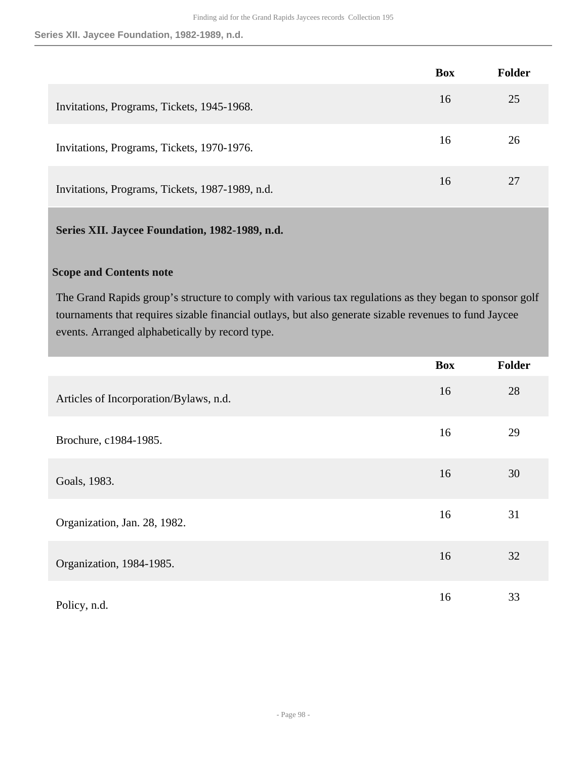**Series XII. Jaycee Foundation, 1982-1989, n.d.**

|                                                 | <b>Box</b> | <b>Folder</b> |
|-------------------------------------------------|------------|---------------|
| Invitations, Programs, Tickets, 1945-1968.      | 16         | 25            |
| Invitations, Programs, Tickets, 1970-1976.      | 16         | 26            |
| Invitations, Programs, Tickets, 1987-1989, n.d. | 16         | 27            |

# **Series XII. Jaycee Foundation, 1982-1989, n.d.**

## **Scope and Contents note**

The Grand Rapids group's structure to comply with various tax regulations as they began to sponsor golf tournaments that requires sizable financial outlays, but also generate sizable revenues to fund Jaycee events. Arranged alphabetically by record type.

|                                        | <b>Box</b> | Folder |
|----------------------------------------|------------|--------|
| Articles of Incorporation/Bylaws, n.d. | 16         | 28     |
| Brochure, c1984-1985.                  | 16         | 29     |
| Goals, 1983.                           | 16         | 30     |
| Organization, Jan. 28, 1982.           | 16         | 31     |
| Organization, 1984-1985.               | 16         | 32     |
| Policy, n.d.                           | 16         | 33     |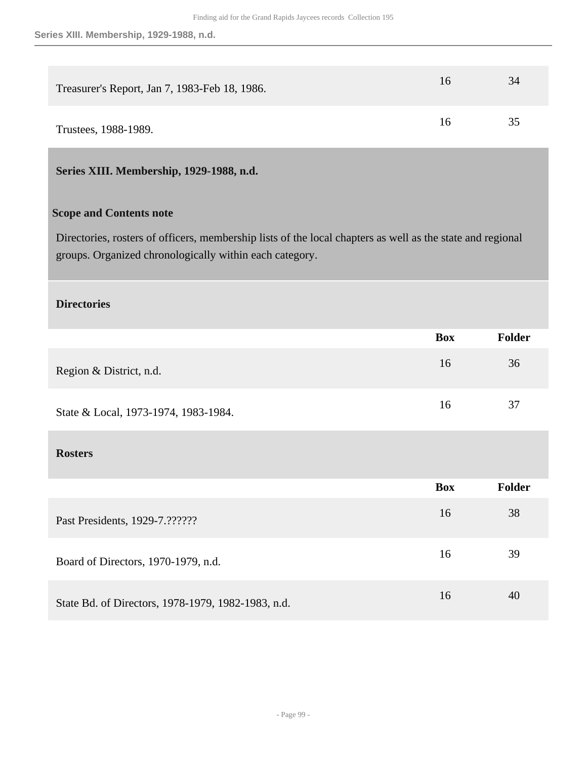| Treasurer's Report, Jan 7, 1983-Feb 18, 1986. | 16 | 34 |
|-----------------------------------------------|----|----|
| Trustees, 1988-1989.                          | 16 | 35 |

# **Series XIII. Membership, 1929-1988, n.d.**

## **Scope and Contents note**

Directories, rosters of officers, membership lists of the local chapters as well as the state and regional groups. Organized chronologically within each category.

#### **Directories**

|                                                    | <b>Box</b> | <b>Folder</b> |
|----------------------------------------------------|------------|---------------|
| Region & District, n.d.                            | 16         | 36            |
| State & Local, 1973-1974, 1983-1984.               | 16         | 37            |
| <b>Rosters</b>                                     |            |               |
|                                                    | <b>Box</b> | Folder        |
| Past Presidents, 1929-7.??????                     | 16         | 38            |
| Board of Directors, 1970-1979, n.d.                | 16         | 39            |
| State Bd. of Directors, 1978-1979, 1982-1983, n.d. | 16         | 40            |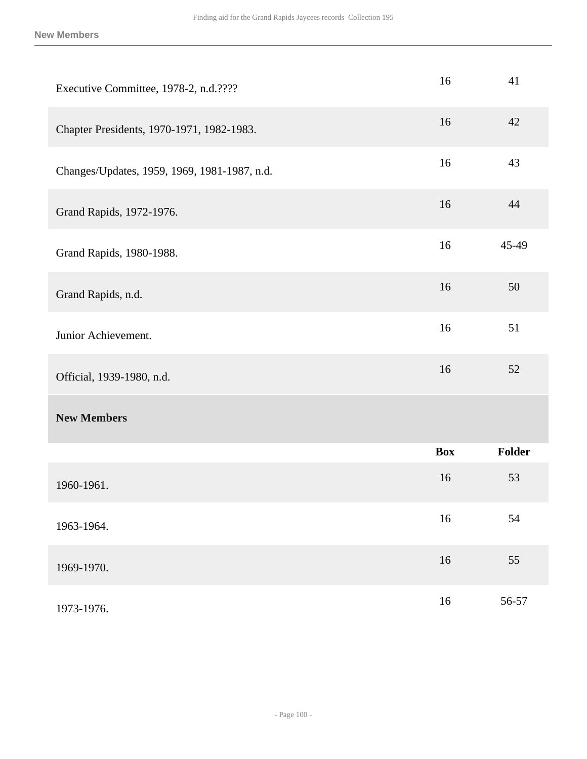| Executive Committee, 1978-2, n.d.????        | 16         | 41     |
|----------------------------------------------|------------|--------|
| Chapter Presidents, 1970-1971, 1982-1983.    | 16         | 42     |
| Changes/Updates, 1959, 1969, 1981-1987, n.d. | 16         | 43     |
| Grand Rapids, 1972-1976.                     | 16         | 44     |
| Grand Rapids, 1980-1988.                     | 16         | 45-49  |
| Grand Rapids, n.d.                           | 16         | 50     |
| Junior Achievement.                          | 16         | 51     |
| Official, 1939-1980, n.d.                    | 16         | 52     |
| <b>New Members</b>                           |            |        |
|                                              | <b>Box</b> | Folder |
| 1960-1961.                                   | 16         | 53     |
| 1963-1964.                                   | 16         | 54     |
| 1969-1970.                                   | $16\,$     | 55     |
| 1973-1976.                                   | $16\,$     | 56-57  |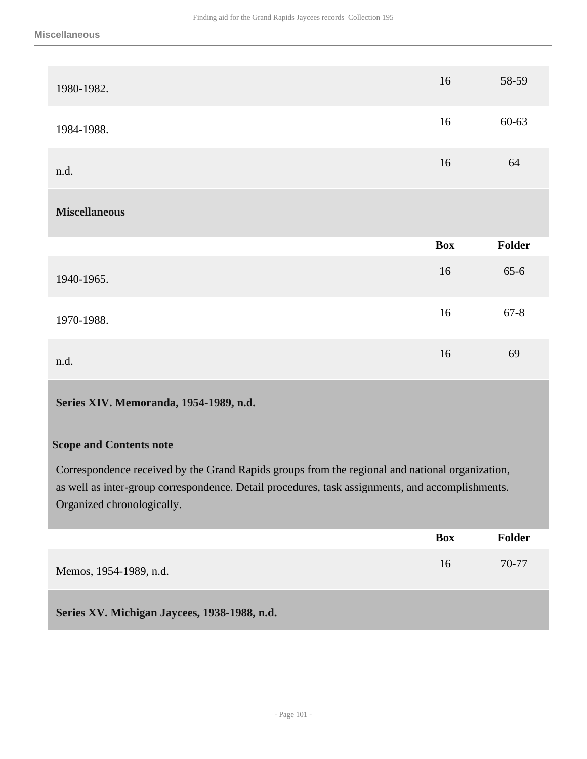| 1980-1982.           | 16         | 58-59     |
|----------------------|------------|-----------|
| 1984-1988.           | 16         | $60 - 63$ |
| n.d.                 | 16         | 64        |
|                      |            |           |
| <b>Miscellaneous</b> |            |           |
|                      | <b>Box</b> | Folder    |
| 1940-1965.           | 16         | $65 - 6$  |
| 1970-1988.           | 16         | $67 - 8$  |

# **Series XIV. Memoranda, 1954-1989, n.d.**

#### **Scope and Contents note**

Correspondence received by the Grand Rapids groups from the regional and national organization, as well as inter-group correspondence. Detail procedures, task assignments, and accomplishments. Organized chronologically.

|                                              | <b>Box</b> | <b>Folder</b> |
|----------------------------------------------|------------|---------------|
| Memos, 1954-1989, n.d.                       | 16         | 70-77         |
| Series XV. Michigan Jaycees, 1938-1988, n.d. |            |               |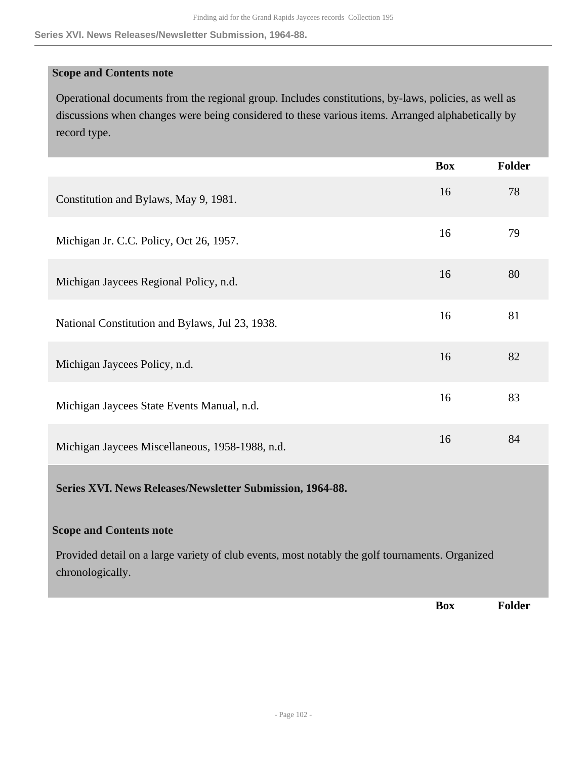#### **Series XVI. News Releases/Newsletter Submission, 1964-88.**

#### **Scope and Contents note**

Operational documents from the regional group. Includes constitutions, by-laws, policies, as well as discussions when changes were being considered to these various items. Arranged alphabetically by record type.

|                                                                                                                     | <b>Box</b> | <b>Folder</b> |
|---------------------------------------------------------------------------------------------------------------------|------------|---------------|
| Constitution and Bylaws, May 9, 1981.                                                                               | 16         | 78            |
| Michigan Jr. C.C. Policy, Oct 26, 1957.                                                                             | 16         | 79            |
| Michigan Jaycees Regional Policy, n.d.                                                                              | 16         | 80            |
| National Constitution and Bylaws, Jul 23, 1938.                                                                     | 16         | 81            |
| Michigan Jaycees Policy, n.d.                                                                                       | 16         | 82            |
| Michigan Jaycees State Events Manual, n.d.                                                                          | 16         | 83            |
| Michigan Jaycees Miscellaneous, 1958-1988, n.d.                                                                     | 16         | 84            |
| Series XVI. News Releases/Newsletter Submission, 1964-88.                                                           |            |               |
| <b>Scope and Contents note</b>                                                                                      |            |               |
| Provided detail on a large variety of club events, most notably the golf tournaments. Organized<br>chronologically. |            |               |
|                                                                                                                     | <b>Box</b> | <b>Folder</b> |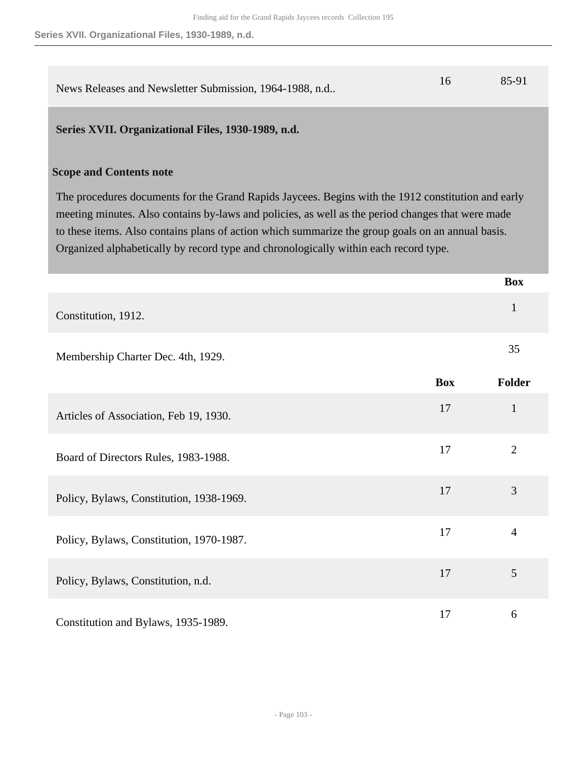| News Releases and Newsletter Submission, 1964-1988, n.d |  | 85-91 |
|---------------------------------------------------------|--|-------|
|---------------------------------------------------------|--|-------|

### **Series XVII. Organizational Files, 1930-1989, n.d.**

#### **Scope and Contents note**

The procedures documents for the Grand Rapids Jaycees. Begins with the 1912 constitution and early meeting minutes. Also contains by-laws and policies, as well as the period changes that were made to these items. Also contains plans of action which summarize the group goals on an annual basis. Organized alphabetically by record type and chronologically within each record type.

|                                          |            | <b>Box</b>     |
|------------------------------------------|------------|----------------|
| Constitution, 1912.                      |            | $\mathbf{1}$   |
| Membership Charter Dec. 4th, 1929.       |            | 35             |
|                                          | <b>Box</b> | Folder         |
| Articles of Association, Feb 19, 1930.   | 17         | $\mathbf{1}$   |
| Board of Directors Rules, 1983-1988.     | 17         | $\overline{2}$ |
| Policy, Bylaws, Constitution, 1938-1969. | 17         | 3              |
| Policy, Bylaws, Constitution, 1970-1987. | 17         | $\overline{4}$ |
| Policy, Bylaws, Constitution, n.d.       | 17         | 5              |
| Constitution and Bylaws, 1935-1989.      | 17         | 6              |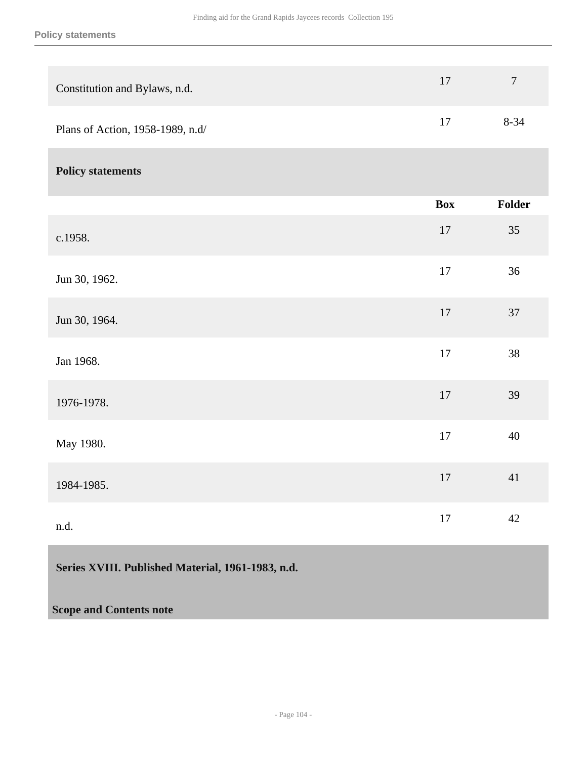| Constitution and Bylaws, n.d.    | $17\,$     | $\boldsymbol{7}$ |
|----------------------------------|------------|------------------|
| Plans of Action, 1958-1989, n.d/ | $17\,$     | $8 - 34$         |
| <b>Policy statements</b>         |            |                  |
|                                  | <b>Box</b> | Folder           |
| c.1958.                          | $17\,$     | 35               |
| Jun 30, 1962.                    | 17         | 36               |
| Jun 30, 1964.                    | $17\,$     | 37               |
| Jan 1968.                        | 17         | 38               |
| 1976-1978.                       | 17         | 39               |
| May 1980.                        | 17         | 40               |
| 1984-1985.                       | $17\,$     | 41               |
| n.d.                             | $17\,$     | 42               |
|                                  |            |                  |

# **Series XVIII. Published Material, 1961-1983, n.d.**

## **Scope and Contents note**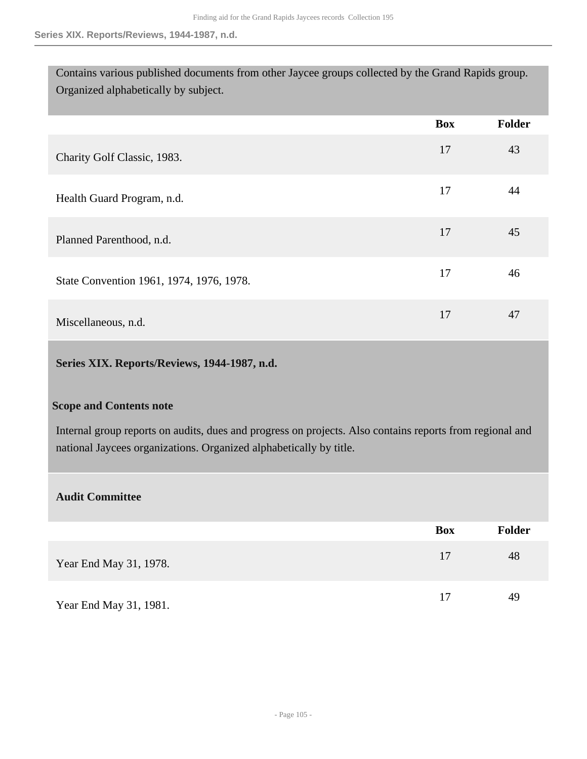Contains various published documents from other Jaycee groups collected by the Grand Rapids group. Organized alphabetically by subject.

|                                          | <b>Box</b> | Folder |
|------------------------------------------|------------|--------|
| Charity Golf Classic, 1983.              | 17         | 43     |
| Health Guard Program, n.d.               | 17         | 44     |
| Planned Parenthood, n.d.                 | 17         | 45     |
| State Convention 1961, 1974, 1976, 1978. | 17         | 46     |
| Miscellaneous, n.d.                      | 17         | 47     |

### **Series XIX. Reports/Reviews, 1944-1987, n.d.**

#### **Scope and Contents note**

Internal group reports on audits, dues and progress on projects. Also contains reports from regional and national Jaycees organizations. Organized alphabetically by title.

### **Audit Committee**

|                        | Box | <b>Folder</b> |
|------------------------|-----|---------------|
| Year End May 31, 1978. | 17  | 48            |
| Year End May 31, 1981. | 17  | 49            |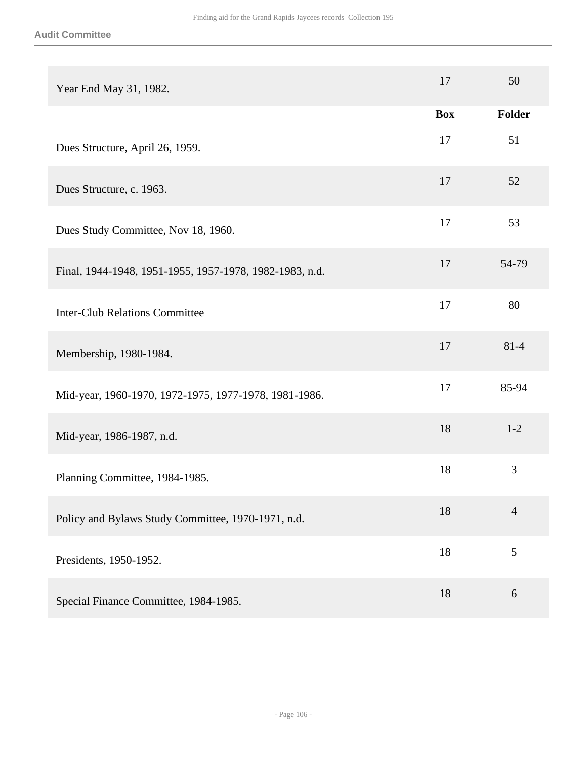| Year End May 31, 1982.                                  | 17         | 50             |
|---------------------------------------------------------|------------|----------------|
|                                                         | <b>Box</b> | Folder         |
| Dues Structure, April 26, 1959.                         | 17         | 51             |
| Dues Structure, c. 1963.                                | 17         | 52             |
| Dues Study Committee, Nov 18, 1960.                     | 17         | 53             |
| Final, 1944-1948, 1951-1955, 1957-1978, 1982-1983, n.d. | 17         | 54-79          |
| <b>Inter-Club Relations Committee</b>                   | 17         | 80             |
| Membership, 1980-1984.                                  | 17         | $81 - 4$       |
| Mid-year, 1960-1970, 1972-1975, 1977-1978, 1981-1986.   | 17         | 85-94          |
| Mid-year, 1986-1987, n.d.                               | 18         | $1 - 2$        |
| Planning Committee, 1984-1985.                          | 18         | 3              |
| Policy and Bylaws Study Committee, 1970-1971, n.d.      | 18         | $\overline{4}$ |
| Presidents, 1950-1952.                                  | 18         | 5              |
| Special Finance Committee, 1984-1985.                   | 18         | 6              |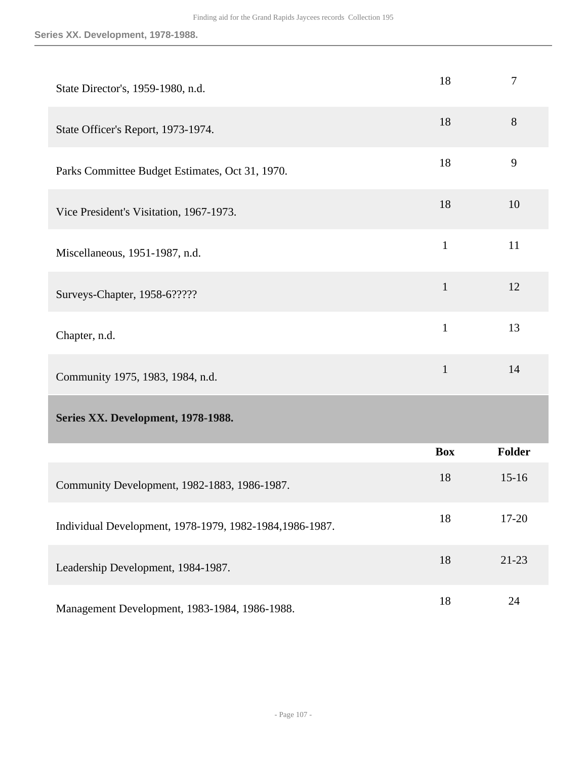| State Director's, 1959-1980, n.d.                        | 18           | $\tau$    |
|----------------------------------------------------------|--------------|-----------|
| State Officer's Report, 1973-1974.                       | 18           | 8         |
| Parks Committee Budget Estimates, Oct 31, 1970.          | 18           | 9         |
| Vice President's Visitation, 1967-1973.                  | 18           | 10        |
| Miscellaneous, 1951-1987, n.d.                           | $\mathbf{1}$ | 11        |
| Surveys-Chapter, 1958-6?????                             | $\mathbf{1}$ | 12        |
| Chapter, n.d.                                            | $\mathbf{1}$ | 13        |
| Community 1975, 1983, 1984, n.d.                         | $\mathbf{1}$ | 14        |
| Series XX. Development, 1978-1988.                       |              |           |
|                                                          | <b>Box</b>   | Folder    |
| Community Development, 1982-1883, 1986-1987.             | 18           | $15 - 16$ |
| Individual Development, 1978-1979, 1982-1984, 1986-1987. | 18           | $17 - 20$ |
| Leadership Development, 1984-1987.                       | 18           | $21 - 23$ |
| Management Development, 1983-1984, 1986-1988.            | 18           | 24        |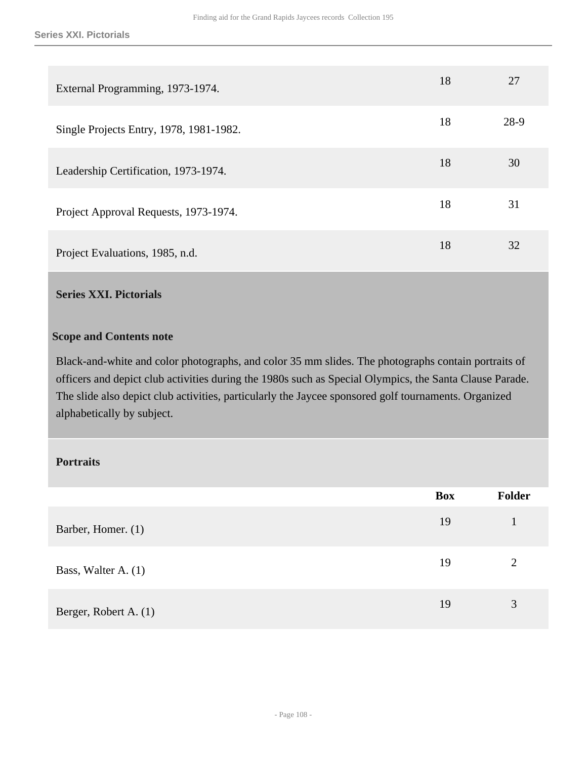| External Programming, 1973-1974.        | 18 | 27   |
|-----------------------------------------|----|------|
| Single Projects Entry, 1978, 1981-1982. | 18 | 28-9 |
| Leadership Certification, 1973-1974.    | 18 | 30   |
| Project Approval Requests, 1973-1974.   | 18 | 31   |
| Project Evaluations, 1985, n.d.         | 18 | 32   |

## **Series XXI. Pictorials**

#### **Scope and Contents note**

Black-and-white and color photographs, and color 35 mm slides. The photographs contain portraits of officers and depict club activities during the 1980s such as Special Olympics, the Santa Clause Parade. The slide also depict club activities, particularly the Jaycee sponsored golf tournaments. Organized alphabetically by subject.

### **Portraits**

|                       | Box | Folder         |
|-----------------------|-----|----------------|
| Barber, Homer. (1)    | 19  |                |
| Bass, Walter A. (1)   | 19  | $\overline{2}$ |
| Berger, Robert A. (1) | 19  | 3              |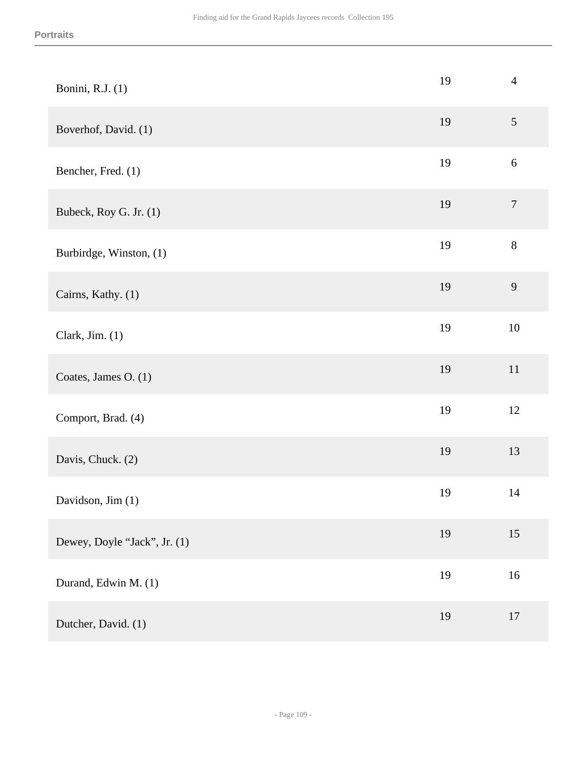| Bonini, R.J. (1)             | 19 | $\overline{4}$   |
|------------------------------|----|------------------|
| Boverhof, David. (1)         | 19 | $\sqrt{5}$       |
| Bencher, Fred. (1)           | 19 | $\sqrt{6}$       |
| Bubeck, Roy G. Jr. (1)       | 19 | $\boldsymbol{7}$ |
| Burbirdge, Winston, (1)      | 19 | $8\,$            |
| Cairns, Kathy. (1)           | 19 | 9                |
| Clark, Jim. $(1)$            | 19 | $10\,$           |
| Coates, James O. (1)         | 19 | $11\,$           |
| Comport, Brad. (4)           | 19 | 12               |
| Davis, Chuck. (2)            | 19 | 13               |
| Davidson, Jim (1)            | 19 | 14               |
| Dewey, Doyle "Jack", Jr. (1) | 19 | 15               |
| Durand, Edwin M. (1)         | 19 | 16               |
| Dutcher, David. (1)          | 19 | $17\,$           |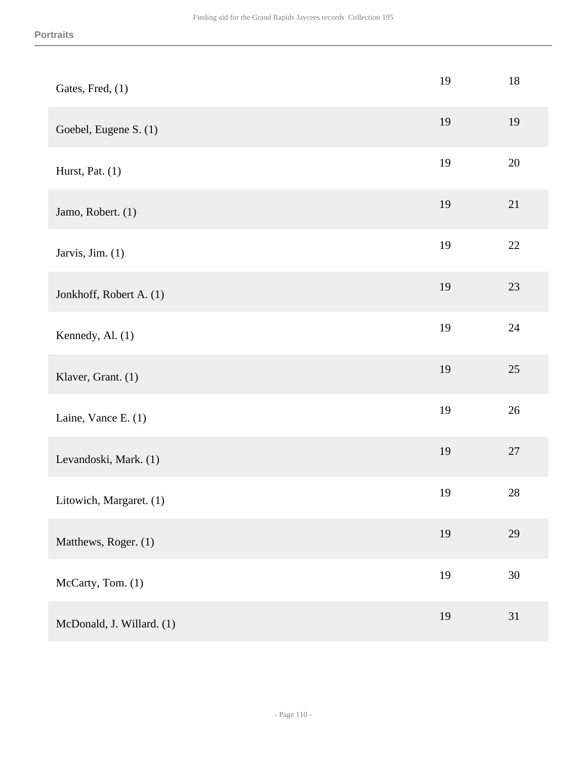| Gates, Fred, (1)          | 19 | 18     |
|---------------------------|----|--------|
| Goebel, Eugene S. (1)     | 19 | 19     |
| Hurst, Pat. (1)           | 19 | $20\,$ |
| Jamo, Robert. (1)         | 19 | 21     |
| Jarvis, Jim. (1)          | 19 | $22\,$ |
| Jonkhoff, Robert A. (1)   | 19 | 23     |
| Kennedy, Al. (1)          | 19 | 24     |
| Klaver, Grant. (1)        | 19 | $25\,$ |
| Laine, Vance E. (1)       | 19 | $26\,$ |
| Levandoski, Mark. (1)     | 19 | $27\,$ |
| Litowich, Margaret. (1)   | 19 | 28     |
| Matthews, Roger. (1)      | 19 | 29     |
| McCarty, Tom. (1)         | 19 | $30\,$ |
| McDonald, J. Willard. (1) | 19 | 31     |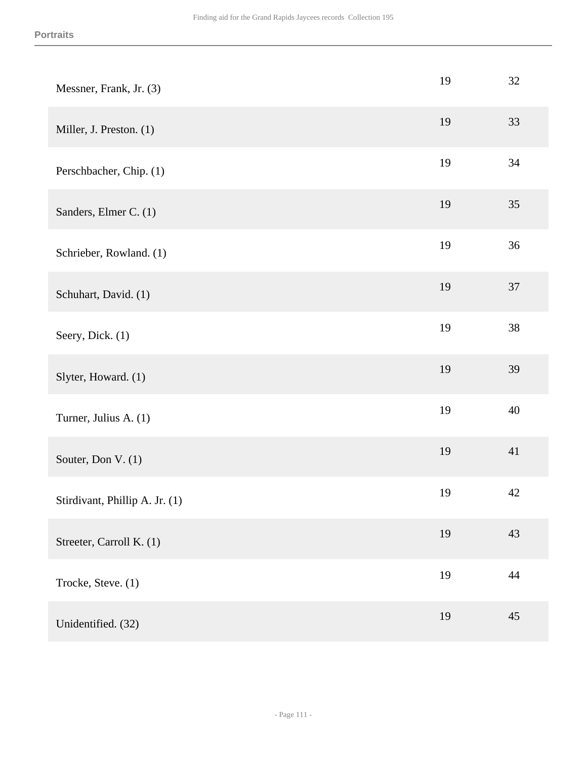| Messner, Frank, Jr. (3)        | 19 | $32\,$ |
|--------------------------------|----|--------|
| Miller, J. Preston. (1)        | 19 | 33     |
| Perschbacher, Chip. (1)        | 19 | 34     |
| Sanders, Elmer C. (1)          | 19 | 35     |
| Schrieber, Rowland. (1)        | 19 | 36     |
| Schuhart, David. (1)           | 19 | 37     |
| Seery, Dick. (1)               | 19 | $38\,$ |
| Slyter, Howard. (1)            | 19 | 39     |
| Turner, Julius A. (1)          | 19 | 40     |
| Souter, Don V. (1)             | 19 | 41     |
| Stirdivant, Phillip A. Jr. (1) | 19 | $42\,$ |
| Streeter, Carroll K. (1)       | 19 | 43     |
| Trocke, Steve. (1)             | 19 | 44     |
| Unidentified. (32)             | 19 | 45     |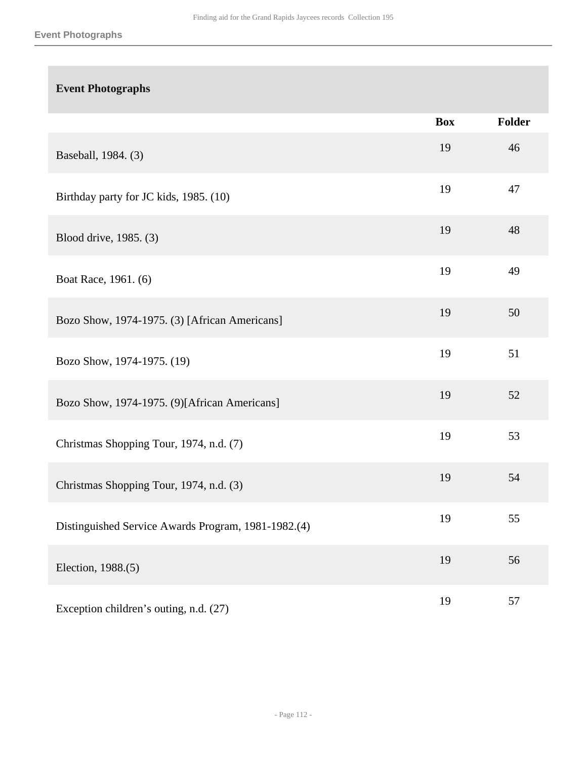# **Event Photographs Box Folder** Baseball, 1984. (3) <sup>19</sup> <sup>46</sup> Birthday party for JC kids, 1985. (10) 19 47 Blood drive, 1985. (3)  $19$  48 Boat Race, 1961. (6) 19 49 Bozo Show, 1974-1975. (3) [African Americans] 19 50 Bozo Show, 1974-1975. (19) 19 51 Bozo Show, 1974-1975. (9)[African Americans] 19 52 Christmas Shopping Tour, 1974, n.d. (7) 19 53 Christmas Shopping Tour, 1974, n.d. (3) <sup>19</sup> <sup>54</sup> Distinguished Service Awards Program, 1981-1982.(4) 19 55 Election, 1988.(5) 19 56 Exception children's outing, n.d.  $(27)$  19 57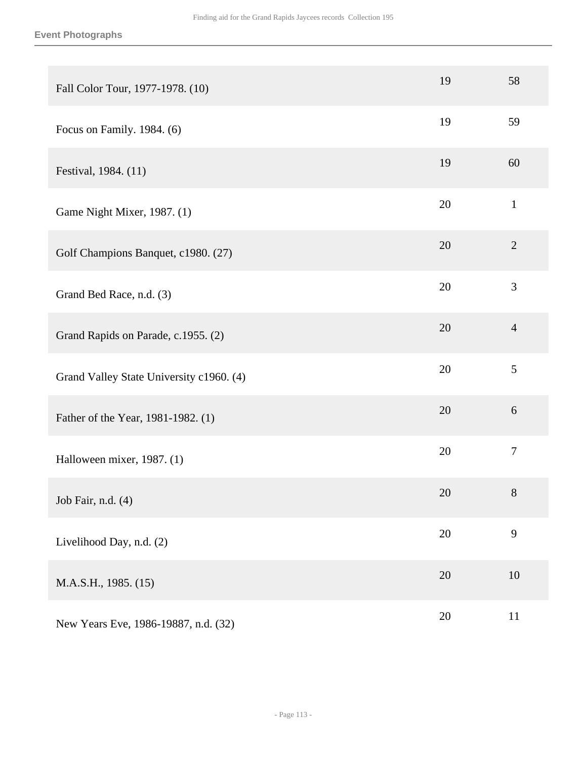| Fall Color Tour, 1977-1978. (10)         | 19 | 58               |
|------------------------------------------|----|------------------|
| Focus on Family. 1984. (6)               | 19 | 59               |
| Festival, 1984. (11)                     | 19 | 60               |
| Game Night Mixer, 1987. (1)              | 20 | $\mathbf{1}$     |
| Golf Champions Banquet, c1980. (27)      | 20 | $\overline{2}$   |
| Grand Bed Race, n.d. (3)                 | 20 | 3                |
| Grand Rapids on Parade, c.1955. (2)      | 20 | $\overline{4}$   |
| Grand Valley State University c1960. (4) | 20 | 5                |
| Father of the Year, 1981-1982. (1)       | 20 | 6                |
| Halloween mixer, 1987. (1)               | 20 | $\boldsymbol{7}$ |
| Job Fair, n.d. (4)                       | 20 | $8\phantom{1}$   |
| Livelihood Day, n.d. (2)                 | 20 | 9                |
| M.A.S.H., 1985. (15)                     | 20 | 10               |
| New Years Eve, 1986-19887, n.d. (32)     | 20 | 11               |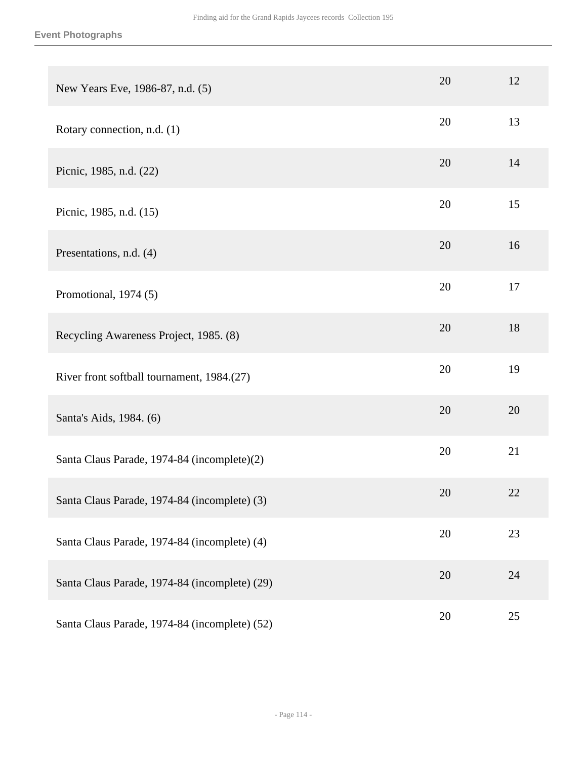| New Years Eve, 1986-87, n.d. (5)              | 20 | 12 |
|-----------------------------------------------|----|----|
| Rotary connection, n.d. (1)                   | 20 | 13 |
| Picnic, 1985, n.d. (22)                       | 20 | 14 |
| Picnic, 1985, n.d. (15)                       | 20 | 15 |
| Presentations, n.d. (4)                       | 20 | 16 |
| Promotional, 1974 (5)                         | 20 | 17 |
| Recycling Awareness Project, 1985. (8)        | 20 | 18 |
| River front softball tournament, 1984.(27)    | 20 | 19 |
| Santa's Aids, 1984. (6)                       | 20 | 20 |
| Santa Claus Parade, 1974-84 (incomplete)(2)   | 20 | 21 |
| Santa Claus Parade, 1974-84 (incomplete) (3)  | 20 | 22 |
| Santa Claus Parade, 1974-84 (incomplete) (4)  | 20 | 23 |
| Santa Claus Parade, 1974-84 (incomplete) (29) | 20 | 24 |
| Santa Claus Parade, 1974-84 (incomplete) (52) | 20 | 25 |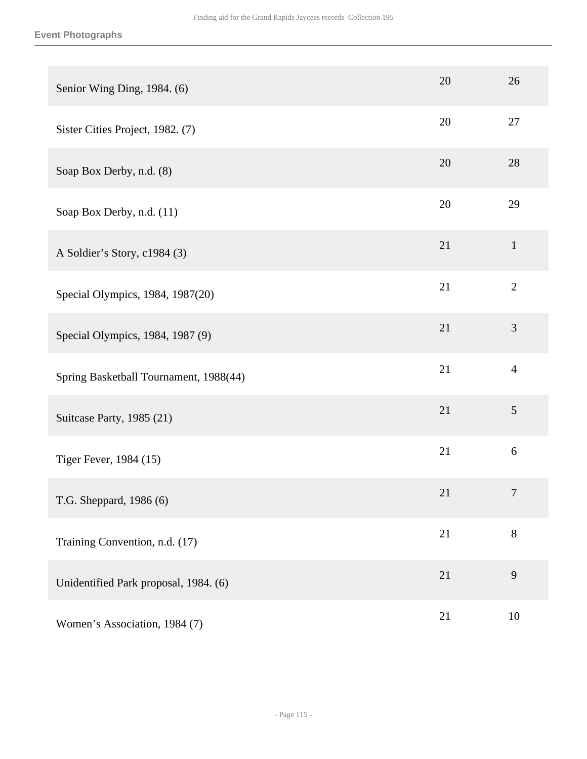#### **Event Photographs**

| Senior Wing Ding, 1984. (6)            | 20 | 26             |
|----------------------------------------|----|----------------|
| Sister Cities Project, 1982. (7)       | 20 | 27             |
| Soap Box Derby, n.d. (8)               | 20 | 28             |
| Soap Box Derby, n.d. (11)              | 20 | 29             |
| A Soldier's Story, c1984 (3)           | 21 | $\mathbf{1}$   |
| Special Olympics, 1984, 1987(20)       | 21 | $\overline{2}$ |
| Special Olympics, 1984, 1987 (9)       | 21 | 3              |
| Spring Basketball Tournament, 1988(44) | 21 | $\overline{4}$ |
| Suitcase Party, 1985 (21)              | 21 | 5              |
| Tiger Fever, 1984 (15)                 | 21 | 6              |
| T.G. Sheppard, 1986 (6)                | 21 | $\overline{7}$ |
| Training Convention, n.d. (17)         | 21 | $8\,$          |
| Unidentified Park proposal, 1984. (6)  | 21 | 9              |
| Women's Association, 1984 (7)          | 21 | 10             |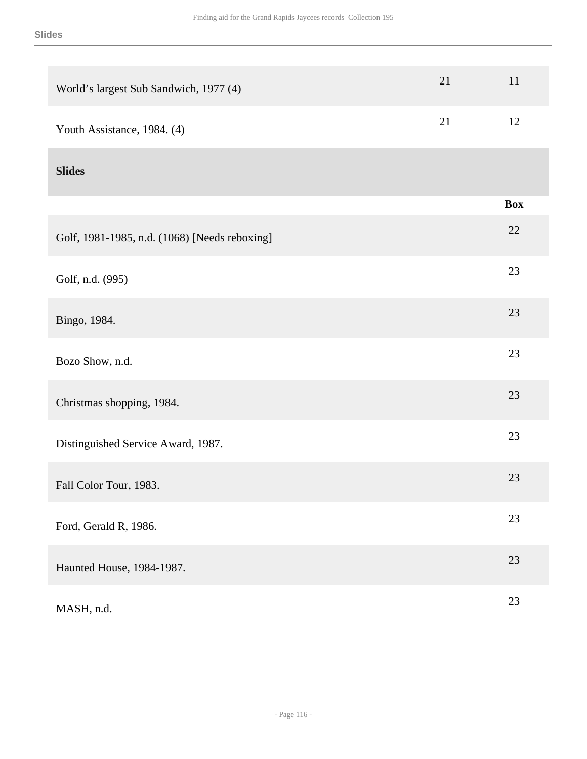| World's largest Sub Sandwich, 1977 (4)        | 21 | 11         |
|-----------------------------------------------|----|------------|
| Youth Assistance, 1984. (4)                   | 21 | 12         |
| <b>Slides</b>                                 |    |            |
|                                               |    | <b>Box</b> |
| Golf, 1981-1985, n.d. (1068) [Needs reboxing] |    | 22         |
| Golf, n.d. (995)                              |    | 23         |
| Bingo, 1984.                                  |    | 23         |
| Bozo Show, n.d.                               |    | 23         |
| Christmas shopping, 1984.                     |    | 23         |
| Distinguished Service Award, 1987.            |    | 23         |
| Fall Color Tour, 1983.                        |    | 23         |
| Ford, Gerald R, 1986.                         |    | 23         |
| Haunted House, 1984-1987.                     |    | 23         |
| MASH, n.d.                                    |    | $23\,$     |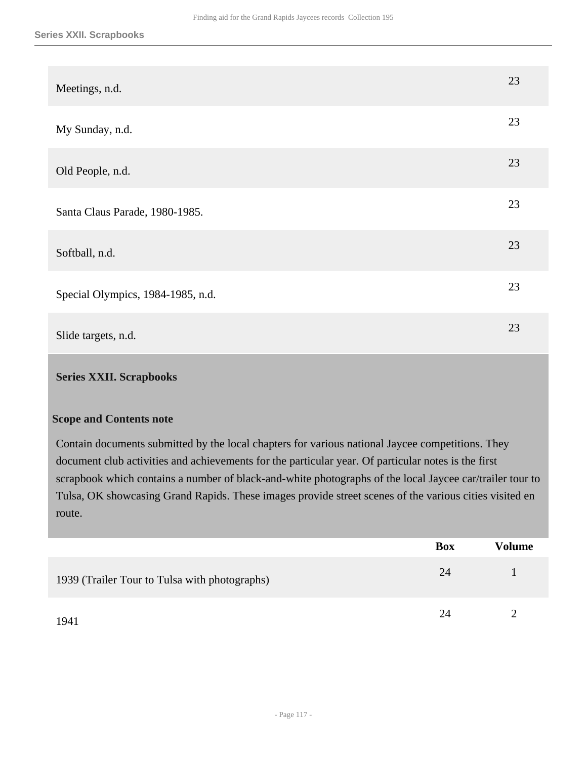| Meetings, n.d.                    | 23 |
|-----------------------------------|----|
| My Sunday, n.d.                   | 23 |
| Old People, n.d.                  | 23 |
| Santa Claus Parade, 1980-1985.    | 23 |
| Softball, n.d.                    | 23 |
| Special Olympics, 1984-1985, n.d. | 23 |
| Slide targets, n.d.               | 23 |

#### **Series XXII. Scrapbooks**

#### **Scope and Contents note**

Contain documents submitted by the local chapters for various national Jaycee competitions. They document club activities and achievements for the particular year. Of particular notes is the first scrapbook which contains a number of black-and-white photographs of the local Jaycee car/trailer tour to Tulsa, OK showcasing Grand Rapids. These images provide street scenes of the various cities visited en route.

|                                               | Box | Volume |
|-----------------------------------------------|-----|--------|
| 1939 (Trailer Tour to Tulsa with photographs) | 24  |        |
| 1941                                          | 24  |        |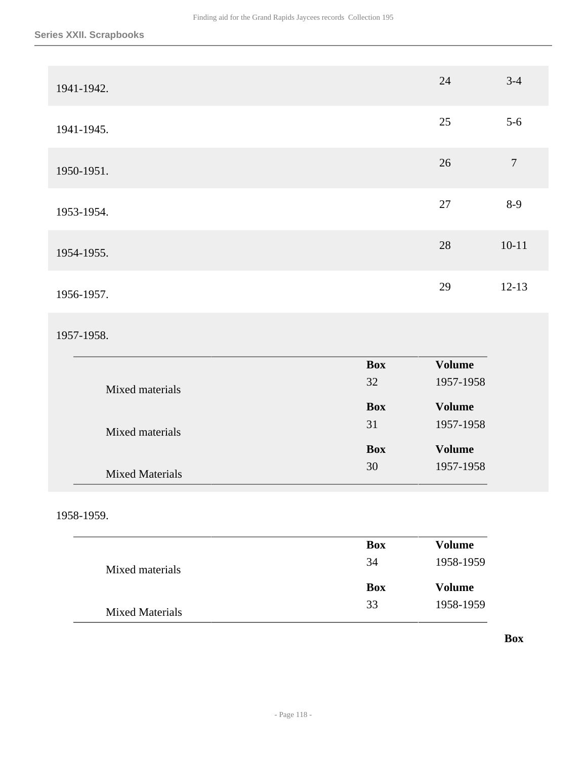| 1941-1942. | 24 | $3-4$     |
|------------|----|-----------|
| 1941-1945. | 25 | $5 - 6$   |
| 1950-1951. | 26 | $\tau$    |
| 1953-1954. | 27 | $8-9$     |
| 1954-1955. | 28 | $10 - 11$ |
| 1956-1957. | 29 | $12 - 13$ |

## 1957-1958.

|                        | <b>Box</b> | <b>Volume</b> |
|------------------------|------------|---------------|
| Mixed materials        | 32         | 1957-1958     |
|                        | <b>Box</b> | <b>Volume</b> |
| Mixed materials        | 31         | 1957-1958     |
|                        | <b>Box</b> | <b>Volume</b> |
| <b>Mixed Materials</b> | 30         | 1957-1958     |

## 1958-1959.

|                        | <b>Box</b> | Volume    |
|------------------------|------------|-----------|
| Mixed materials        | 34         | 1958-1959 |
|                        | <b>Box</b> | Volume    |
| <b>Mixed Materials</b> | 33         | 1958-1959 |

### **Box**